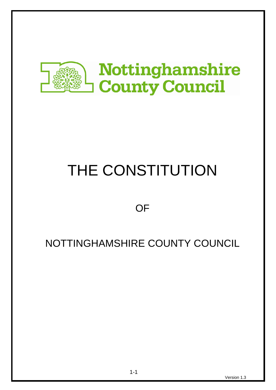

# THE CONSTITUTION

**OF** 

# NOTTINGHAMSHIRE COUNTY COUNCIL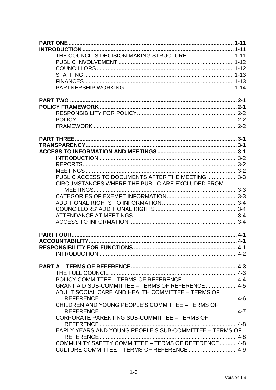| THE COUNCIL'S DECISION-MAKING STRUCTURE 1-11            |  |
|---------------------------------------------------------|--|
|                                                         |  |
|                                                         |  |
|                                                         |  |
|                                                         |  |
|                                                         |  |
|                                                         |  |
|                                                         |  |
|                                                         |  |
|                                                         |  |
|                                                         |  |
|                                                         |  |
|                                                         |  |
|                                                         |  |
|                                                         |  |
|                                                         |  |
|                                                         |  |
| PUBLIC ACCESS TO DOCUMENTS AFTER THE MEETING  3-3       |  |
| CIRCUMSTANCES WHERE THE PUBLIC ARE EXCLUDED FROM        |  |
|                                                         |  |
|                                                         |  |
|                                                         |  |
|                                                         |  |
|                                                         |  |
|                                                         |  |
|                                                         |  |
|                                                         |  |
|                                                         |  |
|                                                         |  |
|                                                         |  |
|                                                         |  |
|                                                         |  |
| GRANT AID SUB-COMMITTEE - TERMS OF REFERENCE  4-5       |  |
| ADULT SOCIAL CARE AND HEALTH COMMITTEE - TERMS OF       |  |
|                                                         |  |
| CHILDREN AND YOUNG PEOPLE'S COMMITTEE - TERMS OF        |  |
| CORPORATE PARENTING SUB-COMMITTEE - TERMS OF            |  |
|                                                         |  |
| EARLY YEARS AND YOUNG PEOPLE'S SUB-COMMITTEE - TERMS OF |  |
|                                                         |  |
| COMMUNITY SAFETY COMMITTEE - TERMS OF REFERENCE 4-8     |  |
| CULTURE COMMITTEE - TERMS OF REFERENCE  4-9             |  |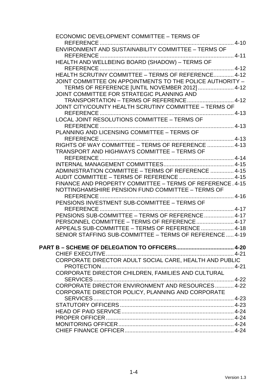| ECONOMIC DEVELOPMENT COMMITTEE - TERMS OF                 |  |
|-----------------------------------------------------------|--|
|                                                           |  |
|                                                           |  |
|                                                           |  |
| HEALTH AND WELLBEING BOARD (SHADOW) - TERMS OF            |  |
|                                                           |  |
| HEALTH SCRUTINY COMMITTEE - TERMS OF REFERENCE 4-12       |  |
| JOINT COMMITTEE ON APPOINTMENTS TO THE POLICE AUTHORITY - |  |
| TERMS OF REFERENCE [UNTIL NOVEMBER 2012]  4-12            |  |
| JOINT COMMITTEE FOR STRATEGIC PLANNING AND                |  |
|                                                           |  |
| JOINT CITY/COUNTY HEALTH SCRUTINY COMMITTEE - TERMS OF    |  |
|                                                           |  |
| LOCAL JOINT RESOLUTIONS COMMITTEE - TERMS OF              |  |
|                                                           |  |
|                                                           |  |
|                                                           |  |
| RIGHTS OF WAY COMMITTEE - TERMS OF REFERENCE  4-13        |  |
| <b>TRANSPORT AND HIGHWAYS COMMITTEE - TERMS OF</b>        |  |
| <b>REFERENCE</b>                                          |  |
|                                                           |  |
| ADMINISTRATION COMMITTEE - TERMS OF REFERENCE  4-15       |  |
| FINANCE AND PROPERTY COMMITTEE - TERMS OF REFERENCE, 4-15 |  |
| NOTTINGHAMSHIRE PENSION FUND COMMITTEE - TERMS OF         |  |
| . 4-16<br>REFERENCE                                       |  |
| PENSIONS INVESTMENT SUB-COMMITTEE - TERMS OF              |  |
|                                                           |  |
| PENSIONS SUB-COMMITTEE - TERMS OF REFERENCE  4-17         |  |
| PERSONNEL COMMITTEE - TERMS OF REFERENCE 4-17             |  |
| APPEALS SUB-COMMITTEE - TERMS OF REFERENCE  4-18          |  |
| SENIOR STAFFING SUB-COMMITTEE - TERMS OF REFERENCE 4-19   |  |
|                                                           |  |
|                                                           |  |
|                                                           |  |
| CORPORATE DIRECTOR ADULT SOCIAL CARE, HEALTH AND PUBLIC   |  |
|                                                           |  |
| CORPORATE DIRECTOR CHILDREN, FAMILIES AND CULTURAL        |  |
|                                                           |  |
| CORPORATE DIRECTOR ENVIRONMENT AND RESOURCES 4-22         |  |
| CORPORATE DIRECTOR POLICY, PLANNING AND CORPORATE         |  |
|                                                           |  |
|                                                           |  |
|                                                           |  |
|                                                           |  |
|                                                           |  |
|                                                           |  |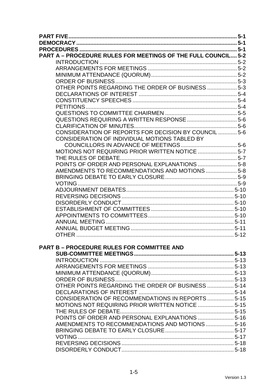|                                                                      | $5 - 1$ |
|----------------------------------------------------------------------|---------|
|                                                                      |         |
|                                                                      |         |
| <b>PART A - PROCEDURE RULES FOR MEETINGS OF THE FULL COUNCIL 5-2</b> |         |
|                                                                      |         |
|                                                                      |         |
|                                                                      |         |
|                                                                      |         |
| OTHER POINTS REGARDING THE ORDER OF BUSINESS  5-3                    |         |
|                                                                      |         |
|                                                                      |         |
|                                                                      |         |
|                                                                      |         |
|                                                                      |         |
|                                                                      |         |
| CONSIDERATION OF REPORTS FOR DECISION BY COUNCIL  5-6                |         |
| CONSIDERATION OF INDIVIDUAL MOTIONS TABLED BY                        |         |
|                                                                      |         |
| MOTIONS NOT REQUIRING PRIOR WRITTEN NOTICE 5-7                       |         |
|                                                                      |         |
| POINTS OF ORDER AND PERSONAL EXPLANATIONS  5-8                       |         |
| AMENDMENTS TO RECOMMENDATIONS AND MOTIONS 5-8                        |         |
|                                                                      |         |
|                                                                      |         |
|                                                                      |         |
|                                                                      |         |
|                                                                      |         |
|                                                                      |         |
|                                                                      |         |
|                                                                      |         |
|                                                                      |         |
|                                                                      |         |
|                                                                      |         |
| <b>PART B - PROCEDURE RULES FOR COMMITTEE AND</b>                    |         |
|                                                                      |         |
|                                                                      |         |
|                                                                      |         |
|                                                                      |         |
|                                                                      |         |
| OTHER POINTS REGARDING THE ORDER OF BUSINESS  5-14                   |         |
|                                                                      |         |
| CONSIDERATION OF RECOMMENDATIONS IN REPORTS  5-15                    |         |
| MOTIONS NOT REQUIRING PRIOR WRITTEN NOTICE  5-15                     |         |
|                                                                      |         |
| POINTS OF ORDER AND PERSONAL EXPLANATIONS  5-16                      |         |
| AMENDMENTS TO RECOMMENDATIONS AND MOTIONS  5-16                      |         |
|                                                                      |         |
| VOTING                                                               |         |
|                                                                      |         |
|                                                                      |         |
|                                                                      |         |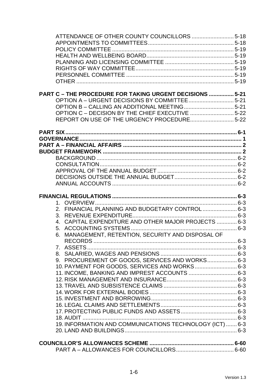| <b>PART C - THE PROCEDURE FOR TAKING URGENT DECISIONS  5-21</b> |  |
|-----------------------------------------------------------------|--|
|                                                                 |  |
|                                                                 |  |
| OPTION C - DECISION BY THE CHIEF EXECUTIVE 5-22                 |  |
| REPORT ON USE OF THE URGENCY PROCEDURE 5-22                     |  |
|                                                                 |  |
|                                                                 |  |
|                                                                 |  |
|                                                                 |  |
|                                                                 |  |
|                                                                 |  |
|                                                                 |  |
|                                                                 |  |
|                                                                 |  |
|                                                                 |  |
|                                                                 |  |
|                                                                 |  |
|                                                                 |  |
| 2. FINANCIAL PLANNING AND BUDGETARY CONTROL 6-3                 |  |
|                                                                 |  |
| 4. CAPITAL EXPENDITURE AND OTHER MAJOR PROJECTS  6-3            |  |
|                                                                 |  |
| MANAGEMENT, RETENTION, SECURITY AND DISPOSAL OF<br>6.           |  |
|                                                                 |  |
|                                                                 |  |
|                                                                 |  |
| 9. PROCUREMENT OF GOODS, SERVICES AND WORKS 6-3                 |  |
| 10. PAYMENT FOR GOODS, SERVICES AND WORKS 6-3                   |  |
| 11. INCOME, BANKING AND IMPREST ACCOUNTS  6-3                   |  |
|                                                                 |  |
|                                                                 |  |
|                                                                 |  |
|                                                                 |  |
|                                                                 |  |
|                                                                 |  |
|                                                                 |  |
| 19. INFORMATION AND COMMUNICATIONS TECHNOLOGY (ICT)  6-3        |  |
|                                                                 |  |
|                                                                 |  |
|                                                                 |  |
|                                                                 |  |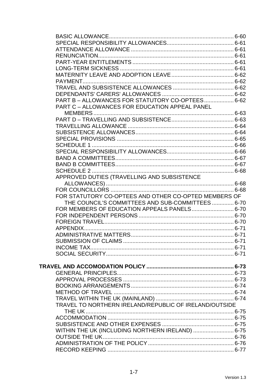| PART B - ALLOWANCES FOR STATUTORY CO-OPTEES 6-62       |  |
|--------------------------------------------------------|--|
| PART C - ALLOWANCES FOR EDUCATION APPEAL PANEL         |  |
|                                                        |  |
|                                                        |  |
|                                                        |  |
|                                                        |  |
|                                                        |  |
|                                                        |  |
|                                                        |  |
|                                                        |  |
|                                                        |  |
|                                                        |  |
| APPROVED DUTIES (TRAVELLING AND SUBSISTENCE            |  |
|                                                        |  |
|                                                        |  |
| FOR STATUTORY CO-OPTEES AND OTHER CO-OPTED MEMBERS OF  |  |
| THE COUNCIL'S COMMITTEES AND SUB-COMMITTEES  6-70      |  |
| FOR MEMBERS OF EDUCATION APPEALS PANELS 6-70           |  |
|                                                        |  |
|                                                        |  |
|                                                        |  |
|                                                        |  |
|                                                        |  |
|                                                        |  |
|                                                        |  |
|                                                        |  |
|                                                        |  |
|                                                        |  |
|                                                        |  |
|                                                        |  |
|                                                        |  |
|                                                        |  |
| TRAVEL TO NORTHERN IRELAND/REPUBLIC OF IRELAND/OUTSIDE |  |
|                                                        |  |
|                                                        |  |
| WITHIN THE UK (INCLUDING NORTHERN IRELAND)  6-75       |  |
|                                                        |  |
|                                                        |  |
|                                                        |  |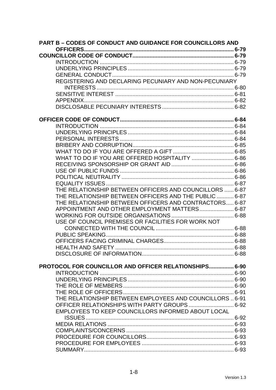| <b>PART B - CODES OF CONDUCT AND GUIDANCE FOR COUNCILLORS AND</b> |  |
|-------------------------------------------------------------------|--|
|                                                                   |  |
|                                                                   |  |
|                                                                   |  |
|                                                                   |  |
|                                                                   |  |
| REGISTERING AND DECLARING PECUNIARY AND NON-PECUNIARY             |  |
|                                                                   |  |
|                                                                   |  |
|                                                                   |  |
|                                                                   |  |
|                                                                   |  |
|                                                                   |  |
|                                                                   |  |
|                                                                   |  |
|                                                                   |  |
|                                                                   |  |
| WHAT TO DO IF YOU ARE OFFERED HOSPITALITY  6-86                   |  |
|                                                                   |  |
|                                                                   |  |
|                                                                   |  |
|                                                                   |  |
| THE RELATIONSHIP BETWEEN OFFICERS AND COUNCILLORS  6-87           |  |
| THE RELATIONSHIP BETWEEN OFFICERS AND THE PUBLIC  6-87            |  |
| THE RELATIONSHIP BETWEEN OFFICERS AND CONTRACTORS 6-87            |  |
| APPOINTMENT AND OTHER EMPLOYMENT MATTERS 6-87                     |  |
|                                                                   |  |
| USE OF COUNCIL PREMISES OR FACILITIES FOR WORK NOT                |  |
|                                                                   |  |
|                                                                   |  |
|                                                                   |  |
|                                                                   |  |
|                                                                   |  |
|                                                                   |  |
| PROTOCOL FOR COUNCILLOR AND OFFICER RELATIONSHIPS 6-90            |  |
|                                                                   |  |
|                                                                   |  |
|                                                                   |  |
|                                                                   |  |
| THE RELATIONSHIP BETWEEN EMPLOYEES AND COUNCILLORS  6-91          |  |
| OFFICER RELATIONSHIPS WITH PARTY GROUPS 6-92                      |  |
| EMPLOYEES TO KEEP COUNCILLORS INFORMED ABOUT LOCAL                |  |
|                                                                   |  |
|                                                                   |  |
|                                                                   |  |
|                                                                   |  |
|                                                                   |  |
|                                                                   |  |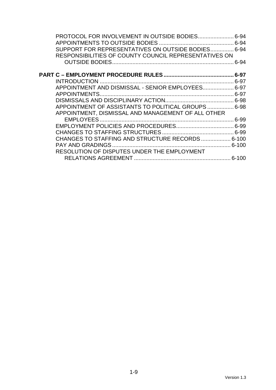| PROTOCOL FOR INVOLVEMENT IN OUTSIDE BODIES 6-94       |          |
|-------------------------------------------------------|----------|
|                                                       |          |
| SUPPORT FOR REPRESENTATIVES ON OUTSIDE BODIES 6-94    |          |
| RESPONSIBILITIES OF COUNTY COUNCIL REPRESENTATIVES ON |          |
|                                                       | $6 - 94$ |
|                                                       |          |
|                                                       |          |
| APPOINTMENT AND DISMISSAL - SENIOR EMPLOYEES 6-97     |          |
|                                                       |          |
|                                                       |          |
| APPOINTMENT OF ASSISTANTS TO POLITICAL GROUPS 6-98    |          |
| APPOINTMENT, DISMISSAL AND MANAGEMENT OF ALL OTHER    |          |
|                                                       |          |
|                                                       |          |
|                                                       |          |
| CHANGES TO STAFFING AND STRUCTURE RECORDS 6-100       |          |
|                                                       |          |
| RESOLUTION OF DISPUTES UNDER THE EMPLOYMENT           |          |
|                                                       |          |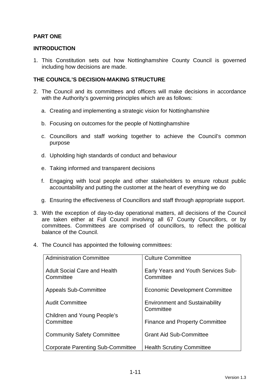#### **PART ONE**

#### **INTRODUCTION**

1. This Constitution sets out how Nottinghamshire County Council is governed including how decisions are made.

#### **THE COUNCIL'S DECISION-MAKING STRUCTURE**

- 2. The Council and its committees and officers will make decisions in accordance with the Authority's governing principles which are as follows:
	- a. Creating and implementing a strategic vision for Nottinghamshire
	- b. Focusing on outcomes for the people of Nottinghamshire
	- c. Councillors and staff working together to achieve the Council's common purpose
	- d. Upholding high standards of conduct and behaviour
	- e. Taking informed and transparent decisions
	- f. Engaging with local people and other stakeholders to ensure robust public accountability and putting the customer at the heart of everything we do
	- g. Ensuring the effectiveness of Councillors and staff through appropriate support.
- 3. With the exception of day-to-day operational matters, all decisions of the Council are taken either at Full Council involving all 67 County Councillors, or by committees. Committees are comprised of councillors, to reflect the political balance of the Council.
- 4. The Council has appointed the following committees:

| <b>Administration Committee</b>                  | <b>Culture Committee</b>                                |
|--------------------------------------------------|---------------------------------------------------------|
| <b>Adult Social Care and Health</b><br>Committee | <b>Early Years and Youth Services Sub-</b><br>Committee |
| <b>Appeals Sub-Committee</b>                     | <b>Economic Development Committee</b>                   |
| <b>Audit Committee</b>                           | <b>Environment and Sustainability</b><br>Committee      |
| Children and Young People's<br>Committee         | <b>Finance and Property Committee</b>                   |
| <b>Community Safety Committee</b>                | <b>Grant Aid Sub-Committee</b>                          |
| <b>Corporate Parenting Sub-Committee</b>         | <b>Health Scrutiny Committee</b>                        |
|                                                  |                                                         |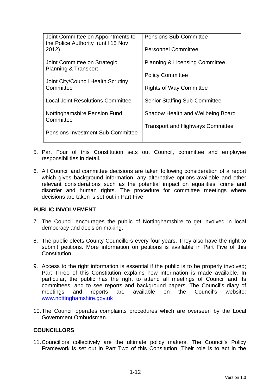| Joint Committee on Appointments to<br>the Police Authority (until 15 Nov | <b>Pensions Sub-Committee</b>             |
|--------------------------------------------------------------------------|-------------------------------------------|
| 2012)                                                                    | <b>Personnel Committee</b>                |
| Joint Committee on Strategic<br>Planning & Transport                     | <b>Planning &amp; Licensing Committee</b> |
| Joint City/Council Health Scrutiny                                       | <b>Policy Committee</b>                   |
| Committee                                                                | <b>Rights of Way Committee</b>            |
| <b>Local Joint Resolutions Committee</b>                                 | <b>Senior Staffing Sub-Committee</b>      |
| Nottinghamshire Pension Fund<br>Committee                                | Shadow Health and Wellbeing Board         |
| <b>Pensions Investment Sub-Committee</b>                                 | <b>Transport and Highways Committee</b>   |

- 5. Part Four of this Constitution sets out Council, committee and employee responsibilities in detail.
- 6. All Council and committee decisions are taken following consideration of a report which gives background information, any alternative options available and other relevant considerations such as the potential impact on equalities, crime and disorder and human rights. The procedure for committee meetings where decisions are taken is set out in Part Five.

#### **PUBLIC INVOLVEMENT**

- 7. The Council encourages the public of Nottinghamshire to get involved in local democracy and decision-making.
- 8. The public elects County Councillors every four years. They also have the right to submit petitions. More information on petitions is available in Part Five of this Constitution.
- 9. Access to the right information is essential if the public is to be properly involved; Part Three of this Constitution explains how information is made available. In particular, the public has the right to attend all meetings of Council and its committees, and to see reports and background papers. The Council's diary of meetings and reports are available on the Council's website: www.nottinghamshire.gov.uk
- 10. The Council operates complaints procedures which are overseen by the Local Government Ombudsman.

#### **COUNCILLORS**

11. Councillors collectively are the ultimate policy makers. The Council's Policy Framework is set out in Part Two of this Consitution. Their role is to act in the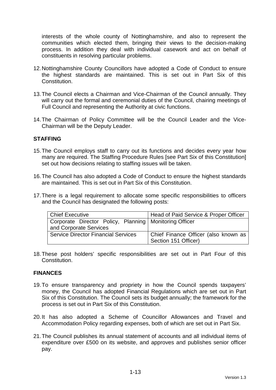interests of the whole county of Nottinghamshire, and also to represent the communities which elected them, bringing their views to the decision-making process. In addition they deal with individual casework and act on behalf of constituents in resolving particular problems.

- 12. Nottinghamshire County Councillors have adopted a Code of Conduct to ensure the highest standards are maintained. This is set out in Part Six of this Constitution.
- 13. The Council elects a Chairman and Vice-Chairman of the Council annually. They will carry out the formal and ceremonial duties of the Council, chairing meetings of Full Council and representing the Authority at civic functions.
- 14. The Chairman of Policy Committee will be the Council Leader and the Vice-Chairman will be the Deputy Leader.

#### **STAFFING**

- 15. The Council employs staff to carry out its functions and decides every year how many are required. The Staffing Procedure Rules [see Part Six of this Constitution] set out how decisions relating to staffing issues will be taken.
- 16. The Council has also adopted a Code of Conduct to ensure the highest standards are maintained. This is set out in Part Six of this Constitution.
- 17. There is a legal requirement to allocate some specific responsibilities to officers and the Council has designated the following posts:

| Chief Executive                                          | Head of Paid Service & Proper Officer |
|----------------------------------------------------------|---------------------------------------|
| Corporate Director Policy, Planning   Monitoring Officer |                                       |
| and Corporate Services                                   |                                       |
| <b>Service Director Financial Services</b>               | Chief Finance Officer (also known as  |
|                                                          | Section 151 Officer)                  |

18. These post holders' specific responsibilities are set out in Part Four of this Constitution.

#### **FINANCES**

- 19. To ensure transparency and propriety in how the Council spends taxpayers' money, the Council has adopted Financial Regulations which are set out in Part Six of this Constitution. The Council sets its budget annually; the framework for the process is set out in Part Six of this Constitution.
- 20. It has also adopted a Scheme of Councillor Allowances and Travel and Accommodation Policy regarding expenses, both of which are set out in Part Six.
- 21. The Council publishes its annual statement of accounts and all individual items of expenditure over £500 on its website, and approves and publishes senior officer pay.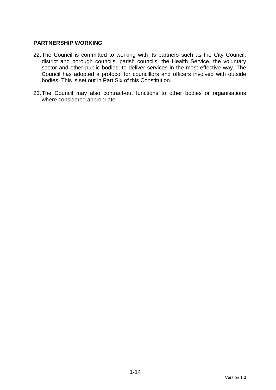#### **PARTNERSHIP WORKING**

- 22. The Council is committed to working with its partners such as the City Council, district and borough councils, parish councils, the Health Service, the voluntary sector and other public bodies, to deliver services in the most effective way. The Council has adopted a protocol for councillors and officers involved with outside bodies. This is set out in Part Six of this Constitution.
- 23. The Council may also contract-out functions to other bodies or organisations where considered appropriate.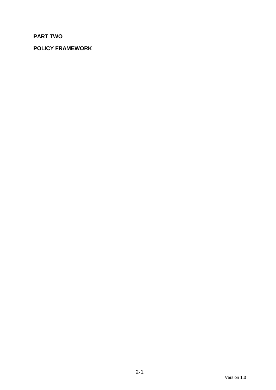# **PART TWO**

# **POLICY FRAMEWORK**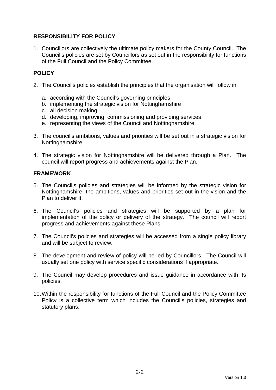## **RESPONSIBILITY FOR POLICY**

1. Councillors are collectively the ultimate policy makers for the County Council. The Council's policies are set by Councillors as set out in the responsibility for functions of the Full Council and the Policy Committee.

# **POLICY**

- 2. The Council's policies establish the principles that the organisation will follow in
	- a. according with the Council's governing principles
	- b. implementing the strategic vision for Nottinghamshire
	- c. all decision making
	- d. developing, improving, commissioning and providing services
	- e. representing the views of the Council and Nottinghamshire.
- 3. The council's ambitions, values and priorities will be set out in a strategic vision for Nottinghamshire.
- 4. The strategic vision for Nottinghamshire will be delivered through a Plan. The council will report progress and achievements against the Plan.

#### **FRAMEWORK**

- 5. The Council's policies and strategies will be informed by the strategic vision for Nottinghamshire, the ambitions, values and priorities set out in the vision and the Plan to deliver it.
- 6. The Council's policies and strategies will be supported by a plan for implementation of the policy or delivery of the strategy. The council will report progress and achievements against these Plans.
- 7. The Council's policies and strategies will be accessed from a single policy library and will be subject to review.
- 8. The development and review of policy will be led by Councillors. The Council will usually set one policy with service specific considerations if appropriate.
- 9. The Council may develop procedures and issue guidance in accordance with its policies.
- 10. Within the responsibility for functions of the Full Council and the Policy Committee Policy is a collective term which includes the Council's policies, strategies and statutory plans.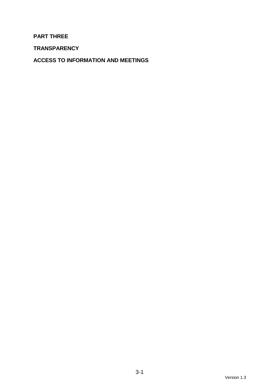## **PART THREE**

**TRANSPARENCY** 

**ACCESS TO INFORMATION AND MEETINGS**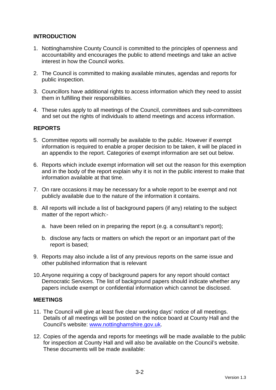## **INTRODUCTION**

- 1. Nottinghamshire County Council is committed to the principles of openness and accountability and encourages the public to attend meetings and take an active interest in how the Council works.
- 2. The Council is committed to making available minutes, agendas and reports for public inspection.
- 3. Councillors have additional rights to access information which they need to assist them in fulfilling their responsibilities.
- 4. These rules apply to all meetings of the Council, committees and sub-committees and set out the rights of individuals to attend meetings and access information.

#### **REPORTS**

- 5. Committee reports will normally be available to the public. However if exempt information is required to enable a proper decision to be taken, it will be placed in an appendix to the report. Categories of exempt information are set out below.
- 6. Reports which include exempt information will set out the reason for this exemption and in the body of the report explain why it is not in the public interest to make that information available at that time.
- 7. On rare occasions it may be necessary for a whole report to be exempt and not publicly available due to the nature of the information it contains.
- 8. All reports will include a list of background papers (if any) relating to the subject matter of the report which:
	- a. have been relied on in preparing the report (e.g. a consultant's report);
	- b. disclose any facts or matters on which the report or an important part of the report is based;
- 9. Reports may also include a list of any previous reports on the same issue and other published information that is relevant
- 10. Anyone requiring a copy of background papers for any report should contact Democratic Services. The list of background papers should indicate whether any papers include exempt or confidential information which cannot be disclosed.

#### **MEETINGS**

- 11. The Council will give at least five clear working days' notice of all meetings. Details of all meetings will be posted on the notice board at County Hall and the Council's website: www.nottinghamshire.gov.uk.
- 12. Copies of the agenda and reports for meetings will be made available to the public for inspection at County Hall and will also be available on the Council's website. These documents will be made available: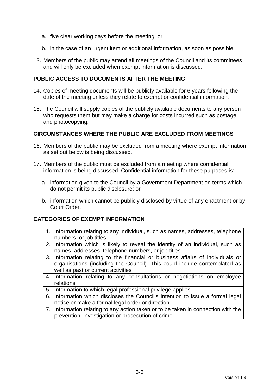- a. five clear working days before the meeting; or
- b. in the case of an urgent item or additional information, as soon as possible.
- 13. Members of the public may attend all meetings of the Council and its committees and will only be excluded when exempt information is discussed.

#### **PUBLIC ACCESS TO DOCUMENTS AFTER THE MEETING**

- 14. Copies of meeting documents will be publicly available for 6 years following the date of the meeting unless they relate to exempt or confidential information.
- 15. The Council will supply copies of the publicly available documents to any person who requests them but may make a charge for costs incurred such as postage and photocopying.

#### **CIRCUMSTANCES WHERE THE PUBLIC ARE EXCLUDED FROM MEETINGS**

- 16. Members of the public may be excluded from a meeting where exempt information as set out below is being discussed.
- 17. Members of the public must be excluded from a meeting where confidential information is being discussed. Confidential information for these purposes is:
	- a. information given to the Council by a Government Department on terms which do not permit its public disclosure; or
	- b. information which cannot be publicly disclosed by virtue of any enactment or by Court Order.

#### **CATEGORIES OF EXEMPT INFORMATION**

- 1. Information relating to any individual, such as names, addresses, telephone numbers, or job titles
- 2. Information which is likely to reveal the identity of an individual, such as names, addresses, telephone numbers, or job titles
- 3. Information relating to the financial or business affairs of individuals or organisations (including the Council). This could include contemplated as well as past or current activities
- 4. Information relating to any consultations or negotiations on employee relations
- 5. Information to which legal professional privilege applies
- 6. Information which discloses the Council's intention to issue a formal legal notice or make a formal legal order or direction
- 7. Information relating to any action taken or to be taken in connection with the prevention, investigation or prosecution of crime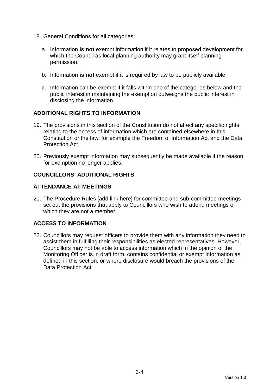- 18. General Conditions for all categories:
	- a. Information **is not** exempt information if it relates to proposed development for which the Council as local planning authority may grant itself planning permission.
	- b. Information **is not** exempt if it is required by law to be publicly available.
	- c. Information can be exempt if it falls within one of the categories below and the public interest in maintaining the exemption outweighs the public interest in disclosing the information.

#### **ADDITIONAL RIGHTS TO INFORMATION**

- 19. The provisions in this section of the Constitution do not affect any specific rights relating to the access of information which are contained elsewhere in this Constitution or the law; for example the Freedom of Information Act and the Data Protection Act
- 20. Previously exempt information may subsequently be made available if the reason for exemption no longer applies.

#### **COUNCILLORS' ADDITIONAL RIGHTS**

#### **ATTENDANCE AT MEETINGS**

21. The Procedure Rules [add link here] for committee and sub-committee meetings set out the provisions that apply to Councillors who wish to attend meetings of which they are not a member.

# **ACCESS TO INFORMATION**

22. Councillors may request officers to provide them with any information they need to assist them in fulfilling their responsibilities as elected representatives. However, Councillors may not be able to access information which in the opinion of the Monitoring Officer is in draft form, contains confidential or exempt information as defined in this section, or where disclosure would breach the provisions of the Data Protection Act.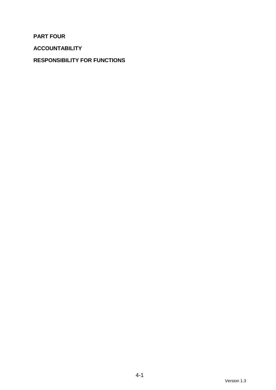**PART FOUR** 

**ACCOUNTABILITY** 

# **RESPONSIBILITY FOR FUNCTIONS**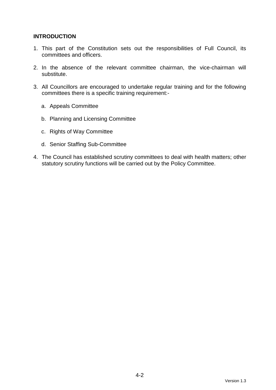#### **INTRODUCTION**

- 1. This part of the Constitution sets out the responsibilities of Full Council, its committees and officers.
- 2. In the absence of the relevant committee chairman, the vice-chairman will substitute.
- 3. All Councillors are encouraged to undertake regular training and for the following committees there is a specific training requirement:
	- a. Appeals Committee
	- b. Planning and Licensing Committee
	- c. Rights of Way Committee
	- d. Senior Staffing Sub-Committee
- 4. The Council has established scrutiny committees to deal with health matters; other statutory scrutiny functions will be carried out by the Policy Committee.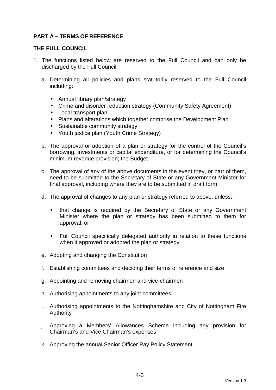## **PART A – TERMS OF REFERENCE**

#### **THE FULL COUNCIL**

- 1. The functions listed below are reserved to the Full Council and can only be discharged by the Full Council:
	- a. Determining all policies and plans statutorily reserved to the Full Council including:
		- Annual library plan/strategy
		- Crime and disorder reduction strategy (Community Safety Agreement)
		- Local transport plan
		- Plans and alterations which together comprise the Development Plan
		- Sustainable community strategy
		- Youth justice plan (Youth Crime Strategy)
	- b. The approval or adoption of a plan or strategy for the control of the Council's borrowing, investments or capital expenditure, or for determining the Council's minimum revenue provision; the Budget
	- c. The approval of any of the above documents in the event they, or part of them, need to be submitted to the Secretary of State or any Government Minister for final approval, including where they are to be submitted in draft form
	- d. The approval of changes to any plan or strategy referred to above, unless:
		- that change is required by the Secretary of State or any Government Minister where the plan or strategy has been submitted to them for approval, or
		- Full Council specifically delegated authority in relation to these functions when it approved or adopted the plan or strategy
	- e. Adopting and changing the Constitution
	- f. Establishing committees and deciding their terms of reference and size
	- g. Appointing and removing chairmen and vice-chairmen
	- h. Authorising appointments to any joint committees
	- i. Authorising appointments to the Nottinghamshire and City of Nottingham Fire Authority
	- j. Approving a Members' Allowances Scheme including any provision for Chairman's and Vice Chairman's expenses
	- k. Approving the annual Senior Officer Pay Policy Statement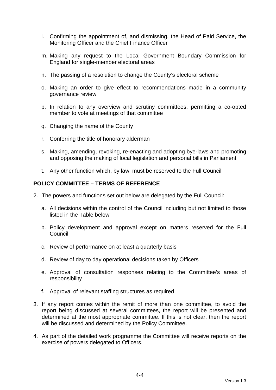- l. Confirming the appointment of, and dismissing, the Head of Paid Service, the Monitoring Officer and the Chief Finance Officer
- m. Making any request to the Local Government Boundary Commission for England for single-member electoral areas
- n. The passing of a resolution to change the County's electoral scheme
- o. Making an order to give effect to recommendations made in a community governance review
- p. In relation to any overview and scrutiny committees, permitting a co-opted member to vote at meetings of that committee
- q. Changing the name of the County
- r. Conferring the title of honorary alderman
- s. Making, amending, revoking, re-enacting and adopting bye-laws and promoting and opposing the making of local legislation and personal bills in Parliament
- t. Any other function which, by law, must be reserved to the Full Council

#### **POLICY COMMITTEE – TERMS OF REFERENCE**

- 2. The powers and functions set out below are delegated by the Full Council:
	- a. All decisions within the control of the Council including but not limited to those listed in the Table below
	- b. Policy development and approval except on matters reserved for the Full Council
	- c. Review of performance on at least a quarterly basis
	- d. Review of day to day operational decisions taken by Officers
	- e. Approval of consultation responses relating to the Committee's areas of responsibility
	- f. Approval of relevant staffing structures as required
- 3. If any report comes within the remit of more than one committee, to avoid the report being discussed at several committees, the report will be presented and determined at the most appropriate committee. If this is not clear, then the report will be discussed and determined by the Policy Committee.
- 4. As part of the detailed work programme the Committee will receive reports on the exercise of powers delegated to Officers.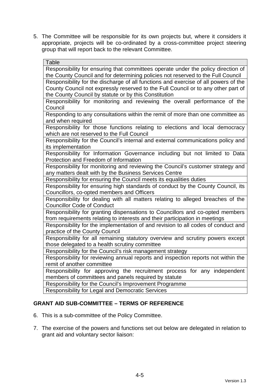5. The Committee will be responsible for its own projects but, where it considers it appropriate, projects will be co-ordinated by a cross-committee project steering group that will report back to the relevant Committee.

| <b>Table</b>                                                                        |
|-------------------------------------------------------------------------------------|
| Responsibility for ensuring that committees operate under the policy direction of   |
| the County Council and for determining policies not reserved to the Full Council    |
| Responsibility for the discharge of all functions and exercise of all powers of the |
| County Council not expressly reserved to the Full Council or to any other part of   |
| the County Council by statute or by this Constitution                               |
| Responsibility for monitoring and reviewing the overall performance of the          |
| Council                                                                             |
| Responding to any consultations within the remit of more than one committee as      |
| and when required                                                                   |
| Responsibility for those functions relating to elections and local democracy        |
| which are not reserved to the Full Council                                          |
| Responsibility for the Council's internal and external communications policy and    |
| its implementation                                                                  |
| Responsibility for Information Governance including but not limited to Data         |
| Protection and Freedom of Information                                               |
| Responsibility for monitoring and reviewing the Council's customer strategy and     |
| any matters dealt with by the Business Services Centre                              |
| Responsibility for ensuring the Council meets its equalities duties                 |
| Responsibility for ensuring high standards of conduct by the County Council, its    |
| Councillors, co-opted members and Officers                                          |
| Responsibility for dealing with all matters relating to alleged breaches of the     |
| <b>Councillor Code of Conduct</b>                                                   |
| Responsibility for granting dispensations to Councillors and co-opted members       |
| from requirements relating to interests and their participation in meetings         |
| Responsibility for the implementation of and revision to all codes of conduct and   |
| practice of the County Council                                                      |
| Responsibility for all remaining statutory overview and scrutiny powers except      |
| those delegated to a health scrutiny committee                                      |
| Responsibility for the Council's risk management strategy                           |
| Responsibility for reviewing annual reports and inspection reports not within the   |
| remit of another committee                                                          |
| Responsibility for approving the recruitment process for any independent            |
| members of committees and panels required by statute                                |
| Responsibility for the Council's Improvement Programme                              |
| <b>Responsibility for Legal and Democratic Services</b>                             |
|                                                                                     |

#### **GRANT AID SUB-COMMITTEE – TERMS OF REFERENCE**

- 6. This is a sub-committee of the Policy Committee.
- 7. The exercise of the powers and functions set out below are delegated in relation to grant aid and voluntary sector liaison: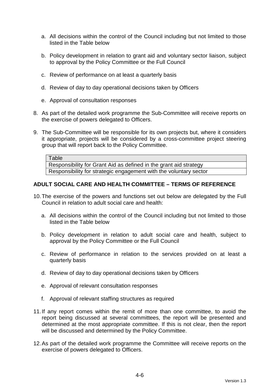- a. All decisions within the control of the Council including but not limited to those listed in the Table below
- b. Policy development in relation to grant aid and voluntary sector liaison, subject to approval by the Policy Committee or the Full Council
- c. Review of performance on at least a quarterly basis
- d. Review of day to day operational decisions taken by Officers
- e. Approval of consultation responses
- 8. As part of the detailed work programme the Sub-Committee will receive reports on the exercise of powers delegated to Officers.
- 9. The Sub-Committee will be responsible for its own projects but, where it considers it appropriate, projects will be considered by a cross-committee project steering group that will report back to the Policy Committee.

Responsibility for Grant Aid as defined in the grant aid strategy Responsibility for strategic engagement with the voluntary sector

#### **ADULT SOCIAL CARE AND HEALTH COMMITTEE – TERMS OF REFERENCE**

- 10. The exercise of the powers and functions set out below are delegated by the Full Council in relation to adult social care and health:
	- a. All decisions within the control of the Council including but not limited to those listed in the Table below
	- b. Policy development in relation to adult social care and health, subject to approval by the Policy Committee or the Full Council
	- c. Review of performance in relation to the services provided on at least a quarterly basis
	- d. Review of day to day operational decisions taken by Officers
	- e. Approval of relevant consultation responses
	- f. Approval of relevant staffing structures as required
- 11. If any report comes within the remit of more than one committee, to avoid the report being discussed at several committees, the report will be presented and determined at the most appropriate committee. If this is not clear, then the report will be discussed and determined by the Policy Committee.
- 12. As part of the detailed work programme the Committee will receive reports on the exercise of powers delegated to Officers.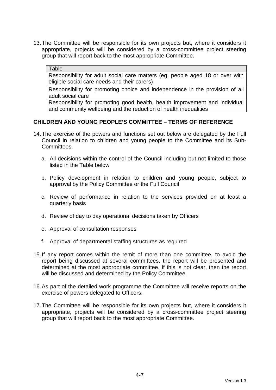13. The Committee will be responsible for its own projects but, where it considers it appropriate, projects will be considered by a cross-committee project steering group that will report back to the most appropriate Committee.

#### **Table**

Responsibility for adult social care matters (eg. people aged 18 or over with eligible social care needs and their carers)

Responsibility for promoting choice and independence in the provision of all adult social care

Responsibility for promoting good health, health improvement and individual and community wellbeing and the reduction of health inequalities

#### **CHILDREN AND YOUNG PEOPLE'S COMMITTEE – TERMS OF REFERENCE**

- 14. The exercise of the powers and functions set out below are delegated by the Full Council in relation to children and young people to the Committee and its Sub-Committees.
	- a. All decisions within the control of the Council including but not limited to those listed in the Table below
	- b. Policy development in relation to children and young people, subject to approval by the Policy Committee or the Full Council
	- c. Review of performance in relation to the services provided on at least a quarterly basis
	- d. Review of day to day operational decisions taken by Officers
	- e. Approval of consultation responses
	- f. Approval of departmental staffing structures as required
- 15. If any report comes within the remit of more than one committee, to avoid the report being discussed at several committees, the report will be presented and determined at the most appropriate committee. If this is not clear, then the report will be discussed and determined by the Policy Committee.
- 16. As part of the detailed work programme the Committee will receive reports on the exercise of powers delegated to Officers.
- 17. The Committee will be responsible for its own projects but, where it considers it appropriate, projects will be considered by a cross-committee project steering group that will report back to the most appropriate Committee.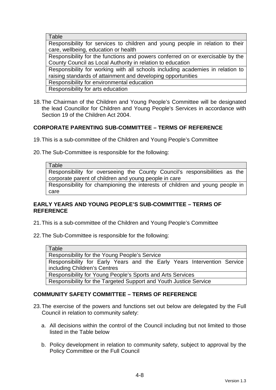| Table                                                                          |
|--------------------------------------------------------------------------------|
| Responsibility for services to children and young people in relation to their  |
| care, wellbeing, education or health                                           |
| Responsibility for the functions and powers conferred on or exercisable by the |
| County Council as Local Authority in relation to education                     |
| Responsibility for working with all schools including academies in relation to |
| raising standards of attainment and developing opportunities                   |
| Responsibility for environmental education                                     |
| Responsibility for arts education                                              |

18. The Chairman of the Children and Young People's Committee will be designated the lead Councillor for Children and Young People's Services in accordance with Section 19 of the Children Act 2004.

#### **CORPORATE PARENTING SUB-COMMITTEE – TERMS OF REFERENCE**

- 19. This is a sub-committee of the Children and Young People's Committee
- 20. The Sub-Committee is responsible for the following:

Responsibility for overseeing the County Council's responsibilities as the corporate parent of children and young people in care

Responsibility for championing the interests of children and young people in care

#### **EARLY YEARS AND YOUNG PEOPLE'S SUB-COMMITTEE – TERMS OF REFERENCE**

21. This is a sub-committee of the Children and Young People's Committee

22. The Sub-Committee is responsible for the following:

Table

Responsibility for the Young People's Service

Responsibility for Early Years and the Early Years Intervention Service including Children's Centres

Responsibility for Young People's Sports and Arts Services

Responsibility for the Targeted Support and Youth Justice Service

#### **COMMUNITY SAFETY COMMITTEE – TERMS OF REFERENCE**

- 23. The exercise of the powers and functions set out below are delegated by the Full Council in relation to community safety:
	- a. All decisions within the control of the Council including but not limited to those listed in the Table below
	- b. Policy development in relation to community safety, subject to approval by the Policy Committee or the Full Council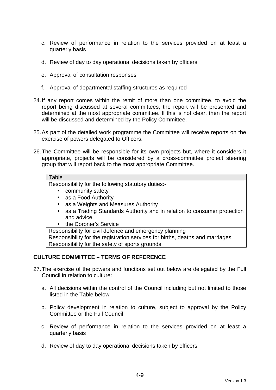- c. Review of performance in relation to the services provided on at least a quarterly basis
- d. Review of day to day operational decisions taken by officers
- e. Approval of consultation responses
- f. Approval of departmental staffing structures as required
- 24. If any report comes within the remit of more than one committee, to avoid the report being discussed at several committees, the report will be presented and determined at the most appropriate committee. If this is not clear, then the report will be discussed and determined by the Policy Committee.
- 25. As part of the detailed work programme the Committee will receive reports on the exercise of powers delegated to Officers.
- 26. The Committee will be responsible for its own projects but, where it considers it appropriate, projects will be considered by a cross-committee project steering group that will report back to the most appropriate Committee.

#### **Table**

Responsibility for the following statutory duties:-

- community safety
- as a Food Authority
- as a Weights and Measures Authority
- as a Trading Standards Authority and in relation to consumer protection and advice
- the Coroner's Service

Responsibility for civil defence and emergency planning

Responsibility for the registration services for births, deaths and marriages Responsibility for the safety of sports grounds

#### **CULTURE COMMITTEE – TERMS OF REFERENCE**

- 27. The exercise of the powers and functions set out below are delegated by the Full Council in relation to culture:
	- a. All decisions within the control of the Council including but not limited to those listed in the Table below
	- b. Policy development in relation to culture, subject to approval by the Policy Committee or the Full Council
	- c. Review of performance in relation to the services provided on at least a quarterly basis
	- d. Review of day to day operational decisions taken by officers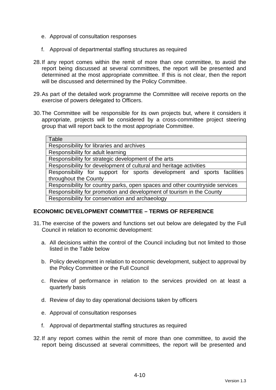- e. Approval of consultation responses
- f. Approval of departmental staffing structures as required
- 28. If any report comes within the remit of more than one committee, to avoid the report being discussed at several committees, the report will be presented and determined at the most appropriate committee. If this is not clear, then the report will be discussed and determined by the Policy Committee.
- 29. As part of the detailed work programme the Committee will receive reports on the exercise of powers delegated to Officers.
- 30. The Committee will be responsible for its own projects but, where it considers it appropriate, projects will be considered by a cross-committee project steering group that will report back to the most appropriate Committee.

#### **ECONOMIC DEVELOPMENT COMMITTEE – TERMS OF REFERENCE**

- 31. The exercise of the powers and functions set out below are delegated by the Full Council in relation to economic development:
	- a. All decisions within the control of the Council including but not limited to those listed in the Table below
	- b. Policy development in relation to economic development, subject to approval by the Policy Committee or the Full Council
	- c. Review of performance in relation to the services provided on at least a quarterly basis
	- d. Review of day to day operational decisions taken by officers
	- e. Approval of consultation responses
	- f. Approval of departmental staffing structures as required
- 32. If any report comes within the remit of more than one committee, to avoid the report being discussed at several committees, the report will be presented and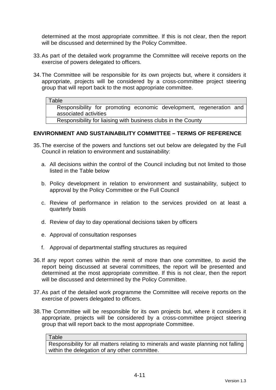determined at the most appropriate committee. If this is not clear, then the report will be discussed and determined by the Policy Committee.

- 33. As part of the detailed work programme the Committee will receive reports on the exercise of powers delegated to officers.
- 34. The Committee will be responsible for its own projects but, where it considers it appropriate, projects will be considered by a cross-committee project steering group that will report back to the most appropriate committee.

#### **Table**

Responsibility for promoting economic development, regeneration and associated activities

Responsibility for liaising with business clubs in the County

#### **ENVIRONMENT AND SUSTAINABILITY COMMITTEE – TERMS OF REFERENCE**

- 35. The exercise of the powers and functions set out below are delegated by the Full Council in relation to environment and sustainability:
	- a. All decisions within the control of the Council including but not limited to those listed in the Table below
	- b. Policy development in relation to environment and sustainability, subject to approval by the Policy Committee or the Full Council
	- c. Review of performance in relation to the services provided on at least a quarterly basis
	- d. Review of day to day operational decisions taken by officers
	- e. Approval of consultation responses
	- f. Approval of departmental staffing structures as required
- 36. If any report comes within the remit of more than one committee, to avoid the report being discussed at several committees, the report will be presented and determined at the most appropriate committee. If this is not clear, then the report will be discussed and determined by the Policy Committee.
- 37. As part of the detailed work programme the Committee will receive reports on the exercise of powers delegated to officers.
- 38. The Committee will be responsible for its own projects but, where it considers it appropriate, projects will be considered by a cross-committee project steering group that will report back to the most appropriate Committee.

#### **Table**

Responsibility for all matters relating to minerals and waste planning not falling within the delegation of any other committee.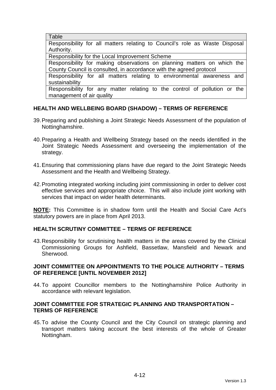**Table** 

Responsibility for all matters relating to Council's role as Waste Disposal Authority.

Responsibility for the Local Improvement Scheme

Responsibility for making observations on planning matters on which the County Council is consulted, in accordance with the agreed protocol

Responsibility for all matters relating to environmental awareness and sustainability

Responsibility for any matter relating to the control of pollution or the management of air quality

# **HEALTH AND WELLBEING BOARD (SHADOW) – TERMS OF REFERENCE**

- 39. Preparing and publishing a Joint Strategic Needs Assessment of the population of Nottinghamshire.
- 40. Preparing a Health and Wellbeing Strategy based on the needs identified in the Joint Strategic Needs Assessment and overseeing the implementation of the strategy.
- 41. Ensuring that commissioning plans have due regard to the Joint Strategic Needs Assessment and the Health and Wellbeing Strategy.
- 42. Promoting integrated working including joint commissioning in order to deliver cost effective services and appropriate choice. This will also include joint working with services that impact on wider health determinants.

**NOTE:** This Committee is in shadow form until the Health and Social Care Act's statutory powers are in place from April 2013.

#### **HEALTH SCRUTINY COMMITTEE – TERMS OF REFERENCE**

43. Responsibility for scrutinising health matters in the areas covered by the Clinical Commissioning Groups for Ashfield, Bassetlaw, Mansfield and Newark and Sherwood.

#### **JOINT COMMITTEE ON APPOINTMENTS TO THE POLICE AUTHORITY – TERMS OF REFERENCE [UNTIL NOVEMBER 2012]**

44. To appoint Councillor members to the Nottinghamshire Police Authority in accordance with relevant legislation.

#### **JOINT COMMITTEE FOR STRATEGIC PLANNING AND TRANSPORTATION – TERMS OF REFERENCE**

45. To advise the County Council and the City Council on strategic planning and transport matters taking account the best interests of the whole of Greater Nottingham.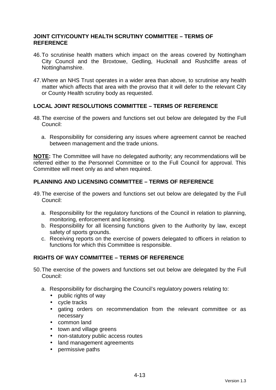#### **JOINT CITY/COUNTY HEALTH SCRUTINY COMMITTEE – TERMS OF REFERENCE**

- 46. To scrutinise health matters which impact on the areas covered by Nottingham City Council and the Broxtowe, Gedling, Hucknall and Rushcliffe areas of Nottinghamshire.
- 47. Where an NHS Trust operates in a wider area than above, to scrutinise any health matter which affects that area with the proviso that it will defer to the relevant City or County Health scrutiny body as requested.

#### **LOCAL JOINT RESOLUTIONS COMMITTEE – TERMS OF REFERENCE**

- 48. The exercise of the powers and functions set out below are delegated by the Full Council:
	- a. Responsibility for considering any issues where agreement cannot be reached between management and the trade unions.

**NOTE:** The Committee will have no delegated authority; any recommendations will be referred either to the Personnel Committee or to the Full Council for approval. This Committee will meet only as and when required.

#### **PLANNING AND LICENSING COMMITTEE – TERMS OF REFERENCE**

- 49. The exercise of the powers and functions set out below are delegated by the Full Council:
	- a. Responsibility for the regulatory functions of the Council in relation to planning, monitoring, enforcement and licensing.
	- b. Responsibility for all licensing functions given to the Authority by law, except safety of sports grounds.
	- c. Receiving reports on the exercise of powers delegated to officers in relation to functions for which this Committee is responsible.

#### **RIGHTS OF WAY COMMITTEE – TERMS OF REFERENCE**

- 50. The exercise of the powers and functions set out below are delegated by the Full Council:
	- a. Responsibility for discharging the Council's regulatory powers relating to:
		- public rights of way
		- cycle tracks
		- gating orders on recommendation from the relevant committee or as necessary
		- common land
		- town and village greens
		- non-statutory public access routes
		- land management agreements
		- permissive paths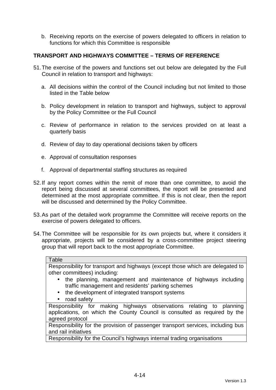b. Receiving reports on the exercise of powers delegated to officers in relation to functions for which this Committee is responsible

#### **TRANSPORT AND HIGHWAYS COMMITTEE – TERMS OF REFERENCE**

- 51. The exercise of the powers and functions set out below are delegated by the Full Council in relation to transport and highways:
	- a. All decisions within the control of the Council including but not limited to those listed in the Table below
	- b. Policy development in relation to transport and highways, subject to approval by the Policy Committee or the Full Council
	- c. Review of performance in relation to the services provided on at least a quarterly basis
	- d. Review of day to day operational decisions taken by officers
	- e. Approval of consultation responses
	- f. Approval of departmental staffing structures as required
- 52. If any report comes within the remit of more than one committee, to avoid the report being discussed at several committees, the report will be presented and determined at the most appropriate committee. If this is not clear, then the report will be discussed and determined by the Policy Committee.
- 53. As part of the detailed work programme the Committee will receive reports on the exercise of powers delegated to officers.
- 54. The Committee will be responsible for its own projects but, where it considers it appropriate, projects will be considered by a cross-committee project steering group that will report back to the most appropriate Committee.

#### **Table**

Responsibility for transport and highways (except those which are delegated to other committees) including:

- the planning, management and maintenance of highways including traffic management and residents' parking schemes
- the development of integrated transport systems
- road safety

Responsibility for making highways observations relating to planning applications, on which the County Council is consulted as required by the agreed protocol

Responsibility for the provision of passenger transport services, including bus and rail initiatives

Responsibility for the Council's highways internal trading organisations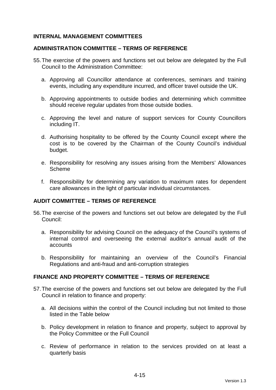#### **INTERNAL MANAGEMENT COMMITTEES**

#### **ADMINISTRATION COMMITTEE – TERMS OF REFERENCE**

- 55. The exercise of the powers and functions set out below are delegated by the Full Council to the Administration Committee:
	- a. Approving all Councillor attendance at conferences, seminars and training events, including any expenditure incurred, and officer travel outside the UK.
	- b. Approving appointments to outside bodies and determining which committee should receive regular updates from those outside bodies.
	- c. Approving the level and nature of support services for County Councillors including IT.
	- d. Authorising hospitality to be offered by the County Council except where the cost is to be covered by the Chairman of the County Council's individual budget.
	- e. Responsibility for resolving any issues arising from the Members' Allowances Scheme
	- f. Responsibility for determining any variation to maximum rates for dependent care allowances in the light of particular individual circumstances.

#### **AUDIT COMMITTEE – TERMS OF REFERENCE**

- 56. The exercise of the powers and functions set out below are delegated by the Full Council:
	- a. Responsibility for advising Council on the adequacy of the Council's systems of internal control and overseeing the external auditor's annual audit of the accounts
	- b. Responsibility for maintaining an overview of the Council's Financial Regulations and anti-fraud and anti-corruption strategies

#### **FINANCE AND PROPERTY COMMITTEE – TERMS OF REFERENCE**

- 57. The exercise of the powers and functions set out below are delegated by the Full Council in relation to finance and property:
	- a. All decisions within the control of the Council including but not limited to those listed in the Table below
	- b. Policy development in relation to finance and property, subject to approval by the Policy Committee or the Full Council
	- c. Review of performance in relation to the services provided on at least a quarterly basis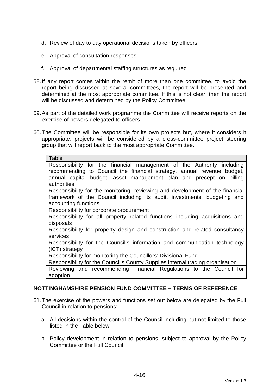- d. Review of day to day operational decisions taken by officers
- e. Approval of consultation responses
- f. Approval of departmental staffing structures as required
- 58. If any report comes within the remit of more than one committee, to avoid the report being discussed at several committees, the report will be presented and determined at the most appropriate committee. If this is not clear, then the report will be discussed and determined by the Policy Committee.
- 59. As part of the detailed work programme the Committee will receive reports on the exercise of powers delegated to officers.
- 60. The Committee will be responsible for its own projects but, where it considers it appropriate, projects will be considered by a cross-committee project steering group that will report back to the most appropriate Committee.

| Table                                                                          |
|--------------------------------------------------------------------------------|
|                                                                                |
| Responsibility for the financial management of the Authority including         |
| recommending to Council the financial strategy, annual revenue budget,         |
| annual capital budget, asset management plan and precept on billing            |
| authorities                                                                    |
| Responsibility for the monitoring, reviewing and development of the financial  |
| framework of the Council including its audit, investments, budgeting and       |
| accounting functions                                                           |
| Responsibility for corporate procurement                                       |
| Responsibility for all property related functions including acquisitions and   |
| disposals                                                                      |
| Responsibility for property design and construction and related consultancy    |
| services                                                                       |
| Responsibility for the Council's information and communication technology      |
| (ICT) strategy                                                                 |
| Responsibility for monitoring the Councillors' Divisional Fund                 |
| Responsibility for the Council's County Supplies internal trading organisation |
| Reviewing and recommending Financial Regulations to the Council for            |
| adoption                                                                       |

#### **NOTTINGHAMSHIRE PENSION FUND COMMITTEE – TERMS OF REFERENCE**

- 61. The exercise of the powers and functions set out below are delegated by the Full Council in relation to pensions:
	- a. All decisions within the control of the Council including but not limited to those listed in the Table below
	- b. Policy development in relation to pensions, subject to approval by the Policy Committee or the Full Council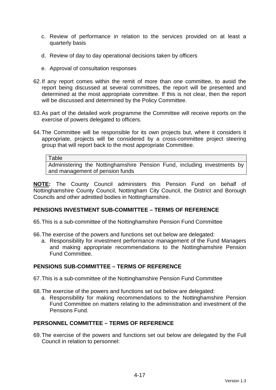- c. Review of performance in relation to the services provided on at least a quarterly basis
- d. Review of day to day operational decisions taken by officers
- e. Approval of consultation responses
- 62. If any report comes within the remit of more than one committee, to avoid the report being discussed at several committees, the report will be presented and determined at the most appropriate committee. If this is not clear, then the report will be discussed and determined by the Policy Committee.
- 63. As part of the detailed work programme the Committee will receive reports on the exercise of powers delegated to officers.
- 64. The Committee will be responsible for its own projects but, where it considers it appropriate, projects will be considered by a cross-committee project steering group that will report back to the most appropriate Committee.

```
Table
```
Administering the Nottinghamshire Pension Fund, including investments by and management of pension funds

**NOTE:** The County Council administers this Pension Fund on behalf of Nottinghamshire County Council, Nottingham City Council, the District and Borough Councils and other admitted bodies in Nottinghamshire.

### **PENSIONS INVESTMENT SUB-COMMITTEE – TERMS OF REFERENCE**

65. This is a sub-committee of the Nottinghamshire Pension Fund Committee

66. The exercise of the powers and functions set out below are delegated:

a. Responsibility for investment performance management of the Fund Managers and making appropriate recommendations to the Nottinghamshire Pension Fund Committee.

### **PENSIONS SUB-COMMITTEE – TERMS OF REFERENCE**

67. This is a sub-committee of the Nottinghamshire Pension Fund Committee

- 68. The exercise of the powers and functions set out below are delegated:
	- a. Responsibility for making recommendations to the Nottinghamshire Pension Fund Committee on matters relating to the administration and investment of the Pensions Fund.

### **PERSONNEL COMMITTEE – TERMS OF REFERENCE**

69. The exercise of the powers and functions set out below are delegated by the Full Council in relation to personnel: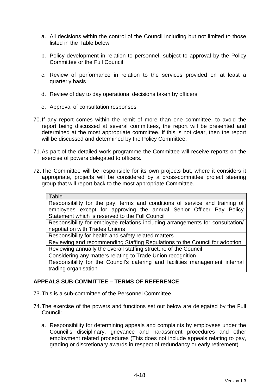- a. All decisions within the control of the Council including but not limited to those listed in the Table below
- b. Policy development in relation to personnel, subject to approval by the Policy Committee or the Full Council
- c. Review of performance in relation to the services provided on at least a quarterly basis
- d. Review of day to day operational decisions taken by officers
- e. Approval of consultation responses
- 70. If any report comes within the remit of more than one committee, to avoid the report being discussed at several committees, the report will be presented and determined at the most appropriate committee. If this is not clear, then the report will be discussed and determined by the Policy Committee.
- 71. As part of the detailed work programme the Committee will receive reports on the exercise of powers delegated to officers.
- 72. The Committee will be responsible for its own projects but, where it considers it appropriate, projects will be considered by a cross-committee project steering group that will report back to the most appropriate Committee.

| Table                                                                          |
|--------------------------------------------------------------------------------|
| Responsibility for the pay, terms and conditions of service and training of    |
| employees except for approving the annual Senior Officer Pay Policy            |
| Statement which is reserved to the Full Council                                |
| Responsibility for employee relations including arrangements for consultation/ |
| negotiation with Trades Unions                                                 |
| Responsibility for health and safety related matters                           |
| Reviewing and recommending Staffing Regulations to the Council for adoption    |
| Reviewing annually the overall staffing structure of the Council               |
| Considering any matters relating to Trade Union recognition                    |
| Responsibility for the Council's catering and facilities management internal   |
| trading organisation                                                           |

### **APPEALS SUB-COMMITTEE – TERMS OF REFERENCE**

- 73. This is a sub-committee of the Personnel Committee
- 74. The exercise of the powers and functions set out below are delegated by the Full Council:
	- a. Responsibility for determining appeals and complaints by employees under the Council's disciplinary, grievance and harassment procedures and other employment related procedures (This does not include appeals relating to pay, grading or discretionary awards in respect of redundancy or early retirement)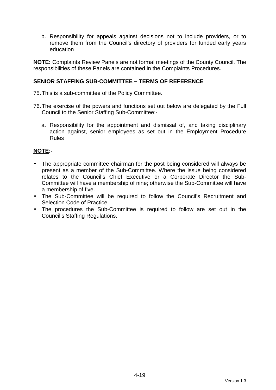b. Responsibility for appeals against decisions not to include providers, or to remove them from the Council's directory of providers for funded early years education

**NOTE:** Complaints Review Panels are not formal meetings of the County Council. The responsibilities of these Panels are contained in the Complaints Procedures.

### **SENIOR STAFFING SUB-COMMITTEE – TERMS OF REFERENCE**

75. This is a sub-committee of the Policy Committee.

- 76. The exercise of the powers and functions set out below are delegated by the Full Council to the Senior Staffing Sub-Committee:
	- a. Responsibility for the appointment and dismissal of, and taking disciplinary action against, senior employees as set out in the Employment Procedure Rules

### **NOTE:-**

- The appropriate committee chairman for the post being considered will always be present as a member of the Sub-Committee. Where the issue being considered relates to the Council's Chief Executive or a Corporate Director the Sub-Committee will have a membership of nine; otherwise the Sub-Committee will have a membership of five.
- The Sub-Committee will be required to follow the Council's Recruitment and Selection Code of Practice.
- The procedures the Sub-Committee is required to follow are set out in the Council's Staffing Regulations.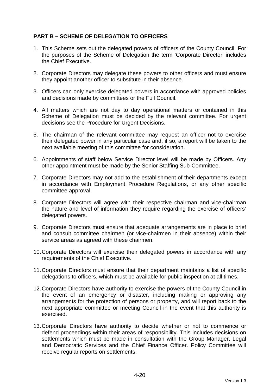# **PART B – SCHEME OF DELEGATION TO OFFICERS**

- 1. This Scheme sets out the delegated powers of officers of the County Council. For the purposes of the Scheme of Delegation the term 'Corporate Director' includes the Chief Executive.
- 2. Corporate Directors may delegate these powers to other officers and must ensure they appoint another officer to substitute in their absence.
- 3. Officers can only exercise delegated powers in accordance with approved policies and decisions made by committees or the Full Council.
- 4. All matters which are not day to day operational matters or contained in this Scheme of Delegation must be decided by the relevant committee. For urgent decisions see the Procedure for Urgent Decisions.
- 5. The chairman of the relevant committee may request an officer not to exercise their delegated power in any particular case and, if so, a report will be taken to the next available meeting of this committee for consideration.
- 6. Appointments of staff below Service Director level will be made by Officers. Any other appointment must be made by the Senior Staffing Sub-Committee.
- 7. Corporate Directors may not add to the establishment of their departments except in accordance with Employment Procedure Regulations, or any other specific committee approval.
- 8. Corporate Directors will agree with their respective chairman and vice-chairman the nature and level of information they require regarding the exercise of officers' delegated powers.
- 9. Corporate Directors must ensure that adequate arrangements are in place to brief and consult committee chairmen (or vice-chairmen in their absence) within their service areas as agreed with these chairmen.
- 10. Corporate Directors will exercise their delegated powers in accordance with any requirements of the Chief Executive.
- 11. Corporate Directors must ensure that their department maintains a list of specific delegations to officers, which must be available for public inspection at all times.
- 12. Corporate Directors have authority to exercise the powers of the County Council in the event of an emergency or disaster, including making or approving any arrangements for the protection of persons or property, and will report back to the next appropriate committee or meeting Council in the event that this authority is exercised.
- 13. Corporate Directors have authority to decide whether or not to commence or defend proceedings within their areas of responsibility. This includes decisions on settlements which must be made in consultation with the Group Manager, Legal and Democratic Services and the Chief Finance Officer. Policy Committee will receive regular reports on settlements.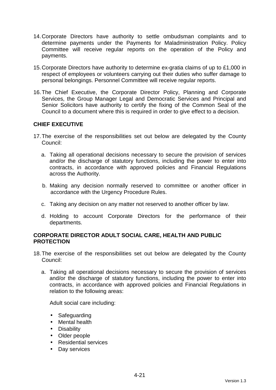- 14. Corporate Directors have authority to settle ombudsman complaints and to determine payments under the Payments for Maladministration Policy. Policy Committee will receive regular reports on the operation of the Policy and payments.
- 15. Corporate Directors have authority to determine ex-gratia claims of up to £1,000 in respect of employees or volunteers carrying out their duties who suffer damage to personal belongings. Personnel Committee will receive regular reports.
- 16. The Chief Executive, the Corporate Director Policy, Planning and Corporate Services, the Group Manager Legal and Democratic Services and Principal and Senior Solicitors have authority to certify the fixing of the Common Seal of the Council to a document where this is required in order to give effect to a decision.

# **CHIEF EXECUTIVE**

- 17. The exercise of the responsibilities set out below are delegated by the County Council:
	- a. Taking all operational decisions necessary to secure the provision of services and/or the discharge of statutory functions, including the power to enter into contracts, in accordance with approved policies and Financial Regulations across the Authority.
	- b. Making any decision normally reserved to committee or another officer in accordance with the Urgency Procedure Rules.
	- c. Taking any decision on any matter not reserved to another officer by law.
	- d. Holding to account Corporate Directors for the performance of their departments.

### **CORPORATE DIRECTOR ADULT SOCIAL CARE, HEALTH AND PUBLIC PROTECTION**

- 18. The exercise of the responsibilities set out below are delegated by the County Council:
	- a. Taking all operational decisions necessary to secure the provision of services and/or the discharge of statutory functions, including the power to enter into contracts, in accordance with approved policies and Financial Regulations in relation to the following areas:

Adult social care including:

- Safeguarding
- Mental health
- Disability
- Older people
- Residential services
- Day services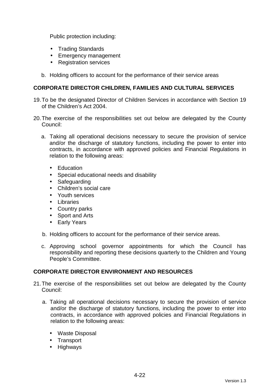Public protection including:

- Trading Standards
- Emergency management
- Registration services
- b. Holding officers to account for the performance of their service areas

### **CORPORATE DIRECTOR CHILDREN, FAMILIES AND CULTURAL SERVICES**

- 19. To be the designated Director of Children Services in accordance with Section 19 of the Children's Act 2004.
- 20. The exercise of the responsibilities set out below are delegated by the County Council:
	- a. Taking all operational decisions necessary to secure the provision of service and/or the discharge of statutory functions, including the power to enter into contracts, in accordance with approved policies and Financial Regulations in relation to the following areas:
		- Education
		- Special educational needs and disability
		- Safeguarding
		- Children's social care
		- Youth services
		- Libraries
		- Country parks
		- Sport and Arts
		- Early Years
	- b. Holding officers to account for the performance of their service areas.
	- c. Approving school governor appointments for which the Council has responsibility and reporting these decisions quarterly to the Children and Young People's Committee.

### **CORPORATE DIRECTOR ENVIRONMENT AND RESOURCES**

- 21. The exercise of the responsibilities set out below are delegated by the County Council:
	- a. Taking all operational decisions necessary to secure the provision of service and/or the discharge of statutory functions, including the power to enter into contracts, in accordance with approved policies and Financial Regulations in relation to the following areas:
		- Waste Disposal
		- Transport
		- Highways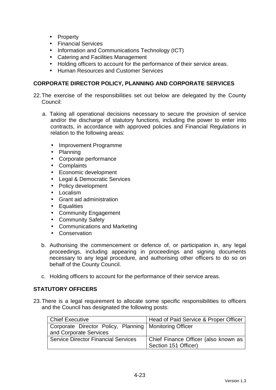- Property
- Financial Services
- Information and Communications Technology (ICT)
- Catering and Facilities Management
- Holding officers to account for the performance of their service areas.
- Human Resources and Customer Services

### **CORPORATE DIRECTOR POLICY, PLANNING AND CORPORATE SERVICES**

- 22. The exercise of the responsibilities set out below are delegated by the County Council:
	- a. Taking all operational decisions necessary to secure the provision of service and/or the discharge of statutory functions, including the power to enter into contracts, in accordance with approved policies and Financial Regulations in relation to the following areas:
		- Improvement Programme
		- Planning
		- Corporate performance
		- Complaints
		- Economic development
		- Legal & Democratic Services
		- Policy development
		- Localism
		- Grant aid administration
		- Equalities
		- Community Engagement
		- Community Safety
		- Communications and Marketing
		- Conservation
	- b. Authorising the commencement or defence of, or participation in, any legal proceedings, including appearing in proceedings and signing documents necessary to any legal procedure, and authorising other officers to do so on behalf of the County Council.
	- c. Holding officers to account for the performance of their service areas.

### **STATUTORY OFFICERS**

23. There is a legal requirement to allocate some specific responsibilities to officers and the Council has designated the following posts:

| Chief Executive                                          | Head of Paid Service & Proper Officer |
|----------------------------------------------------------|---------------------------------------|
| Corporate Director Policy, Planning   Monitoring Officer |                                       |
| and Corporate Services                                   |                                       |
| <b>Service Director Financial Services</b>               | Chief Finance Officer (also known as  |
|                                                          | Section 151 Officer)                  |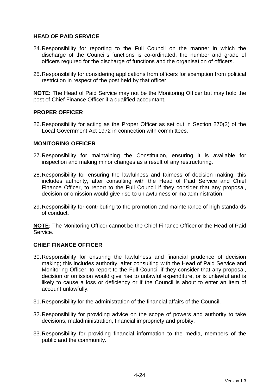## **HEAD OF PAID SERVICE**

- 24. Responsibility for reporting to the Full Council on the manner in which the discharge of the Council's functions is co-ordinated, the number and grade of officers required for the discharge of functions and the organisation of officers.
- 25. Responsibility for considering applications from officers for exemption from political restriction in respect of the post held by that officer.

**NOTE:** The Head of Paid Service may not be the Monitoring Officer but may hold the post of Chief Finance Officer if a qualified accountant.

### **PROPER OFFICER**

26. Responsibility for acting as the Proper Officer as set out in Section 270(3) of the Local Government Act 1972 in connection with committees.

#### **MONITORING OFFICER**

- 27. Responsibility for maintaining the Constitution, ensuring it is available for inspection and making minor changes as a result of any restructuring.
- 28. Responsibility for ensuring the lawfulness and fairness of decision making; this includes authority, after consulting with the Head of Paid Service and Chief Finance Officer, to report to the Full Council if they consider that any proposal, decision or omission would give rise to unlawfulness or maladministration.
- 29. Responsibility for contributing to the promotion and maintenance of high standards of conduct.

**NOTE:** The Monitoring Officer cannot be the Chief Finance Officer or the Head of Paid Service.

#### **CHIEF FINANCE OFFICER**

- 30. Responsibility for ensuring the lawfulness and financial prudence of decision making; this includes authority, after consulting with the Head of Paid Service and Monitoring Officer, to report to the Full Council if they consider that any proposal, decision or omission would give rise to unlawful expenditure, or is unlawful and is likely to cause a loss or deficiency or if the Council is about to enter an item of account unlawfully.
- 31. Responsibility for the administration of the financial affairs of the Council.
- 32. Responsibility for providing advice on the scope of powers and authority to take decisions, maladministration, financial impropriety and probity.
- 33. Responsibility for providing financial information to the media, members of the public and the community.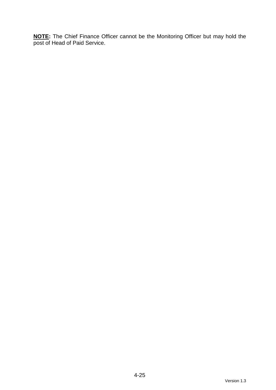**NOTE:** The Chief Finance Officer cannot be the Monitoring Officer but may hold the post of Head of Paid Service.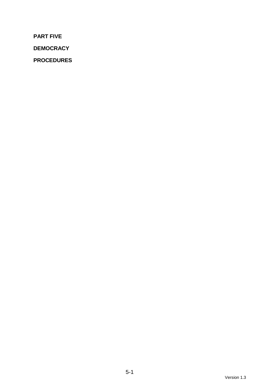**PART FIVE** 

**DEMOCRACY** 

**PROCEDURES**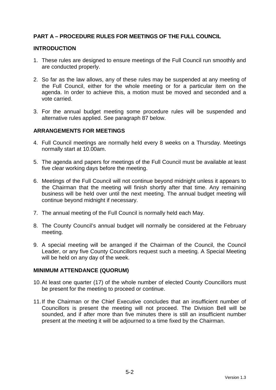# **PART A – PROCEDURE RULES FOR MEETINGS OF THE FULL COUNCIL**

#### **INTRODUCTION**

- 1. These rules are designed to ensure meetings of the Full Council run smoothly and are conducted properly.
- 2. So far as the law allows, any of these rules may be suspended at any meeting of the Full Council, either for the whole meeting or for a particular item on the agenda. In order to achieve this, a motion must be moved and seconded and a vote carried.
- 3. For the annual budget meeting some procedure rules will be suspended and alternative rules applied. See paragraph 87 below.

### **ARRANGEMENTS FOR MEETINGS**

- 4. Full Council meetings are normally held every 8 weeks on a Thursday. Meetings normally start at 10.00am.
- 5. The agenda and papers for meetings of the Full Council must be available at least five clear working days before the meeting.
- 6. Meetings of the Full Council will not continue beyond midnight unless it appears to the Chairman that the meeting will finish shortly after that time. Any remaining business will be held over until the next meeting. The annual budget meeting will continue beyond midnight if necessary.
- 7. The annual meeting of the Full Council is normally held each May.
- 8. The County Council's annual budget will normally be considered at the February meeting.
- 9. A special meeting will be arranged if the Chairman of the Council, the Council Leader, or any five County Councillors request such a meeting. A Special Meeting will be held on any day of the week.

#### **MINIMUM ATTENDANCE (QUORUM)**

- 10. At least one quarter (17) of the whole number of elected County Councillors must be present for the meeting to proceed or continue.
- 11. If the Chairman or the Chief Executive concludes that an insufficient number of Councillors is present the meeting will not proceed. The Division Bell will be sounded, and if after more than five minutes there is still an insufficient number present at the meeting it will be adjourned to a time fixed by the Chairman.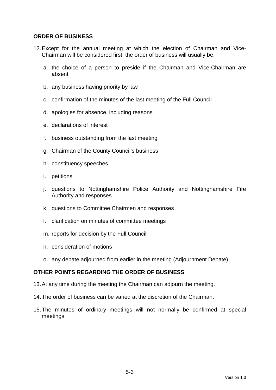### **ORDER OF BUSINESS**

- 12. Except for the annual meeting at which the election of Chairman and Vice-Chairman will be considered first, the order of business will usually be:
	- a. the choice of a person to preside if the Chairman and Vice-Chairman are absent
	- b. any business having priority by law
	- c. confirmation of the minutes of the last meeting of the Full Council
	- d. apologies for absence, including reasons
	- e. declarations of interest
	- f. business outstanding from the last meeting
	- g. Chairman of the County Council's business
	- h. constituency speeches
	- i. petitions
	- j. questions to Nottinghamshire Police Authority and Nottinghamshire Fire Authority and responses
	- k. questions to Committee Chairmen and responses
	- l. clarification on minutes of committee meetings
	- m. reports for decision by the Full Council
	- n. consideration of motions
	- o. any debate adjourned from earlier in the meeting (Adjournment Debate)

## **OTHER POINTS REGARDING THE ORDER OF BUSINESS**

- 13. At any time during the meeting the Chairman can adjourn the meeting.
- 14. The order of business can be varied at the discretion of the Chairman.
- 15. The minutes of ordinary meetings will not normally be confirmed at special meetings.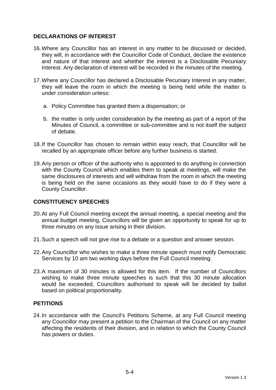# **DECLARATIONS OF INTEREST**

- 16. Where any Councillor has an interest in any matter to be discussed or decided, they will, in accordance with the Councillor Code of Conduct, declare the existence and nature of that interest and whether the interest is a Disclosable Pecuniary Interest. Any declaration of interest will be recorded in the minutes of the meeting.
- 17. Where any Councillor has declared a Disclosable Pecuniary Interest in any matter, they will leave the room in which the meeting is being held while the matter is under consideration unless:
	- a. Policy Committee has granted them a dispensation; or
	- b. the matter is only under consideration by the meeting as part of a report of the Minutes of Council, a committee or sub-committee and is not itself the subject of debate.
- 18. If the Councillor has chosen to remain within easy reach, that Councillor will be recalled by an appropriate officer before any further business is started.
- 19. Any person or officer of the authority who is appointed to do anything in connection with the County Council which enables them to speak at meetings, will make the same disclosures of interests and will withdraw from the room in which the meeting is being held on the same occasions as they would have to do if they were a County Councillor.

# **CONSTITUENCY SPEECHES**

- 20. At any Full Council meeting except the annual meeting, a special meeting and the annual budget meeting, Councillors will be given an opportunity to speak for up to three minutes on any issue arising in their division.
- 21. Such a speech will not give rise to a debate or a question and answer session.
- 22. Any Councillor who wishes to make a three minute speech must notify Democratic Services by 10 am two working days before the Full Council meeting.
- 23. A maximum of 30 minutes is allowed for this item. If the number of Councillors wishing to make three minute speeches is such that this 30 minute allocation would be exceeded, Councillors authorised to speak will be decided by ballot based on political proportionality.

### **PETITIONS**

24. In accordance with the Council's Petitions Scheme, at any Full Council meeting any Councillor may present a petition to the Chairman of the Council on any matter affecting the residents of their division, and in relation to which the County Council has powers or duties.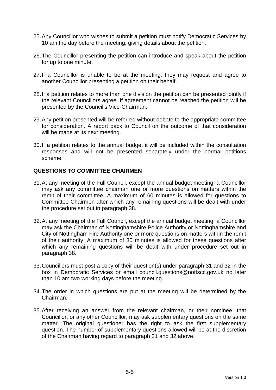- 25. Any Councillor who wishes to submit a petition must notify Democratic Services by 10 am the day before the meeting, giving details about the petition.
- 26. The Councillor presenting the petition can introduce and speak about the petition for up to one minute.
- 27. If a Councillor is unable to be at the meeting, they may request and agree to another Councillor presenting a petition on their behalf.
- 28. If a petition relates to more than one division the petition can be presented jointly if the relevant Councillors agree. If agreement cannot be reached the petition will be presented by the Council's Vice-Chairman.
- 29. Any petition presented will be referred without debate to the appropriate committee for consideration. A report back to Council on the outcome of that consideration will be made at its next meeting.
- 30. If a petition relates to the annual budget it will be included within the consultation responses and will not be presented separately under the normal petitions scheme.

### **QUESTIONS TO COMMITTEE CHAIRMEN**

- 31. At any meeting of the Full Council, except the annual budget meeting, a Councillor may ask any committee chairman one or more questions on matters within the remit of their committee. A maximum of 60 minutes is allowed for questions to Committee Chairmen after which any remaining questions will be dealt with under the procedure set out in paragraph 38.
- 32. At any meeting of the Full Council, except the annual budget meeting, a Councillor may ask the Chairman of Nottinghamshire Police Authority or Nottinghamshire and City of Nottingham Fire Authority one or more questions on matters within the remit of their authority. A maximum of 30 minutes is allowed for these questions after which any remaining questions will be dealt with under procedure set out in paragraph 38.
- 33. Councillors must post a copy of their question(s) under paragraph 31 and 32 in the box in Democratic Services or email council.questions@nottscc.gov.uk no later than 10 am two working days before the meeting.
- 34. The order in which questions are put at the meeting will be determined by the Chairman.
- 35. After receiving an answer from the relevant chairman, or their nominee, that Councillor, or any other Councillor, may ask supplementary questions on the same matter. The original questioner has the right to ask the first supplementary question. The number of supplementary questions allowed will be at the discretion of the Chairman having regard to paragraph 31 and 32 above.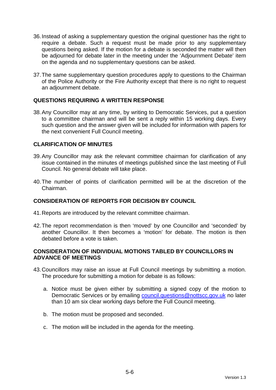- 36. Instead of asking a supplementary question the original questioner has the right to require a debate. Such a request must be made prior to any supplementary questions being asked. If the motion for a debate is seconded the matter will then be adjourned for debate later in the meeting under the 'Adjournment Debate' item on the agenda and no supplementary questions can be asked.
- 37. The same supplementary question procedures apply to questions to the Chairman of the Police Authority or the Fire Authority except that there is no right to request an adjournment debate.

## **QUESTIONS REQUIRING A WRITTEN RESPONSE**

38. Any Councillor may at any time, by writing to Democratic Services, put a question to a committee chairman and will be sent a reply within 15 working days. Every such question and the answer given will be included for information with papers for the next convenient Full Council meeting.

## **CLARIFICATION OF MINUTES**

- 39. Any Councillor may ask the relevant committee chairman for clarification of any issue contained in the minutes of meetings published since the last meeting of Full Council. No general debate will take place.
- 40. The number of points of clarification permitted will be at the discretion of the Chairman.

### **CONSIDERATION OF REPORTS FOR DECISION BY COUNCIL**

- 41. Reports are introduced by the relevant committee chairman.
- 42. The report recommendation is then 'moved' by one Councillor and 'seconded' by another Councillor. It then becomes a 'motion' for debate. The motion is then debated before a vote is taken.

### **CONSIDERATION OF INDIVIDUAL MOTIONS TABLED BY COUNCILLORS IN ADVANCE OF MEETINGS**

- 43. Councillors may raise an issue at Full Council meetings by submitting a motion. The procedure for submitting a motion for debate is as follows:
	- a. Notice must be given either by submitting a signed copy of the motion to Democratic Services or by emailing council.questions@nottscc.gov.uk no later than 10 am six clear working days before the Full Council meeting.
	- b. The motion must be proposed and seconded.
	- c. The motion will be included in the agenda for the meeting.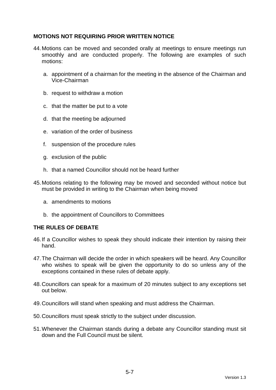# **MOTIONS NOT REQUIRING PRIOR WRITTEN NOTICE**

- 44. Motions can be moved and seconded orally at meetings to ensure meetings run smoothly and are conducted properly. The following are examples of such motions:
	- a. appointment of a chairman for the meeting in the absence of the Chairman and Vice-Chairman
	- b. request to withdraw a motion
	- c. that the matter be put to a vote
	- d. that the meeting be adjourned
	- e. variation of the order of business
	- f. suspension of the procedure rules
	- g. exclusion of the public
	- h. that a named Councillor should not be heard further
- 45. Motions relating to the following may be moved and seconded without notice but must be provided in writing to the Chairman when being moved
	- a. amendments to motions
	- b. the appointment of Councillors to Committees

### **THE RULES OF DEBATE**

- 46. If a Councillor wishes to speak they should indicate their intention by raising their hand.
- 47. The Chairman will decide the order in which speakers will be heard. Any Councillor who wishes to speak will be given the opportunity to do so unless any of the exceptions contained in these rules of debate apply.
- 48. Councillors can speak for a maximum of 20 minutes subject to any exceptions set out below.
- 49. Councillors will stand when speaking and must address the Chairman.
- 50. Councillors must speak strictly to the subject under discussion.
- 51. Whenever the Chairman stands during a debate any Councillor standing must sit down and the Full Council must be silent.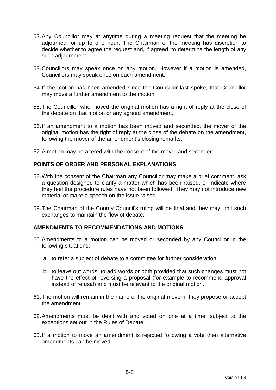- 52. Any Councillor may at anytime during a meeting request that the meeting be adjourned for up to one hour. The Chairman of the meeting has discretion to decide whether to agree the request and, if agreed, to determine the length of any such adjournment
- 53. Councillors may speak once on any motion. However if a motion is amended, Councillors may speak once on each amendment.
- 54. If the motion has been amended since the Councillor last spoke, that Councillor may move a further amendment to the motion.
- 55. The Councillor who moved the original motion has a right of reply at the close of the debate on that motion or any agreed amendment.
- 56. If an amendment to a motion has been moved and seconded, the mover of the original motion has the right of reply at the close of the debate on the amendment, following the mover of the amendment's closing remarks.
- 57. A motion may be altered with the consent of the mover and seconder.

## **POINTS OF ORDER AND PERSONAL EXPLANATIONS**

- 58. With the consent of the Chairman any Councillor may make a brief comment, ask a question designed to clarify a matter which has been raised, or indicate where they feel the procedure rules have not been followed. They may not introduce new material or make a speech on the issue raised.
- 59. The Chairman of the County Council's ruling will be final and they may limit such exchanges to maintain the flow of debate.

### **AMENDMENTS TO RECOMMENDATIONS AND MOTIONS**

- 60. Amendments to a motion can be moved or seconded by any Councillor in the following situations:
	- a. to refer a subject of debate to a committee for further consideration
	- b. to leave out words, to add words or both provided that such changes must not have the effect of reversing a proposal (for example to recommend approval instead of refusal) and must be relevant to the original motion.
- 61. The motion will remain in the name of the original mover if they propose or accept the amendment.
- 62. Amendments must be dealt with and voted on one at a time, subject to the exceptions set out in the Rules of Debate.
- 63. If a motion to move an amendment is rejected following a vote then alternative amendments can be moved.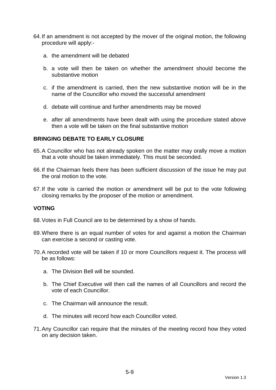- 64. If an amendment is not accepted by the mover of the original motion, the following procedure will apply:
	- a. the amendment will be debated
	- b. a vote will then be taken on whether the amendment should become the substantive motion
	- c. if the amendment is carried, then the new substantive motion will be in the name of the Councillor who moved the successful amendment
	- d. debate will continue and further amendments may be moved
	- e. after all amendments have been dealt with using the procedure stated above then a vote will be taken on the final substantive motion

### **BRINGING DEBATE TO EARLY CLOSURE**

- 65. A Councillor who has not already spoken on the matter may orally move a motion that a vote should be taken immediately. This must be seconded.
- 66. If the Chairman feels there has been sufficient discussion of the issue he may put the oral motion to the vote.
- 67. If the vote is carried the motion or amendment will be put to the vote following closing remarks by the proposer of the motion or amendment.

### **VOTING**

- 68. Votes in Full Council are to be determined by a show of hands.
- 69. Where there is an equal number of votes for and against a motion the Chairman can exercise a second or casting vote.
- 70. A recorded vote will be taken if 10 or more Councillors request it. The process will be as follows:
	- a. The Division Bell will be sounded.
	- b. The Chief Executive will then call the names of all Councillors and record the vote of each Councillor.
	- c. The Chairman will announce the result.
	- d. The minutes will record how each Councillor voted.
- 71. Any Councillor can require that the minutes of the meeting record how they voted on any decision taken.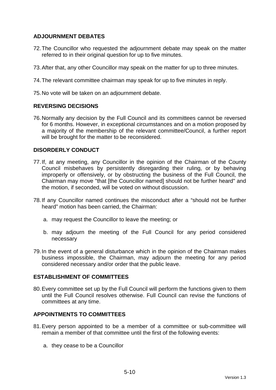## **ADJOURNMENT DEBATES**

- 72. The Councillor who requested the adjournment debate may speak on the matter referred to in their original question for up to five minutes.
- 73. After that, any other Councillor may speak on the matter for up to three minutes.
- 74. The relevant committee chairman may speak for up to five minutes in reply.
- 75. No vote will be taken on an adjournment debate.

#### **REVERSING DECISIONS**

76. Normally any decision by the Full Council and its committees cannot be reversed for 6 months. However, in exceptional circumstances and on a motion proposed by a majority of the membership of the relevant committee/Council, a further report will be brought for the matter to be reconsidered.

#### **DISORDERLY CONDUCT**

- 77. If, at any meeting, any Councillor in the opinion of the Chairman of the County Council misbehaves by persistently disregarding their ruling, or by behaving improperly or offensively, or by obstructing the business of the Full Council, the Chairman may move "that [the Councillor named] should not be further heard" and the motion, if seconded, will be voted on without discussion.
- 78. If any Councillor named continues the misconduct after a "should not be further heard" motion has been carried, the Chairman:
	- a. may request the Councillor to leave the meeting; or
	- b. may adjourn the meeting of the Full Council for any period considered necessary
- 79. In the event of a general disturbance which in the opinion of the Chairman makes business impossible, the Chairman, may adjourn the meeting for any period considered necessary and/or order that the public leave.

#### **ESTABLISHMENT OF COMMITTEES**

80. Every committee set up by the Full Council will perform the functions given to them until the Full Council resolves otherwise. Full Council can revise the functions of committees at any time.

## **APPOINTMENTS TO COMMITTEES**

- 81. Every person appointed to be a member of a committee or sub-committee will remain a member of that committee until the first of the following events:
	- a. they cease to be a Councillor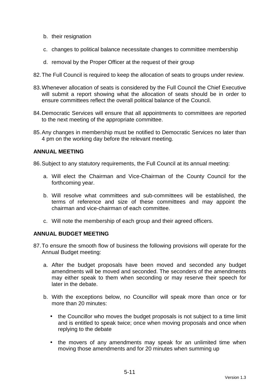- b. their resignation
- c. changes to political balance necessitate changes to committee membership
- d. removal by the Proper Officer at the request of their group
- 82. The Full Council is required to keep the allocation of seats to groups under review.
- 83. Whenever allocation of seats is considered by the Full Council the Chief Executive will submit a report showing what the allocation of seats should be in order to ensure committees reflect the overall political balance of the Council.
- 84. Democratic Services will ensure that all appointments to committees are reported to the next meeting of the appropriate committee.
- 85. Any changes in membership must be notified to Democratic Services no later than 4 pm on the working day before the relevant meeting.

### **ANNUAL MEETING**

86. Subject to any statutory requirements, the Full Council at its annual meeting:

- a. Will elect the Chairman and Vice-Chairman of the County Council for the forthcoming year.
- b. Will resolve what committees and sub-committees will be established, the terms of reference and size of these committees and may appoint the chairman and vice-chairman of each committee.
- c. Will note the membership of each group and their agreed officers.

### **ANNUAL BUDGET MEETING**

- 87. To ensure the smooth flow of business the following provisions will operate for the Annual Budget meeting:
	- a. After the budget proposals have been moved and seconded any budget amendments will be moved and seconded. The seconders of the amendments may either speak to them when seconding or may reserve their speech for later in the debate.
	- b. With the exceptions below, no Councillor will speak more than once or for more than 20 minutes:
		- the Councillor who moves the budget proposals is not subject to a time limit and is entitled to speak twice; once when moving proposals and once when replying to the debate
		- the movers of any amendments may speak for an unlimited time when moving those amendments and for 20 minutes when summing up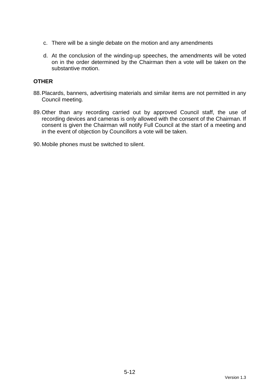- c. There will be a single debate on the motion and any amendments
- d. At the conclusion of the winding-up speeches, the amendments will be voted on in the order determined by the Chairman then a vote will be taken on the substantive motion.

#### **OTHER**

- 88. Placards, banners, advertising materials and similar items are not permitted in any Council meeting.
- 89. Other than any recording carried out by approved Council staff, the use of recording devices and cameras is only allowed with the consent of the Chairman. If consent is given the Chairman will notify Full Council at the start of a meeting and in the event of objection by Councillors a vote will be taken.

90. Mobile phones must be switched to silent.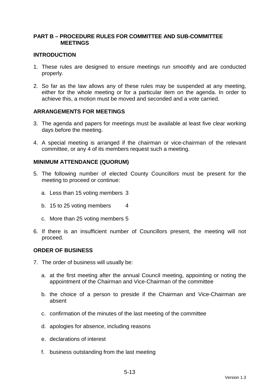### **PART B – PROCEDURE RULES FOR COMMITTEE AND SUB-COMMITTEE MEETINGS**

#### **INTRODUCTION**

- 1. These rules are designed to ensure meetings run smoothly and are conducted properly.
- 2. So far as the law allows any of these rules may be suspended at any meeting, either for the whole meeting or for a particular item on the agenda. In order to achieve this, a motion must be moved and seconded and a vote carried.

### **ARRANGEMENTS FOR MEETINGS**

- 3. The agenda and papers for meetings must be available at least five clear working days before the meeting.
- 4. A special meeting is arranged if the chairman or vice-chairman of the relevant committee, or any 4 of its members request such a meeting.

#### **MINIMUM ATTENDANCE (QUORUM)**

- 5. The following number of elected County Councillors must be present for the meeting to proceed or continue:
	- a. Less than 15 voting members 3
	- b. 15 to 25 voting members 4
	- c. More than 25 voting members 5
- 6. If there is an insufficient number of Councillors present, the meeting will not proceed.

#### **ORDER OF BUSINESS**

- 7. The order of business will usually be:
	- a. at the first meeting after the annual Council meeting, appointing or noting the appointment of the Chairman and Vice-Chairman of the committee
	- b. the choice of a person to preside if the Chairman and Vice-Chairman are absent
	- c. confirmation of the minutes of the last meeting of the committee
	- d. apologies for absence, including reasons
	- e. declarations of interest
	- f. business outstanding from the last meeting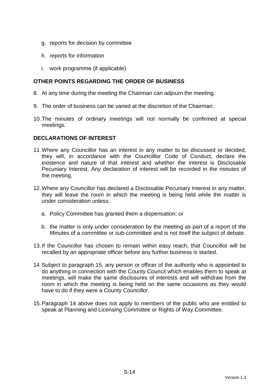- g. reports for decision by committee
- h. reports for information
- i. work programme (if applicable)

# **OTHER POINTS REGARDING THE ORDER OF BUSINESS**

- 8. At any time during the meeting the Chairman can adjourn the meeting.
- 9. The order of business can be varied at the discretion of the Chairman.
- 10. The minutes of ordinary meetings will not normally be confirmed at special meetings.

## **DECLARATIONS OF INTEREST**

- 11. Where any Councillor has an interest in any matter to be discussed or decided, they will, in accordance with the Councilllor Code of Conduct, declare the existence and nature of that interest and whether the interest is Disclosable Pecuniary Interest. Any declaration of interest will be recorded in the minutes of the meeting.
- 12. Where any Councillor has declared a Disclosable Pecuniary Interest in any matter, they will leave the room in which the meeting is being held while the matter is under consideration unless:
	- a. Policy Committee has granted them a dispensation; or
	- b. the matter is only under consideration by the meeting as part of a report of the Minutes of a committee or sub-committee and is not itself the subject of debate.
- 13. If the Councillor has chosen to remain within easy reach, that Councillor will be recalled by an appropriate officer before any further business is started.
- 14. Subject to paragraph 15, any person or officer of the authority who is appointed to do anything in connection with the County Council which enables them to speak at meetings, will make the same disclosures of interests and will withdraw from the room in which the meeting is being held on the same occasions as they would have to do if they were a County Councillor.
- 15. Paragraph 14 above does not apply to members of the public who are entitled to speak at Planning and Licensing Committee or Rights of Way Committee.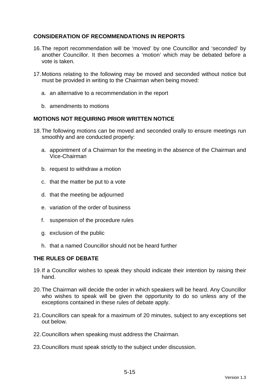# **CONSIDERATION OF RECOMMENDATIONS IN REPORTS**

- 16. The report recommendation will be 'moved' by one Councillor and 'seconded' by another Councillor. It then becomes a 'motion' which may be debated before a vote is taken.
- 17. Motions relating to the following may be moved and seconded without notice but must be provided in writing to the Chairman when being moved:
	- a. an alternative to a recommendation in the report
	- b. amendments to motions

# **MOTIONS NOT REQUIRING PRIOR WRITTEN NOTICE**

- 18. The following motions can be moved and seconded orally to ensure meetings run smoothly and are conducted properly:
	- a. appointment of a Chairman for the meeting in the absence of the Chairman and Vice-Chairman
	- b. request to withdraw a motion
	- c. that the matter be put to a vote
	- d. that the meeting be adjourned
	- e. variation of the order of business
	- f. suspension of the procedure rules
	- g. exclusion of the public
	- h. that a named Councillor should not be heard further

# **THE RULES OF DEBATE**

- 19. If a Councillor wishes to speak they should indicate their intention by raising their hand.
- 20. The Chairman will decide the order in which speakers will be heard. Any Councillor who wishes to speak will be given the opportunity to do so unless any of the exceptions contained in these rules of debate apply.
- 21. Councillors can speak for a maximum of 20 minutes, subject to any exceptions set out below.
- 22. Councillors when speaking must address the Chairman.
- 23. Councillors must speak strictly to the subject under discussion.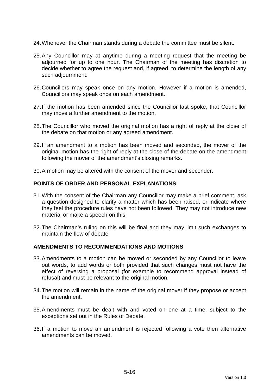- 24. Whenever the Chairman stands during a debate the committee must be silent.
- 25. Any Councillor may at anytime during a meeting request that the meeting be adjourned for up to one hour. The Chairman of the meeting has discretion to decide whether to agree the request and, if agreed, to determine the length of any such adjournment.
- 26. Councillors may speak once on any motion. However if a motion is amended, Councillors may speak once on each amendment.
- 27. If the motion has been amended since the Councillor last spoke, that Councillor may move a further amendment to the motion.
- 28. The Councillor who moved the original motion has a right of reply at the close of the debate on that motion or any agreed amendment.
- 29. If an amendment to a motion has been moved and seconded, the mover of the original motion has the right of reply at the close of the debate on the amendment following the mover of the amendment's closing remarks.
- 30. A motion may be altered with the consent of the mover and seconder.

#### **POINTS OF ORDER AND PERSONAL EXPLANATIONS**

- 31. With the consent of the Chairman any Councillor may make a brief comment, ask a question designed to clarify a matter which has been raised, or indicate where they feel the procedure rules have not been followed. They may not introduce new material or make a speech on this.
- 32. The Chairman's ruling on this will be final and they may limit such exchanges to maintain the flow of debate.

#### **AMENDMENTS TO RECOMMENDATIONS AND MOTIONS**

- 33. Amendments to a motion can be moved or seconded by any Councillor to leave out words, to add words or both provided that such changes must not have the effect of reversing a proposal (for example to recommend approval instead of refusal) and must be relevant to the original motion.
- 34. The motion will remain in the name of the original mover if they propose or accept the amendment.
- 35. Amendments must be dealt with and voted on one at a time, subject to the exceptions set out in the Rules of Debate.
- 36. If a motion to move an amendment is rejected following a vote then alternative amendments can be moved.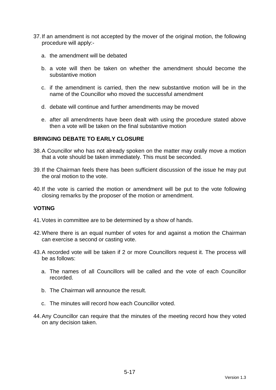- 37. If an amendment is not accepted by the mover of the original motion, the following procedure will apply:
	- a. the amendment will be debated
	- b. a vote will then be taken on whether the amendment should become the substantive motion
	- c. if the amendment is carried, then the new substantive motion will be in the name of the Councillor who moved the successful amendment
	- d. debate will continue and further amendments may be moved
	- e. after all amendments have been dealt with using the procedure stated above then a vote will be taken on the final substantive motion

### **BRINGING DEBATE TO EARLY CLOSURE**

- 38. A Councillor who has not already spoken on the matter may orally move a motion that a vote should be taken immediately. This must be seconded.
- 39. If the Chairman feels there has been sufficient discussion of the issue he may put the oral motion to the vote.
- 40. If the vote is carried the motion or amendment will be put to the vote following closing remarks by the proposer of the motion or amendment.

### **VOTING**

- 41. Votes in committee are to be determined by a show of hands.
- 42. Where there is an equal number of votes for and against a motion the Chairman can exercise a second or casting vote.
- 43. A recorded vote will be taken if 2 or more Councillors request it. The process will be as follows:
	- a. The names of all Councillors will be called and the vote of each Councillor recorded.
	- b. The Chairman will announce the result.
	- c. The minutes will record how each Councillor voted.
- 44. Any Councillor can require that the minutes of the meeting record how they voted on any decision taken.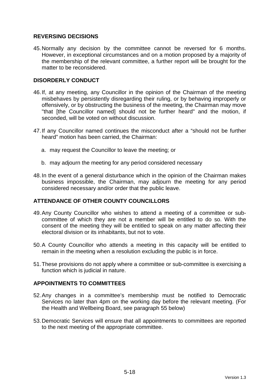## **REVERSING DECISIONS**

45. Normally any decision by the committee cannot be reversed for 6 months. However, in exceptional circumstances and on a motion proposed by a majority of the membership of the relevant committee, a further report will be brought for the matter to be reconsidered.

## **DISORDERLY CONDUCT**

- 46. If, at any meeting, any Councillor in the opinion of the Chairman of the meeting misbehaves by persistently disregarding their ruling, or by behaving improperly or offensively, or by obstructing the business of the meeting, the Chairman may move "that [the Councillor named] should not be further heard" and the motion, if seconded, will be voted on without discussion.
- 47. If any Councillor named continues the misconduct after a "should not be further heard" motion has been carried, the Chairman:
	- a. may request the Councillor to leave the meeting; or
	- b. may adjourn the meeting for any period considered necessary
- 48. In the event of a general disturbance which in the opinion of the Chairman makes business impossible, the Chairman, may adjourn the meeting for any period considered necessary and/or order that the public leave.

# **ATTENDANCE OF OTHER COUNTY COUNCILLORS**

- 49. Any County Councillor who wishes to attend a meeting of a committee or subcommittee of which they are not a member will be entitled to do so. With the consent of the meeting they will be entitled to speak on any matter affecting their electoral division or its inhabitants, but not to vote.
- 50. A County Councillor who attends a meeting in this capacity will be entitled to remain in the meeting when a resolution excluding the public is in force.
- 51. These provisions do not apply where a committee or sub-committee is exercising a function which is judicial in nature.

### **APPOINTMENTS TO COMMITTEES**

- 52. Any changes in a committee's membership must be notified to Democratic Services no later than 4pm on the working day before the relevant meeting. (For the Health and Wellbeing Board, see paragraph 55 below)
- 53. Democratic Services will ensure that all appointments to committees are reported to the next meeting of the appropriate committee.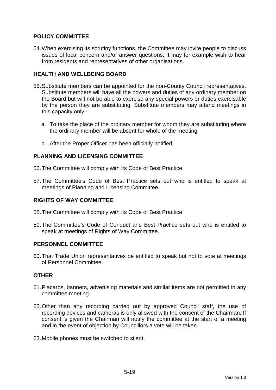# **POLICY COMMITTEE**

54. When exercising its scrutiny functions, the Committee may invite people to discuss issues of local concern and/or answer questions. It may for example wish to hear from residents and representatives of other organisations.

# **HEALTH AND WELLBEING BOARD**

- 55. Substitute members can be appointed for the non-County Council representatives. Substitute members will have all the powers and duties of any ordinary member on the Board but will not be able to exercise any special powers or duties exercisable by the person they are substituting. Substitute members may attend meetings in this capacity only:
	- a. To take the place of the ordinary member for whom they are substituting where the ordinary member will be absent for whole of the meeting
	- b. After the Proper Officer has been officially notified

## **PLANNING AND LICENSING COMMITTEE**

56. The Committee will comply with its Code of Best Practice

57. The Committee's Code of Best Practice sets out who is entitled to speak at meetings of Planning and Licensing Committee.

### **RIGHTS OF WAY COMMITTEE**

- 58. The Committee will comply with its Code of Best Practice
- 59. The Committee's Code of Conduct and Best Practice sets out who is entitled to speak at meetings of Rights of Way Committee.

### **PERSONNEL COMMITTEE**

60. That Trade Union representatives be entitled to speak but not to vote at meetings of Personnel Committee.

### **OTHER**

- 61. Placards, banners, advertising materials and similar items are not permitted in any committee meeting.
- 62. Other than any recording carried out by approved Council staff, the use of recording devices and cameras is only allowed with the consent of the Chairman. If consent is given the Chairman will notify the committee at the start of a meeting and in the event of objection by Councillors a vote will be taken.

63. Mobile phones must be switched to silent.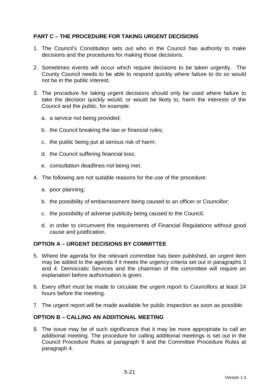# **PART C – THE PROCEDURE FOR TAKING URGENT DECISIONS**

- 1. The Council's Constitution sets out who in the Council has authority to make decisions and the procedures for making those decisions.
- 2. Sometimes events will occur which require decisions to be taken urgently. The County Council needs to be able to respond quickly where failure to do so would not be in the public interest.
- 3. The procedure for taking urgent decisions should only be used where failure to take the decision quickly would, or would be likely to, harm the interests of the Council and the public, for example:
	- a. a service not being provided;
	- b. the Council breaking the law or financial rules;
	- c. the public being put at serious risk of harm;
	- d. the Council suffering financial loss;
	- e. consultation deadlines not being met.
- 4. The following are not suitable reasons for the use of the procedure:
	- a. poor planning;
	- b. the possibility of embarrassment being caused to an officer or Councillor;
	- c. the possibility of adverse publicity being caused to the Council;
	- d. in order to circumvent the requirements of Financial Regulations without good cause and justification.

### **OPTION A – URGENT DECISIONS BY COMMITTEE**

- 5. Where the agenda for the relevant committee has been published, an urgent item may be added to the agenda if it meets the urgency criteria set out in paragraphs 3 and 4. Democratic Services and the chairman of the committee will require an explanation before authorisation is given.
- 6. Every effort must be made to circulate the urgent report to Councillors at least 24 hours before the meeting.
- 7. The urgent report will be made available for public inspection as soon as possible.

### **OPTION B – CALLING AN ADDITIONAL MEETING**

8. The issue may be of such significance that it may be more appropriate to call an additional meeting. The procedure for calling additional meetings is set out in the Council Procedure Rules at paragraph 9 and the Committee Procedure Rules at paragraph 4.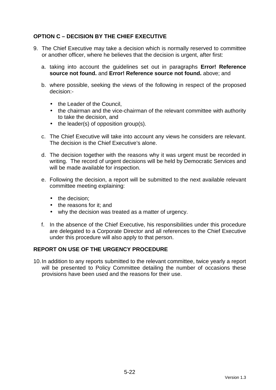# **OPTION C – DECISION BY THE CHIEF EXECUTIVE**

- 9. The Chief Executive may take a decision which is normally reserved to committee or another officer, where he believes that the decision is urgent, after first:
	- a. taking into account the guidelines set out in paragraphs **Error! Reference source not found.** and **Error! Reference source not found.** above; and
	- b. where possible, seeking the views of the following in respect of the proposed decision:-
		- the Leader of the Council.
		- the chairman and the vice-chairman of the relevant committee with authority to take the decision, and
		- the leader(s) of opposition group(s).
	- c. The Chief Executive will take into account any views he considers are relevant. The decision is the Chief Executive's alone.
	- d. The decision together with the reasons why it was urgent must be recorded in writing. The record of urgent decisions will be held by Democratic Services and will be made available for inspection.
	- e. Following the decision, a report will be submitted to the next available relevant committee meeting explaining:
		- the decision:
		- the reasons for it; and
		- why the decision was treated as a matter of urgency.
	- f. In the absence of the Chief Executive, his responsibilities under this procedure are delegated to a Corporate Director and all references to the Chief Executive under this procedure will also apply to that person.

# **REPORT ON USE OF THE URGENCY PROCEDURE**

10. In addition to any reports submitted to the relevant committee, twice yearly a report will be presented to Policy Committee detailing the number of occasions these provisions have been used and the reasons for their use.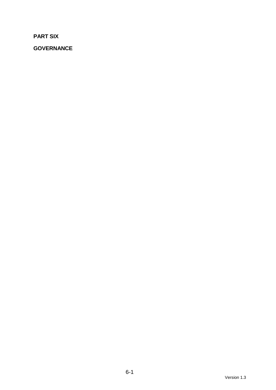**PART SIX** 

**GOVERNANCE**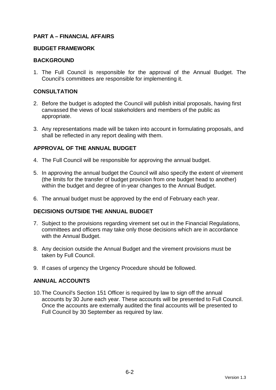## **PART A – FINANCIAL AFFAIRS**

#### **BUDGET FRAMEWORK**

#### **BACKGROUND**

1. The Full Council is responsible for the approval of the Annual Budget. The Council's committees are responsible for implementing it.

### **CONSULTATION**

- 2. Before the budget is adopted the Council will publish initial proposals, having first canvassed the views of local stakeholders and members of the public as appropriate.
- 3. Any representations made will be taken into account in formulating proposals, and shall be reflected in any report dealing with them.

## **APPROVAL OF THE ANNUAL BUDGET**

- 4. The Full Council will be responsible for approving the annual budget.
- 5. In approving the annual budget the Council will also specify the extent of virement (the limits for the transfer of budget provision from one budget head to another) within the budget and degree of in-year changes to the Annual Budget.
- 6. The annual budget must be approved by the end of February each year.

### **DECISIONS OUTSIDE THE ANNUAL BUDGET**

- 7. Subject to the provisions regarding virement set out in the Financial Regulations, committees and officers may take only those decisions which are in accordance with the Annual Budget.
- 8. Any decision outside the Annual Budget and the virement provisions must be taken by Full Council.
- 9. If cases of urgency the Urgency Procedure should be followed.

### **ANNUAL ACCOUNTS**

10. The Council's Section 151 Officer is required by law to sign off the annual accounts by 30 June each year. These accounts will be presented to Full Council. Once the accounts are externally audited the final accounts will be presented to Full Council by 30 September as required by law.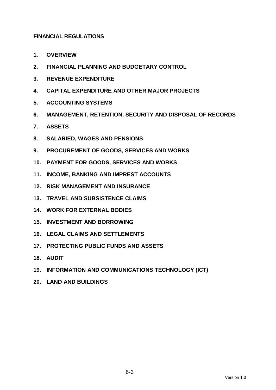# **FINANCIAL REGULATIONS**

- **1. OVERVIEW**
- **2. FINANCIAL PLANNING AND BUDGETARY CONTROL**
- **3. REVENUE EXPENDITURE**
- **4. CAPITAL EXPENDITURE AND OTHER MAJOR PROJECTS**
- **5. ACCOUNTING SYSTEMS**
- **6. MANAGEMENT, RETENTION, SECURITY AND DISPOSAL OF RECORDS**
- **7. ASSETS**
- **8. SALARIED, WAGES AND PENSIONS**
- **9. PROCUREMENT OF GOODS, SERVICES AND WORKS**
- **10. PAYMENT FOR GOODS, SERVICES AND WORKS**
- **11. INCOME, BANKING AND IMPREST ACCOUNTS**
- **12. RISK MANAGEMENT AND INSURANCE**
- **13. TRAVEL AND SUBSISTENCE CLAIMS**
- **14. WORK FOR EXTERNAL BODIES**
- **15. INVESTMENT AND BORROWING**
- **16. LEGAL CLAIMS AND SETTLEMENTS**
- **17. PROTECTING PUBLIC FUNDS AND ASSETS**
- **18. AUDIT**
- **19. INFORMATION AND COMMUNICATIONS TECHNOLOGY (ICT)**
- **20. LAND AND BUILDINGS**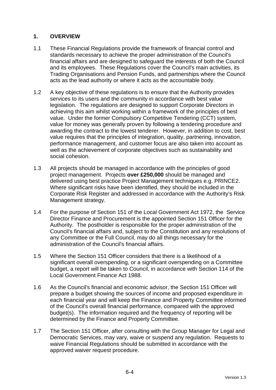# **1. OVERVIEW**

- 1.1 These Financial Regulations provide the framework of financial control and standards necessary to achieve the proper administration of the Council's financial affairs and are designed to safeguard the interests of both the Council and its employees. These Regulations cover the Council's main activities, its Trading Organisations and Pension Funds, and partnerships where the Council acts as the lead authority or where it acts as the accountable body.
- 1.2 A key objective of these regulations is to ensure that the Authority provides services to its users and the community in accordance with best value legislation. The regulations are designed to support Corporate Directors in achieving this aim whilst working within a framework of the principles of best value. Under the former Compulsory Competitive Tendering (CCT) system, value for money was generally proven by following a tendering procedure and awarding the contract to the lowest tenderer. However, in addition to cost, best value requires that the principles of integration, quality, partnering, innovation, performance management, and customer focus are also taken into account as well as the achievement of corporate objectives such as sustainability and social cohesion.
- 1.3 All projects should be managed in accordance with the principles of good project management. Projects **over £250,000** should be managed and delivered using best practice Project Management techniques e.g. PRINCE2. Where significant risks have been identified, they should be included in the Corporate Risk Register and addressed in accordance with the Authority's Risk Management strategy.
- 1.4 For the purpose of Section 151 of the Local Government Act 1972, the Service Director Finance and Procurement is the appointed Section 151 Officer for the Authority. The postholder is responsible for the proper administration of the Council's financial affairs and, subject to the Constitution and any resolutions of any Committee or the Full Council, may do all things necessary for the administration of the Council's financial affairs.
- 1.5 Where the Section 151 Officer considers that there is a likelihood of a significant overall overspending, or a significant overspending on a Committee budget, a report will be taken to Council, in accordance with Section 114 of the Local Government Finance Act 1988.
- 1.6 As the Council's financial and economic advisor, the Section 151 Officer will prepare a budget showing the sources of income and proposed expenditure in each financial year and will keep the Finance and Property Committee informed of the Council's overall financial performance, compared with the approved budget(s). The information required and the frequency of reporting will be determined by the Finance and Property Committee.
- 1.7 The Section 151 Officer, after consulting with the Group Manager for Legal and Democratic Services, may vary, waive or suspend any regulation. Requests to waive Financial Regulations should be submitted in accordance with the approved waiver request procedure.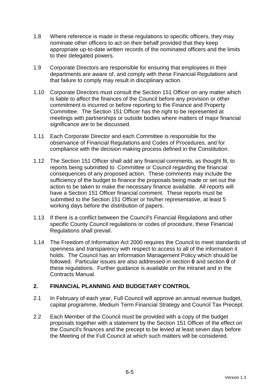- 1.8 Where reference is made in these regulations to specific officers, they may nominate other officers to act on their behalf provided that they keep appropriate up-to-date written records of the nominated officers and the limits to their delegated powers.
- 1.9 Corporate Directors are responsible for ensuring that employees in their departments are aware of, and comply with these Financial Regulations and that failure to comply may result in disciplinary action.
- 1.10 Corporate Directors must consult the Section 151 Officer on any matter which is liable to affect the finances of the Council before any provision or other commitment is incurred or before reporting to the Finance and Property Committee. The Section 151 Officer has the right to be represented at meetings with partnerships or outside bodies where matters of major financial significance are to be discussed.
- 1.11 Each Corporate Director and each Committee is responsible for the observance of Financial Regulations and Codes of Procedures, and for compliance with the decision making process defined in the Constitution.
- 1.12 The Section 151 Officer shall add any financial comments, as thought fit, to reports being submitted to Committee or Council regarding the financial consequences of any proposed action. These comments may include the sufficiency of the budget to finance the proposals being made or set out the action to be taken to make the necessary finance available. All reports will have a Section 151 Officer financial comment. These reports must be submitted to the Section 151 Officer or his/her representative, at least 5 working days before the distribution of papers.
- 1.13 If there is a conflict between the Council's Financial Regulations and other specific County Council regulations or codes of procedure, these Financial Regulations shall prevail.
- 1.14 The Freedom of Information Act 2000 requires the Council to meet standards of openness and transparency with respect to access to all of the information it holds. The Council has an Information Management Policy which should be followed. Particular issues are also addressed in section **0** and section **0** of these regulations. Further guidance is available on the intranet and in the Contracts Manual.

# **2. FINANCIAL PLANNING AND BUDGETARY CONTROL**

- 2.1 In February of each year, Full Council will approve an annual revenue budget, capital programme, Medium Term Financial Strategy and Council Tax Precept.
- 2.2 Each Member of the Council must be provided with a copy of the budget proposals together with a statement by the Section 151 Officer of the effect on the Council's finances and the precept to be levied at least seven days before the Meeting of the Full Council at which such matters will be considered.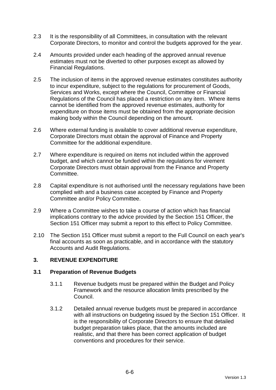- 2.3 It is the responsibility of all Committees, in consultation with the relevant Corporate Directors, to monitor and control the budgets approved for the year.
- 2.4 Amounts provided under each heading of the approved annual revenue estimates must not be diverted to other purposes except as allowed by Financial Regulations.
- 2.5 The inclusion of items in the approved revenue estimates constitutes authority to incur expenditure, subject to the regulations for procurement of Goods, Services and Works, except where the Council, Committee or Financial Regulations of the Council has placed a restriction on any item. Where items cannot be identified from the approved revenue estimates, authority for expenditure on those items must be obtained from the appropriate decision making body within the Council depending on the amount.
- 2.6 Where external funding is available to cover additional revenue expenditure, Corporate Directors must obtain the approval of Finance and Property Committee for the additional expenditure.
- 2.7 Where expenditure is required on items not included within the approved budget, and which cannot be funded within the regulations for virement Corporate Directors must obtain approval from the Finance and Property Committee.
- 2.8 Capital expenditure is not authorised until the necessary regulations have been complied with and a business case accepted by Finance and Property Committee and/or Policy Committee.
- 2.9 Where a Committee wishes to take a course of action which has financial implications contrary to the advice provided by the Section 151 Officer, the Section 151 Officer may submit a report to this effect to Policy Committee.
- 2.10 The Section 151 Officer must submit a report to the Full Council on each year's final accounts as soon as practicable, and in accordance with the statutory Accounts and Audit Regulations.

# **3. REVENUE EXPENDITURE**

## **3.1 Preparation of Revenue Budgets**

- 3.1.1 Revenue budgets must be prepared within the Budget and Policy Framework and the resource allocation limits prescribed by the Council.
- 3.1.2 Detailed annual revenue budgets must be prepared in accordance with all instructions on budgeting issued by the Section 151 Officer. It is the responsibility of Corporate Directors to ensure that detailed budget preparation takes place, that the amounts included are realistic, and that there has been correct application of budget conventions and procedures for their service.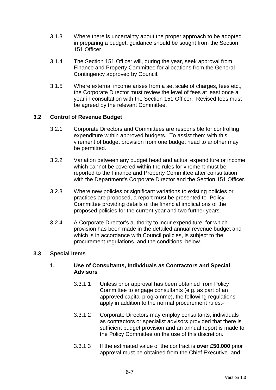- 3.1.3 Where there is uncertainty about the proper approach to be adopted in preparing a budget, guidance should be sought from the Section 151 Officer.
- 3.1.4 The Section 151 Officer will, during the year, seek approval from Finance and Property Committee for allocations from the General Contingency approved by Council.
- 3.1.5 Where external income arises from a set scale of charges, fees etc., the Corporate Director must review the level of fees at least once a year in consultation with the Section 151 Officer. Revised fees must be agreed by the relevant Committee.

## **3.2 Control of Revenue Budget**

- 3.2.1 Corporate Directors and Committees are responsible for controlling expenditure within approved budgets. To assist them with this, virement of budget provision from one budget head to another may be permitted.
- 3.2.2 Variation between any budget head and actual expenditure or income which cannot be covered within the rules for virement must be reported to the Finance and Property Committee after consultation with the Department's Corporate Director and the Section 151 Officer.
- 3.2.3 Where new policies or significant variations to existing policies or practices are proposed, a report must be presented to Policy Committee providing details of the financial implications of the proposed policies for the current year and two further years.
- 3.2.4 A Corporate Director's authority to incur expenditure, for which provision has been made in the detailed annual revenue budget and which is in accordance with Council policies, is subject to the procurement regulations and the conditions below.

## **3.3 Special Items**

## **1. Use of Consultants, Individuals as Contractors and Special Advisors**

- 3.3.1.1 Unless prior approval has been obtained from Policy Committee to engage consultants (e.g. as part of an approved capital programme), the following regulations apply in addition to the normal procurement rules:-
- 3.3.1.2 Corporate Directors may employ consultants, individuals as contractors or specialist advisors provided that there is sufficient budget provision and an annual report is made to the Policy Committee on the use of this discretion.
- 3.3.1.3 If the estimated value of the contract is **over £50,000** prior approval must be obtained from the Chief Executive and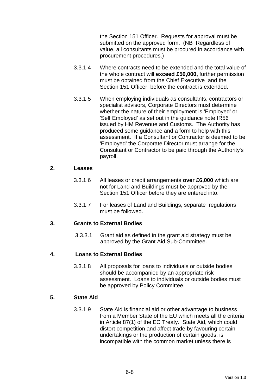the Section 151 Officer. Requests for approval must be submitted on the approved form. (NB Regardless of value, all consultants must be procured in accordance with procurement procedures.)

- 3.3.1.4 Where contracts need to be extended and the total value of the whole contract will **exceed £50,000,** further permission must be obtained from the Chief Executive and the Section 151 Officer before the contract is extended.
- 3.3.1.5 When employing individuals as consultants, contractors or specialist advisors, Corporate Directors must determine whether the nature of their employment is 'Employed' or 'Self Employed' as set out in the guidance note IR56 issued by HM Revenue and Customs. The Authority has produced some guidance and a form to help with this assessment. If a Consultant or Contractor is deemed to be 'Employed' the Corporate Director must arrange for the Consultant or Contractor to be paid through the Authority's payroll.

#### **2. Leases**

- 3.3.1.6 All leases or credit arrangements **over £6,000** which are not for Land and Buildings must be approved by the Section 151 Officer before they are entered into.
- 3.3.1.7 For leases of Land and Buildings, separate regulations must be followed.

## **3. Grants to External Bodies**

3.3.3.1 Grant aid as defined in the grant aid strategy must be approved by the Grant Aid Sub-Committee.

## **4. Loans to External Bodies**

3.3.1.8 All proposals for loans to individuals or outside bodies should be accompanied by an appropriate risk assessment. Loans to individuals or outside bodies must be approved by Policy Committee.

# **5. State Aid**

3.3.1.9 State Aid is financial aid or other advantage to business from a Member State of the EU which meets all the criteria in Article 87(1) of the EC Treaty. State Aid, which could distort competition and affect trade by favouring certain undertakings or the production of certain goods, is incompatible with the common market unless there is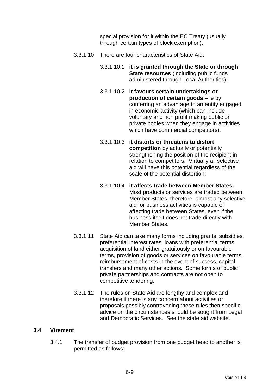special provision for it within the EC Treaty (usually through certain types of block exemption).

- 3.3.1.10 There are four characteristics of State Aid:
	- 3.3.1.10.1 **it is granted through the State or through State resources** (including public funds administered through Local Authorities);
	- 3.3.1.10.2 **it favours certain undertakings or production of certain goods** – ie by conferring an advantage to an entity engaged in economic activity (which can include voluntary and non profit making public or private bodies when they engage in activities which have commercial competitors);
	- 3.3.1.10.3 **it distorts or threatens to distort competition** by actually or potentially strengthening the position of the recipient in relation to competitors. Virtually all selective aid will have this potential regardless of the scale of the potential distortion;
	- 3.3.1.10.4 **it affects trade between Member States.** Most products or services are traded between Member States, therefore, almost any selective aid for business activities is capable of affecting trade between States, even if the business itself does not trade directly with Member States.
- 3.3.1.11 State Aid can take many forms including grants, subsidies, preferential interest rates, loans with preferential terms, acquisition of land either gratuitously or on favourable terms, provision of goods or services on favourable terms, reimbursement of costs in the event of success, capital transfers and many other actions. Some forms of public private partnerships and contracts are not open to competitive tendering.
- 3.3.1.12 The rules on State Aid are lengthy and complex and therefore if there is any concern about activities or proposals possibly contravening these rules then specific advice on the circumstances should be sought from Legal and Democratic Services. See the state aid website.

## **3.4 Virement**

3.4.1 The transfer of budget provision from one budget head to another is permitted as follows: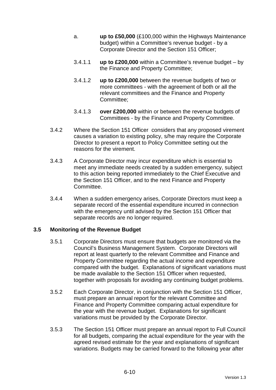- a. **up to £50,000** (£100,000 within the Highways Maintenance budget) within a Committee's revenue budget - by a Corporate Director and the Section 151 Officer;
- 3.4.1.1 **up to £200,000** within a Committee's revenue budget by the Finance and Property Committee;
- 3.4.1.2 **up to £200,000** between the revenue budgets of two or more committees - with the agreement of both or all the relevant committees and the Finance and Property Committee;
- 3.4.1.3 **over £200,000** within or between the revenue budgets of Committees - by the Finance and Property Committee.
- 3.4.2 Where the Section 151 Officer considers that any proposed virement causes a variation to existing policy, s/he may require the Corporate Director to present a report to Policy Committee setting out the reasons for the virement.
- 3.4.3 A Corporate Director may incur expenditure which is essential to meet any immediate needs created by a sudden emergency, subject to this action being reported immediately to the Chief Executive and the Section 151 Officer, and to the next Finance and Property Committee.
- 3.4.4 When a sudden emergency arises, Corporate Directors must keep a separate record of the essential expenditure incurred in connection with the emergency until advised by the Section 151 Officer that separate records are no longer required.

## **3.5 Monitoring of the Revenue Budget**

- 3.5.1 Corporate Directors must ensure that budgets are monitored via the Council's Business Management System. Corporate Directors will report at least quarterly to the relevant Committee and Finance and Property Committee regarding the actual income and expenditure compared with the budget. Explanations of significant variations must be made available to the Section 151 Officer when requested, together with proposals for avoiding any continuing budget problems.
- 3.5.2 Each Corporate Director, in conjunction with the Section 151 Officer, must prepare an annual report for the relevant Committee and Finance and Property Committee comparing actual expenditure for the year with the revenue budget. Explanations for significant variations must be provided by the Corporate Director.
- 3.5.3 The Section 151 Officer must prepare an annual report to Full Council for all budgets, comparing the actual expenditure for the year with the agreed revised estimate for the year and explanations of significant variations. Budgets may be carried forward to the following year after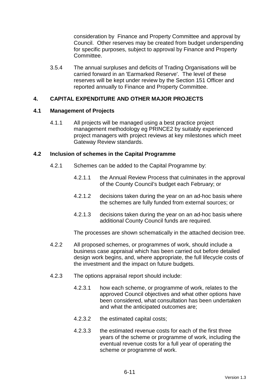consideration by Finance and Property Committee and approval by Council. Other reserves may be created from budget underspending for specific purposes, subject to approval by Finance and Property Committee.

3.5.4 The annual surpluses and deficits of Trading Organisations will be carried forward in an 'Earmarked Reserve'. The level of these reserves will be kept under review by the Section 151 Officer and reported annually to Finance and Property Committee.

## **4. CAPITAL EXPENDITURE AND OTHER MAJOR PROJECTS**

## **4.1 Management of Projects**

4.1.1 All projects will be managed using a best practice project management methodology eg PRINCE2 by suitably experienced project managers with project reviews at key milestones which meet Gateway Review standards.

## **4.2 Inclusion of schemes in the Capital Programme**

- 4.2.1 Schemes can be added to the Capital Programme by:
	- 4.2.1.1 the Annual Review Process that culminates in the approval of the County Council's budget each February; or
	- 4.2.1.2 decisions taken during the year on an ad-hoc basis where the schemes are fully funded from external sources; or
	- 4.2.1.3 decisions taken during the year on an ad-hoc basis where additional County Council funds are required.

The processes are shown schematically in the attached decision tree.

- 4.2.2 All proposed schemes, or programmes of work, should include a business case appraisal which has been carried out before detailed design work begins, and, where appropriate, the full lifecycle costs of the investment and the impact on future budgets.
- 4.2.3 The options appraisal report should include:
	- 4.2.3.1 how each scheme, or programme of work, relates to the approved Council objectives and what other options have been considered, what consultation has been undertaken and what the anticipated outcomes are;
	- 4.2.3.2 the estimated capital costs;
	- 4.2.3.3 the estimated revenue costs for each of the first three years of the scheme or programme of work, including the eventual revenue costs for a full year of operating the scheme or programme of work.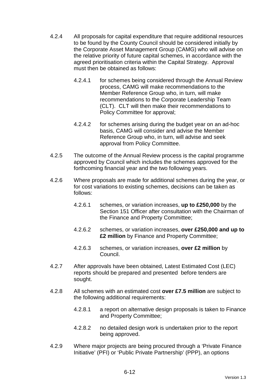- 4.2.4 All proposals for capital expenditure that require additional resources to be found by the County Council should be considered initially by the Corporate Asset Management Group (CAMG) who will advise on the relative priority of future capital schemes, in accordance with the agreed prioritisation criteria within the Capital Strategy. Approval must then be obtained as follows:
	- 4.2.4.1 for schemes being considered through the Annual Review process, CAMG will make recommendations to the Member Reference Group who, in turn, will make recommendations to the Corporate Leadership Team (CLT). CLT will then make their recommendations to Policy Committee for approval;
	- 4.2.4.2 for schemes arising during the budget year on an ad-hoc basis, CAMG will consider and advise the Member Reference Group who, in turn, will advise and seek approval from Policy Committee.
- 4.2.5 The outcome of the Annual Review process is the capital programme approved by Council which includes the schemes approved for the forthcoming financial year and the two following years.
- 4.2.6 Where proposals are made for additional schemes during the year, or for cost variations to existing schemes, decisions can be taken as follows:
	- 4.2.6.1 schemes, or variation increases, **up to £250,000** by the Section 151 Officer after consultation with the Chairman of the Finance and Property Committee;
	- 4.2.6.2 schemes, or variation increases, **over £250,000 and up to £2 million** by Finance and Property Committee;
	- 4.2.6.3 schemes, or variation increases, **over £2 million** by Council.
- 4.2.7 After approvals have been obtained, Latest Estimated Cost (LEC) reports should be prepared and presented before tenders are sought.
- 4.2.8 All schemes with an estimated cost **over £7.5 million** are subject to the following additional requirements:
	- 4.2.8.1 a report on alternative design proposals is taken to Finance and Property Committee;
	- 4.2.8.2 no detailed design work is undertaken prior to the report being approved.
- 4.2.9 Where major projects are being procured through a 'Private Finance Initiative' (PFI) or 'Public Private Partnership' (PPP), an options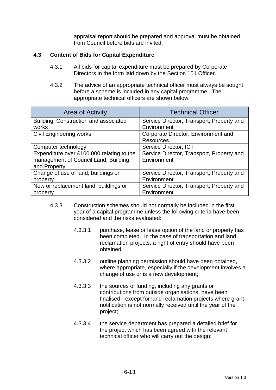appraisal report should be prepared and approval must be obtained from Council before bids are invited.

## **4.3 Content of Bids for Capital Expenditure**

- 4.3.1 All bids for capital expenditure must be prepared by Corporate Directors in the form laid down by the Section 151 Officer.
- 4.3.2 The advice of an appropriate technical officer must always be sought before a scheme is included in any capital programme. The appropriate technical officers are shown below:

| <b>Area of Activity</b>                   | <b>Technical Officer</b>                  |
|-------------------------------------------|-------------------------------------------|
| Building, Construction and associated     | Service Director, Transport, Property and |
| works                                     | Environment                               |
| <b>Civil Engineering works</b>            | Corporate Director, Environment and       |
|                                           | <b>Resources</b>                          |
| Computer technology                       | Service Director, ICT                     |
| Expenditure over £100,000 relating to the | Service Director, Transport, Property and |
| management of Council Land, Building      | Environment                               |
| and Property                              |                                           |
| Change of use of land, buildings or       | Service Director, Transport, Property and |
| property                                  | Environment                               |
| New or replacement land, buildings or     | Service Director, Transport, Property and |
| property                                  | Environment                               |

- 4.3.3 Construction schemes should not normally be included in the first year of a capital programme unless the following criteria have been considered and the risks evaluated:
	- 4.3.3.1 purchase, lease or lease option of the land or property has been completed. In the case of transportation and land reclamation projects, a right of entry should have been obtained;
	- 4.3.3.2 outline planning permission should have been obtained, where appropriate, especially if the development involves a change of use or is a new development;
	- 4.3.3.3 the sources of funding, including any grants or contributions from outside organisations, have been finalised - except for land reclamation projects where grant notification is not normally received until the year of the project;
	- 4.3.3.4 the service department has prepared a detailed brief for the project which has been agreed with the relevant technical officer who will carry out the design;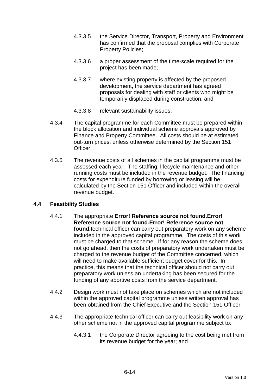- 4.3.3.5 the Service Director, Transport, Property and Environment has confirmed that the proposal complies with Corporate Property Policies;
- 4.3.3.6 a proper assessment of the time-scale required for the project has been made;
- 4.3.3.7 where existing property is affected by the proposed development, the service department has agreed proposals for dealing with staff or clients who might be temporarily displaced during construction; and
- 4.3.3.8 relevant sustainability issues.
- 4.3.4 The capital programme for each Committee must be prepared within the block allocation and individual scheme approvals approved by Finance and Property Committee. All costs should be at estimated out-turn prices, unless otherwise determined by the Section 151 Officer.
- 4.3.5 The revenue costs of all schemes in the capital programme must be assessed each year. The staffing, lifecycle maintenance and other running costs must be included in the revenue budget. The financing costs for expenditure funded by borrowing or leasing will be calculated by the Section 151 Officer and included within the overall revenue budget.

## **4.4 Feasibility Studies**

- 4.4.1 The appropriate **Error! Reference source not found.Error! Reference source not found.Error! Reference source not found.**technical officer can carry out preparatory work on any scheme included in the approved capital programme. The costs of this work must be charged to that scheme. If for any reason the scheme does not go ahead, then the costs of preparatory work undertaken must be charged to the revenue budget of the Committee concerned, which will need to make available sufficient budget cover for this. In practice, this means that the technical officer should not carry out preparatory work unless an undertaking has been secured for the funding of any abortive costs from the service department.
- 4.4.2 Design work must not take place on schemes which are not included within the approved capital programme unless written approval has been obtained from the Chief Executive and the Section 151 Officer.
- 4.4.3 The appropriate technical officer can carry out feasibility work on any other scheme not in the approved capital programme subject to:
	- 4.4.3.1 the Corporate Director agreeing to the cost being met from its revenue budget for the year; and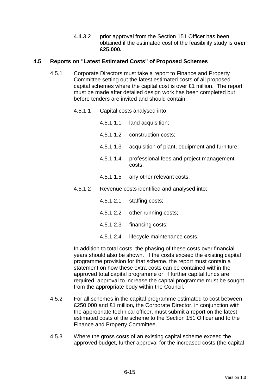4.4.3.2 prior approval from the Section 151 Officer has been obtained if the estimated cost of the feasibility study is **over £25,000.**

## **4.5 Reports on "Latest Estimated Costs" of Proposed Schemes**

- 4.5.1 Corporate Directors must take a report to Finance and Property Committee setting out the latest estimated costs of all proposed capital schemes where the capital cost is over £1 million. The report must be made after detailed design work has been completed but before tenders are invited and should contain:
	- 4.5.1.1 Capital costs analysed into:
		- 4.5.1.1.1 land acquisition;
		- 4.5.1.1.2 construction costs;
		- 4.5.1.1.3 acquisition of plant, equipment and furniture;
		- 4.5.1.1.4 professional fees and project management costs;
		- 4.5.1.1.5 any other relevant costs.
	- 4.5.1.2 Revenue costs identified and analysed into:
		- 4.5.1.2.1 staffing costs;
		- 4.5.1.2.2 other running costs;
		- 4.5.1.2.3 financing costs;
		- 4.5.1.2.4 lifecycle maintenance costs.

In addition to total costs, the phasing of these costs over financial years should also be shown. If the costs exceed the existing capital programme provision for that scheme, the report must contain a statement on how these extra costs can be contained within the approved total capital programme or, if further capital funds are required, approval to increase the capital programme must be sought from the appropriate body within the Council.

- 4.5.2 For all schemes in the capital programme estimated to cost between £250,000 and £1 million**,** the Corporate Director, in conjunction with the appropriate technical officer, must submit a report on the latest estimated costs of the scheme to the Section 151 Officer and to the Finance and Property Committee.
- 4.5.3 Where the gross costs of an existing capital scheme exceed the approved budget, further approval for the increased costs (the capital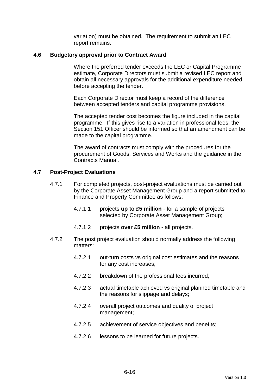variation) must be obtained. The requirement to submit an LEC report remains.

#### **4.6 Budgetary approval prior to Contract Award**

 Where the preferred tender exceeds the LEC or Capital Programme estimate, Corporate Directors must submit a revised LEC report and obtain all necessary approvals for the additional expenditure needed before accepting the tender.

 Each Corporate Director must keep a record of the difference between accepted tenders and capital programme provisions.

 The accepted tender cost becomes the figure included in the capital programme. If this gives rise to a variation in professional fees, the Section 151 Officer should be informed so that an amendment can be made to the capital programme.

 The award of contracts must comply with the procedures for the procurement of Goods, Services and Works and the guidance in the Contracts Manual.

#### **4.7 Post-Project Evaluations**

- 4.7.1 For completed projects, post-project evaluations must be carried out by the Corporate Asset Management Group and a report submitted to Finance and Property Committee as follows:
	- 4.7.1.1 projects **up to £5 million** for a sample of projects selected by Corporate Asset Management Group;
	- 4.7.1.2 projects **over £5 million** all projects.
- 4.7.2 The post project evaluation should normally address the following matters:
	- 4.7.2.1 out-turn costs vs original cost estimates and the reasons for any cost increases;
	- 4.7.2.2 breakdown of the professional fees incurred;
	- 4.7.2.3 actual timetable achieved vs original planned timetable and the reasons for slippage and delays;
	- 4.7.2.4 overall project outcomes and quality of project management;
	- 4.7.2.5 achievement of service objectives and benefits;
	- 4.7.2.6 lessons to be learned for future projects.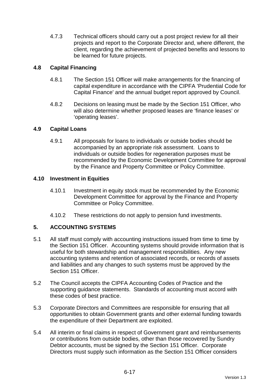4.7.3 Technical officers should carry out a post project review for all their projects and report to the Corporate Director and, where different, the client, regarding the achievement of projected benefits and lessons to be learned for future projects.

# **4.8 Capital Financing**

- 4.8.1 The Section 151 Officer will make arrangements for the financing of capital expenditure in accordance with the CIPFA 'Prudential Code for Capital Finance' and the annual budget report approved by Council.
- 4.8.2 Decisions on leasing must be made by the Section 151 Officer, who will also determine whether proposed leases are 'finance leases' or 'operating leases'.

## **4.9 Capital Loans**

4.9.1 All proposals for loans to individuals or outside bodies should be accompanied by an appropriate risk assessment. Loans to individuals or outside bodies for regeneration purposes must be recommended by the Economic Development Committee for approval by the Finance and Property Committee or Policy Committee.

## **4.10 Investment in Equities**

- 4.10.1 Investment in equity stock must be recommended by the Economic Development Committee for approval by the Finance and Property Committee or Policy Committee.
- 4.10.2 These restrictions do not apply to pension fund investments.

## **5. ACCOUNTING SYSTEMS**

- 5.1 All staff must comply with accounting instructions issued from time to time by the Section 151 Officer. Accounting systems should provide information that is useful for both stewardship and management responsibilities. Any new accounting systems and retention of associated records, or records of assets and liabilities and any changes to such systems must be approved by the Section 151 Officer.
- 5.2 The Council accepts the CIPFA Accounting Codes of Practice and the supporting guidance statements. Standards of accounting must accord with these codes of best practice.
- 5.3 Corporate Directors and Committees are responsible for ensuring that all opportunities to obtain Government grants and other external funding towards the expenditure of their Department are exploited.
- 5.4 All interim or final claims in respect of Government grant and reimbursements or contributions from outside bodies, other than those recovered by Sundry Debtor accounts, must be signed by the Section 151 Officer. Corporate Directors must supply such information as the Section 151 Officer considers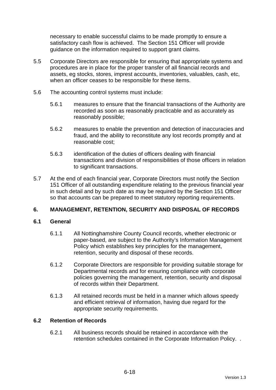necessary to enable successful claims to be made promptly to ensure a satisfactory cash flow is achieved. The Section 151 Officer will provide guidance on the information required to support grant claims.

- 5.5 Corporate Directors are responsible for ensuring that appropriate systems and procedures are in place for the proper transfer of all financial records and assets, eg stocks, stores, imprest accounts, inventories, valuables, cash, etc, when an officer ceases to be responsible for these items.
- 5.6 The accounting control systems must include:
	- 5.6.1 measures to ensure that the financial transactions of the Authority are recorded as soon as reasonably practicable and as accurately as reasonably possible;
	- 5.6.2 measures to enable the prevention and detection of inaccuracies and fraud, and the ability to reconstitute any lost records promptly and at reasonable cost;
	- 5.6.3 identification of the duties of officers dealing with financial transactions and division of responsibilities of those officers in relation to significant transactions.
- 5.7 At the end of each financial year, Corporate Directors must notify the Section 151 Officer of all outstanding expenditure relating to the previous financial year in such detail and by such date as may be required by the Section 151 Officer so that accounts can be prepared to meet statutory reporting requirements.

## **6. MANAGEMENT, RETENTION, SECURITY AND DISPOSAL OF RECORDS**

## **6.1 General**

- 6.1.1 All Nottinghamshire County Council records, whether electronic or paper-based, are subject to the Authority's Information Management Policy which establishes key principles for the management, retention, security and disposal of these records.
- 6.1.2 Corporate Directors are responsible for providing suitable storage for Departmental records and for ensuring compliance with corporate policies governing the management, retention, security and disposal of records within their Department.
- 6.1.3 All retained records must be held in a manner which allows speedy and efficient retrieval of information, having due regard for the appropriate security requirements.

## **6.2 Retention of Records**

6.2.1 All business records should be retained in accordance with the retention schedules contained in the Corporate Information Policy. .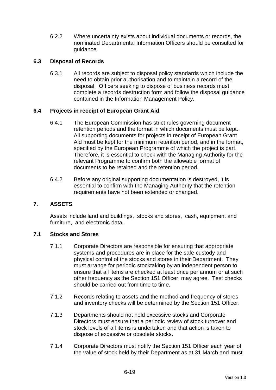6.2.2 Where uncertainty exists about individual documents or records, the nominated Departmental Information Officers should be consulted for guidance.

# **6.3 Disposal of Records**

6.3.1 All records are subject to disposal policy standards which include the need to obtain prior authorisation and to maintain a record of the disposal. Officers seeking to dispose of business records must complete a records destruction form and follow the disposal guidance contained in the Information Management Policy.

## **6.4 Projects in receipt of European Grant Aid**

- 6.4.1 The European Commission has strict rules governing document retention periods and the format in which documents must be kept. All supporting documents for projects in receipt of European Grant Aid must be kept for the minimum retention period, and in the format, specified by the European Programme of which the project is part. Therefore, it is essential to check with the Managing Authority for the relevant Programme to confirm both the allowable format of documents to be retained and the retention period.
- 6.4.2 Before any original supporting documentation is destroyed, it is essential to confirm with the Managing Authority that the retention requirements have not been extended or changed.

## **7. ASSETS**

Assets include land and buildings, stocks and stores, cash, equipment and furniture, and electronic data.

## **7.1 Stocks and Stores**

- 7.1.1 Corporate Directors are responsible for ensuring that appropriate systems and procedures are in place for the safe custody and physical control of the stocks and stores in their Department. They must arrange for periodic stocktaking by an independent person to ensure that all items are checked at least once per annum or at such other frequency as the Section 151 Officer may agree. Test checks should be carried out from time to time.
- 7.1.2 Records relating to assets and the method and frequency of stores and inventory checks will be determined by the Section 151 Officer.
- 7.1.3 Departments should not hold excessive stocks and Corporate Directors must ensure that a periodic review of stock turnover and stock levels of all items is undertaken and that action is taken to dispose of excessive or obsolete stocks.
- 7.1.4 Corporate Directors must notify the Section 151 Officer each year of the value of stock held by their Department as at 31 March and must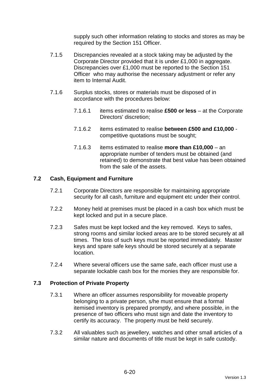supply such other information relating to stocks and stores as may be required by the Section 151 Officer.

- 7.1.5 Discrepancies revealed at a stock taking may be adjusted by the Corporate Director provided that it is under £1,000 in aggregate. Discrepancies over £1,000 must be reported to the Section 151 Officer who may authorise the necessary adjustment or refer any item to Internal Audit.
- 7.1.6 Surplus stocks, stores or materials must be disposed of in accordance with the procedures below:
	- 7.1.6.1 items estimated to realise **£500 or less** at the Corporate Directors' discretion;
	- 7.1.6.2 items estimated to realise **between £500 and £10,000** competitive quotations must be sought;
	- 7.1.6.3 items estimated to realise **more than £10,000** an appropriate number of tenders must be obtained (and retained) to demonstrate that best value has been obtained from the sale of the assets.

## **7.2 Cash, Equipment and Furniture**

- 7.2.1 Corporate Directors are responsible for maintaining appropriate security for all cash, furniture and equipment etc under their control.
- 7.2.2 Money held at premises must be placed in a cash box which must be kept locked and put in a secure place.
- 7.2.3 Safes must be kept locked and the key removed. Keys to safes, strong rooms and similar locked areas are to be stored securely at all times. The loss of such keys must be reported immediately. Master keys and spare safe keys should be stored securely at a separate location.
- 7.2.4 Where several officers use the same safe, each officer must use a separate lockable cash box for the monies they are responsible for.

## **7.3 Protection of Private Property**

- 7.3.1 Where an officer assumes responsibility for moveable property belonging to a private person, s/he must ensure that a formal itemised inventory is prepared promptly, and where possible, in the presence of two officers who must sign and date the inventory to certify its accuracy. The property must be held securely.
- 7.3.2 All valuables such as jewellery, watches and other small articles of a similar nature and documents of title must be kept in safe custody.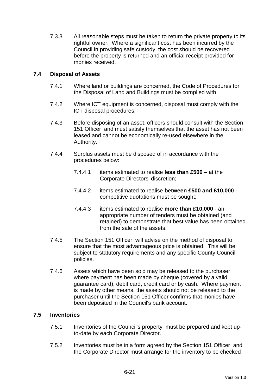7.3.3 All reasonable steps must be taken to return the private property to its rightful owner. Where a significant cost has been incurred by the Council in providing safe custody, the cost should be recovered before the property is returned and an official receipt provided for monies received.

# **7.4 Disposal of Assets**

- 7.4.1 Where land or buildings are concerned, the Code of Procedures for the Disposal of Land and Buildings must be complied with.
- 7.4.2 Where ICT equipment is concerned, disposal must comply with the ICT disposal procedures.
- 7.4.3 Before disposing of an asset, officers should consult with the Section 151 Officer and must satisfy themselves that the asset has not been leased and cannot be economically re-used elsewhere in the Authority.
- 7.4.4 Surplus assets must be disposed of in accordance with the procedures below:
	- 7.4.4.1 items estimated to realise **less than £500** at the Corporate Directors' discretion;
	- 7.4.4.2 items estimated to realise **between £500 and £10,000** competitive quotations must be sought;
	- 7.4.4.3 items estimated to realise **more than £10,000** an appropriate number of tenders must be obtained (and retained) to demonstrate that best value has been obtained from the sale of the assets.
- 7.4.5 The Section 151 Officer will advise on the method of disposal to ensure that the most advantageous price is obtained. This will be subject to statutory requirements and any specific County Council policies.
- 7.4.6 Assets which have been sold may be released to the purchaser where payment has been made by cheque (covered by a valid guarantee card), debit card, credit card or by cash. Where payment is made by other means, the assets should not be released to the purchaser until the Section 151 Officer confirms that monies have been deposited in the Council's bank account.

## **7.5 Inventories**

- 7.5.1 Inventories of the Council's property must be prepared and kept upto-date by each Corporate Director.
- 7.5.2 Inventories must be in a form agreed by the Section 151 Officer and the Corporate Director must arrange for the inventory to be checked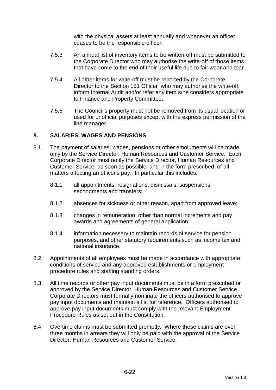with the physical assets at least annually and whenever an officer ceases to be the responsible officer.

- 7.5.3 An annual list of inventory items to be written-off must be submitted to the Corporate Director who may authorise the write-off of those items that have come to the end of their useful life due to fair wear and tear.
- 7.5.4 All other items for write-off must be reported by the Corporate Director to the Section 151 Officer who may authorise the write-off, inform Internal Audit and/or refer any item s/he considers appropriate to Finance and Property Committee.
- 7.5.5 The Council's property must not be removed from its usual location or used for unofficial purposes except with the express permission of the line manager.

## **8. SALARIES, WAGES AND PENSIONS**

- 8.1 The payment of salaries, wages, pensions or other emoluments will be made only by the Service Director, Human Resources and Customer Service. Each Corporate Director must notify the Service Director, Human Resources and Customer Service as soon as possible, and in the form prescribed, of all matters affecting an officer's pay. In particular this includes:
	- 8.1.1 all appointments, resignations, dismissals, suspensions, secondments and transfers;
	- 8.1.2 absences for sickness or other reason, apart from approved leave;
	- 8.1.3 changes in remuneration, other than normal increments and pay awards and agreements of general application;
	- 8.1.4 information necessary to maintain records of service for pension purposes, and other statutory requirements such as income tax and national insurance.
- 8.2 Appointments of all employees must be made in accordance with appropriate conditions of service and any approved establishments or employment procedure rules and staffing standing orders.
- 8.3 All time records or other pay input documents must be in a form prescribed or approved by the Service Director, Human Resources and Customer Service . Corporate Directors must formally nominate the officers authorised to approve pay input documents and maintain a list for reference. Officers authorised to approve pay input documents must comply with the relevant Employment Procedure Rules as set out in the Constitution.
- 8.4 Overtime claims must be submitted promptly. Where these claims are over three months in arrears they will only be paid with the approval of the Service Director, Human Resources and Customer Service.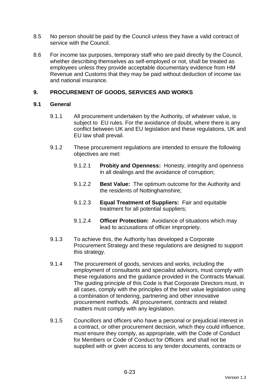- 8.5 No person should be paid by the Council unless they have a valid contract of service with the Council.
- 8.6 For income tax purposes, temporary staff who are paid directly by the Council, whether describing themselves as self-employed or not, shall be treated as employees unless they provide acceptable documentary evidence from HM Revenue and Customs that they may be paid without deduction of income tax and national insurance.

## **9. PROCUREMENT OF GOODS, SERVICES AND WORKS**

#### **9.1 General**

- 9.1.1 All procurement undertaken by the Authority, of whatever value, is subject to EU rules. For the avoidance of doubt, where there is any conflict between UK and EU legislation and these regulations, UK and EU law shall prevail.
- 9.1.2 These procurement regulations are intended to ensure the following objectives are met:
	- 9.1.2.1 **Probity and Openness:** Honesty, integrity and openness in all dealings and the avoidance of corruption;
	- 9.1.2.2 **Best Value:** The optimum outcome for the Authority and the residents of Nottinghamshire;
	- 9.1.2.3 **Equal Treatment of Suppliers:** Fair and equitable treatment for all potential suppliers;
	- 9.1.2.4 **Officer Protection:** Avoidance of situations which may lead to accusations of officer impropriety.
- 9.1.3 To achieve this, the Authority has developed a Corporate Procurement Strategy and these regulations are designed to support this strategy.
- 9.1.4 The procurement of goods, services and works, including the employment of consultants and specialist advisors, must comply with these regulations and the guidance provided in the Contracts Manual. The guiding principle of this Code is that Corporate Directors must, in all cases, comply with the principles of the best value legislation using a combination of tendering, partnering and other innovative procurement methods. All procurement, contracts and related matters must comply with any legislation.
- 9.1.5 Councillors and officers who have a personal or prejudicial interest in a contract, or other procurement decision, which they could influence, must ensure they comply, as appropriate, with the Code of Conduct for Members or Code of Conduct for Officers and shall not be supplied with or given access to any tender documents, contracts or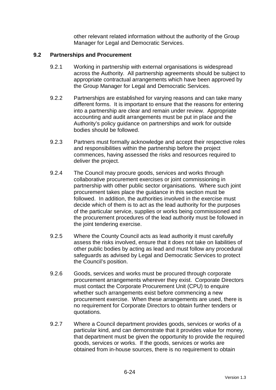other relevant related information without the authority of the Group Manager for Legal and Democratic Services.

## **9.2 Partnerships and Procurement**

- 9.2.1 Working in partnership with external organisations is widespread across the Authority. All partnership agreements should be subject to appropriate contractual arrangements which have been approved by the Group Manager for Legal and Democratic Services.
- 9.2.2 Partnerships are established for varying reasons and can take many different forms. It is important to ensure that the reasons for entering into a partnership are clear and remain under review. Appropriate accounting and audit arrangements must be put in place and the Authority's policy guidance on partnerships and work for outside bodies should be followed.
- 9.2.3 Partners must formally acknowledge and accept their respective roles and responsibilities within the partnership before the project commences, having assessed the risks and resources required to deliver the project.
- 9.2.4 The Council may procure goods, services and works through collaborative procurement exercises or joint commissioning in partnership with other public sector organisations. Where such joint procurement takes place the guidance in this section must be followed. In addition, the authorities involved in the exercise must decide which of them is to act as the lead authority for the purposes of the particular service, supplies or works being commissioned and the procurement procedures of the lead authority must be followed in the joint tendering exercise.
- 9.2.5 Where the County Council acts as lead authority it must carefully assess the risks involved, ensure that it does not take on liabilities of other public bodies by acting as lead and must follow any procedural safeguards as advised by Legal and Democratic Services to protect the Council's position.
- 9.2.6 Goods, services and works must be procured through corporate procurement arrangements wherever they exist. Corporate Directors must contact the Corporate Procurement Unit (CPU) to enquire whether such arrangements exist before commencing a new procurement exercise. When these arrangements are used, there is no requirement for Corporate Directors to obtain further tenders or quotations.
- 9.2.7 Where a Council department provides goods, services or works of a particular kind, and can demonstrate that it provides value for money, that department must be given the opportunity to provide the required goods, services or works. If the goods, services or works are obtained from in-house sources, there is no requirement to obtain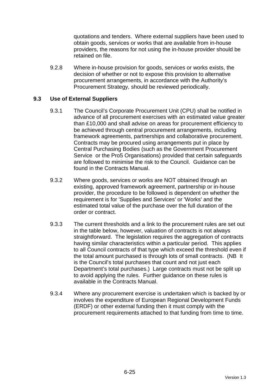quotations and tenders. Where external suppliers have been used to obtain goods, services or works that are available from in-house providers, the reasons for not using the in-house provider should be retained on file.

9.2.8 Where in-house provision for goods, services or works exists, the decision of whether or not to expose this provision to alternative procurement arrangements, in accordance with the Authority's Procurement Strategy, should be reviewed periodically.

## **9.3 Use of External Suppliers**

- 9.3.1 The Council's Corporate Procurement Unit (CPU) shall be notified in advance of all procurement exercises with an estimated value greater than £10,000 and shall advise on areas for procurement efficiency to be achieved through central procurement arrangements, including framework agreements, partnerships and collaborative procurement. Contracts may be procured using arrangements put in place by Central Purchasing Bodies (such as the Government Procurement Service or the Pro5 Organisations) provided that certain safeguards are followed to minimise the risk to the Council. Guidance can be found in the Contracts Manual.
- 9.3.2 Where goods, services or works are NOT obtained through an existing, approved framework agreement, partnership or in-house provider, the procedure to be followed is dependent on whether the requirement is for 'Supplies and Services' or 'Works' and the estimated total value of the purchase over the full duration of the order or contract.
- 9.3.3 The current thresholds and a link to the procurement rules are set out in the table below, however, valuation of contracts is not always straightforward. The legislation requires the aggregation of contracts having similar characteristics within a particular period. This applies to all Council contracts of that type which exceed the threshold even if the total amount purchased is through lots of small contracts. (NB It is the Council's total purchases that count and not just each Department's total purchases.) Large contracts must not be split up to avoid applying the rules. Further guidance on these rules is available in the Contracts Manual.
- 9.3.4 Where any procurement exercise is undertaken which is backed by or involves the expenditure of European Regional Development Funds (ERDF) or other external funding then it must comply with the procurement requirements attached to that funding from time to time.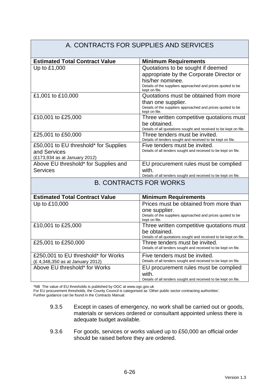#### A. CONTRACTS FOR SUPPLIES AND SERVICES **Estimated Total Contract Value Minimum Requirements** Up to £1,000  $\vert$  Quotations to be sought if deemed appropriate by the Corporate Director or his/her nominee. Details of the suppliers approached and prices quoted to be kept on file. £1,001 to £10,000 Quotations must be obtained from more than one supplier. Details of the suppliers approached and prices quoted to be kept on file. £10,001 to £25,000 Three written competitive quotations must be obtained. Details of all quotations sought and received to be kept on file. £25,001 to £50,000 Three tenders must be invited. Details of tenders sought and received to be kept on file. £50,001 to EU threshold\* for Supplies and Services (£173,934 as at January 2012) Five tenders must be invited. Details of all tenders sought and received to be kept on file. Above EU threshold\* for Supplies and **Services** EU procurement rules must be complied with. Details of all tenders sought and received to be kept on file. B. CONTRACTS FOR WORKS **Estimated Total Contract Value | Minimum Requirements** Up to £10,000 Prices must be obtained from more than one supplier. Details of the suppliers approached and prices quoted to be kept on file. £10,001 to £25,000 Three written competitive quotations must be obtained. Details of all quotations sought and received to be kept on file. £25,001 to £250,000 Three tenders must be invited. Details of all tenders sought and received to be kept on file. £250,001 to EU threshold\* for Works (£ 4,348,350 as at January 2012) Five tenders must be invited. Details of all tenders sought and received to be kept on file. Above EU threshold\* for Works **EU** procurement rules must be complied with. Details of all tenders sought and received to be kept on file.

\*NB The value of EU thresholds is published by OGC at www.ogc.gov.uk

For EU procurement thresholds, the County Council is categorised as 'Other public sector contracting authorities'.

Further guidance can be found in the Contracts Manual.

- 9.3.5 Except in cases of emergency, no work shall be carried out or goods, materials or services ordered or consultant appointed unless there is adequate budget available.
- 9.3.6 For goods, services or works valued up to £50,000 an official order should be raised before they are ordered.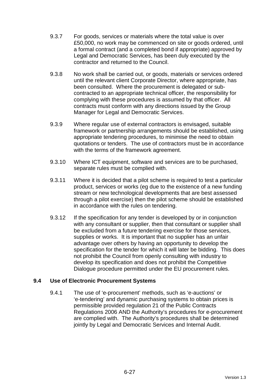- 9.3.7 For goods, services or materials where the total value is over £50,000, no work may be commenced on site or goods ordered, until a formal contract (and a completed bond if appropriate) approved by Legal and Democratic Services, has been duly executed by the contractor and returned to the Council.
- 9.3.8 No work shall be carried out, or goods, materials or services ordered until the relevant client Corporate Director, where appropriate, has been consulted. Where the procurement is delegated or subcontracted to an appropriate technical officer, the responsibility for complying with these procedures is assumed by that officer. All contracts must conform with any directions issued by the Group Manager for Legal and Democratic Services.
- 9.3.9 Where regular use of external contractors is envisaged, suitable framework or partnership arrangements should be established, using appropriate tendering procedures, to minimise the need to obtain quotations or tenders. The use of contractors must be in accordance with the terms of the framework agreement.
- 9.3.10 Where ICT equipment, software and services are to be purchased, separate rules must be complied with.
- 9.3.11 Where it is decided that a pilot scheme is required to test a particular product, services or works (eg due to the existence of a new funding stream or new technological developments that are best assessed through a pilot exercise) then the pilot scheme should be established in accordance with the rules on tendering.
- 9.3.12 If the specification for any tender is developed by or in conjunction with any consultant or supplier, then that consultant or supplier shall be excluded from a future tendering exercise for those services, supplies or works. It is important that no supplier has an unfair advantage over others by having an opportunity to develop the specification for the tender for which it will later be bidding. This does not prohibit the Council from openly consulting with industry to develop its specification and does not prohibit the Competitive Dialogue procedure permitted under the EU procurement rules.

## **9.4 Use of Electronic Procurement Systems**

9.4.1 The use of 'e-procurement' methods, such as 'e-auctions' or 'e-tendering' and dynamic purchasing systems to obtain prices is permissible provided regulation 21 of the Public Contracts Regulations 2006 AND the Authority's procedures for e-procurement are complied with. The Authority's procedures shall be determined jointly by Legal and Democratic Services and Internal Audit.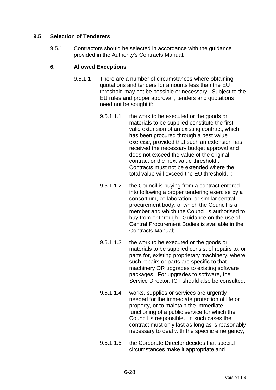# **9.5 Selection of Tenderers**

9.5.1 Contractors should be selected in accordance with the guidance provided in the Authority's Contracts Manual.

## **6. Allowed Exceptions**

- 9.5.1.1 There are a number of circumstances where obtaining quotations and tenders for amounts less than the EU threshold may not be possible or necessary. Subject to the EU rules and proper approval , tenders and quotations need not be sought if:
	- 9.5.1.1.1 the work to be executed or the goods or materials to be supplied constitute the first valid extension of an existing contract, which has been procured through a best value exercise, provided that such an extension has received the necessary budget approval and does not exceed the value of the original contract or the next value threshold . Contracts must not be extended where the total value will exceed the EU threshold. ;
	- 9.5.1.1.2 the Council is buying from a contract entered into following a proper tendering exercise by a consortium, collaboration, or similar central procurement body, of which the Council is a member and which the Council is authorised to buy from or through. Guidance on the use of Central Procurement Bodies is available in the Contracts Manual;
	- 9.5.1.1.3 the work to be executed or the goods or materials to be supplied consist of repairs to, or parts for, existing proprietary machinery, where such repairs or parts are specific to that machinery OR upgrades to existing software packages. For upgrades to software, the Service Director, ICT should also be consulted;
	- 9.5.1.1.4 works, supplies or services are urgently needed for the immediate protection of life or property, or to maintain the immediate functioning of a public service for which the Council is responsible. In such cases the contract must only last as long as is reasonably necessary to deal with the specific emergency;
	- 9.5.1.1.5 the Corporate Director decides that special circumstances make it appropriate and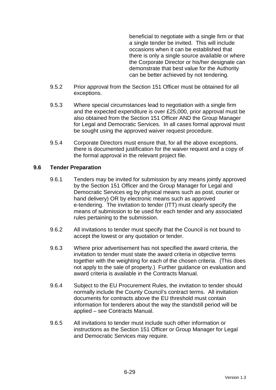beneficial to negotiate with a single firm or that a single tender be invited. This will include occasions when it can be established that there is only a single source available or where the Corporate Director or his/her designate can demonstrate that best value for the Authority can be better achieved by not tendering.

- 9.5.2 Prior approval from the Section 151 Officer must be obtained for all exceptions.
- 9.5.3 Where special circumstances lead to negotiation with a single firm and the expected expenditure is over £25,000, prior approval must be also obtained from the Section 151 Officer AND the Group Manager for Legal and Democratic Services. In all cases formal approval must be sought using the approved waiver request procedure.
- 9.5.4 Corporate Directors must ensure that, for all the above exceptions, there is documented justification for the waiver request and a copy of the formal approval in the relevant project file.

## **9.6 Tender Preparation**

- 9.6.1 Tenders may be invited for submission by any means jointly approved by the Section 151 Officer and the Group Manager for Legal and Democratic Services eg by physical means such as post, courier or hand delivery) OR by electronic means such as approved e-tendering. The invitation to tender (ITT) must clearly specify the means of submission to be used for each tender and any associated rules pertaining to the submission.
- 9.6.2 All invitations to tender must specify that the Council is not bound to accept the lowest or any quotation or tender.
- 9.6.3 Where prior advertisement has not specified the award criteria, the invitation to tender must state the award criteria in objective terms together with the weighting for each of the chosen criteria. (This does not apply to the sale of property.) Further guidance on evaluation and award criteria is available in the Contracts Manual.
- 9.6.4 Subject to the EU Procurement Rules, the invitation to tender should normally include the County Council's contract terms. All invitation documents for contracts above the EU threshold must contain information for tenderers about the way the standstill period will be applied – see Contracts Manual.
- 9.6.5 All invitations to tender must include such other information or instructions as the Section 151 Officer or Group Manager for Legal and Democratic Services may require.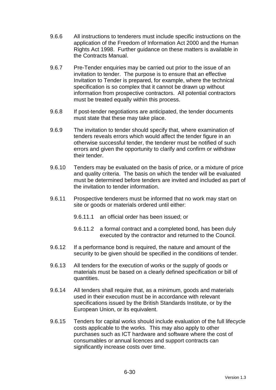- 9.6.6 All instructions to tenderers must include specific instructions on the application of the Freedom of Information Act 2000 and the Human Rights Act 1998. Further guidance on these matters is available in the Contracts Manual.
- 9.6.7 Pre-Tender enquiries may be carried out prior to the issue of an invitation to tender. The purpose is to ensure that an effective Invitation to Tender is prepared, for example, where the technical specification is so complex that it cannot be drawn up without information from prospective contractors. All potential contractors must be treated equally within this process.
- 9.6.8 If post-tender negotiations are anticipated, the tender documents must state that these may take place.
- 9.6.9 The invitation to tender should specify that, where examination of tenders reveals errors which would affect the tender figure in an otherwise successful tender, the tenderer must be notified of such errors and given the opportunity to clarify and confirm or withdraw their tender.
- 9.6.10 Tenders may be evaluated on the basis of price, or a mixture of price and quality criteria. The basis on which the tender will be evaluated must be determined before tenders are invited and included as part of the invitation to tender information.
- 9.6.11 Prospective tenderers must be informed that no work may start on site or goods or materials ordered until either:
	- 9.6.11.1 an official order has been issued; or
	- 9.6.11.2 a formal contract and a completed bond, has been duly executed by the contractor and returned to the Council.
- 9.6.12 If a performance bond is required, the nature and amount of the security to be given should be specified in the conditions of tender.
- 9.6.13 All tenders for the execution of works or the supply of goods or materials must be based on a clearly defined specification or bill of quantities.
- 9.6.14 All tenders shall require that, as a minimum, goods and materials used in their execution must be in accordance with relevant specifications issued by the British Standards Institute, or by the European Union, or its equivalent.
- 9.6.15 Tenders for capital works should include evaluation of the full lifecycle costs applicable to the works. This may also apply to other purchases such as ICT hardware and software where the cost of consumables or annual licences and support contracts can significantly increase costs over time.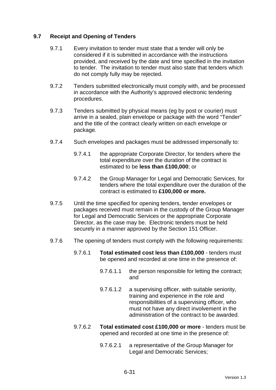## **9.7 Receipt and Opening of Tenders**

- 9.7.1 Every invitation to tender must state that a tender will only be considered if it is submitted in accordance with the instructions provided, and received by the date and time specified in the invitation to tender. The invitation to tender must also state that tenders which do not comply fully may be rejected.
- 9.7.2 Tenders submitted electronically must comply with, and be processed in accordance with the Authority's approved electronic tendering procedures.
- 9.7.3 Tenders submitted by physical means (eg by post or courier) must arrive in a sealed, plain envelope or package with the word "Tender" and the title of the contract clearly written on each envelope or package.
- 9.7.4 Such envelopes and packages must be addressed impersonally to:
	- 9.7.4.1 the appropriate Corporate Director, for tenders where the total expenditure over the duration of the contract is estimated to be **less than £100,000**; or
	- 9.7.4.2 the Group Manager for Legal and Democratic Services, for tenders where the total expenditure over the duration of the contract is estimated to **£100,000 or more.**
- 9.7.5 Until the time specified for opening tenders, tender envelopes or packages received must remain in the custody of the Group Manager for Legal and Democratic Services or the appropriate Corporate Director, as the case may be. Electronic tenders must be held securely in a manner approved by the Section 151 Officer.
- 9.7.6 The opening of tenders must comply with the following requirements:
	- 9.7.6.1 **Total estimated cost less than £100,000** tenders must be opened and recorded at one time in the presence of:
		- 9.7.6.1.1 the person responsible for letting the contract; and
		- 9.7.6.1.2 a supervising officer, with suitable seniority, training and experience in the role and responsibilities of a supervising officer, who must not have any direct involvement in the administration of the contract to be awarded.
	- 9.7.6.2 **Total estimated cost £100,000 or more** tenders must be opened and recorded at one time in the presence of:
		- 9.7.6.2.1 a representative of the Group Manager for Legal and Democratic Services;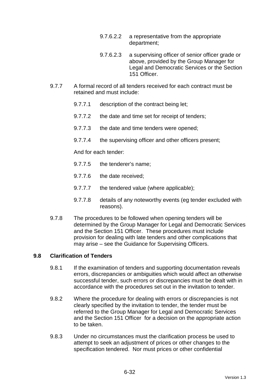- 9.7.6.2.2 a representative from the appropriate department;
- 9.7.6.2.3 a supervising officer of senior officer grade or above, provided by the Group Manager for Legal and Democratic Services or the Section 151 Officer.
- 9.7.7 A formal record of all tenders received for each contract must be retained and must include:
	- 9.7.7.1 description of the contract being let;
	- 9.7.7.2 the date and time set for receipt of tenders;
	- 9.7.7.3 the date and time tenders were opened;
	- 9.7.7.4 the supervising officer and other officers present;

And for each tender:

- 9.7.7.5 the tenderer's name;
- 9.7.7.6 the date received;
- 9.7.7.7 the tendered value (where applicable);
- 9.7.7.8 details of any noteworthy events (eg tender excluded with reasons).
- 9.7.8 The procedures to be followed when opening tenders will be determined by the Group Manager for Legal and Democratic Services and the Section 151 Officer. These procedures must include provision for dealing with late tenders and other complications that may arise – see the Guidance for Supervising Officers.

## **9.8 Clarification of Tenders**

- 9.8.1 If the examination of tenders and supporting documentation reveals errors, discrepancies or ambiguities which would affect an otherwise successful tender, such errors or discrepancies must be dealt with in accordance with the procedures set out in the invitation to tender.
- 9.8.2 Where the procedure for dealing with errors or discrepancies is not clearly specified by the invitation to tender, the tender must be referred to the Group Manager for Legal and Democratic Services and the Section 151 Officer for a decision on the appropriate action to be taken.
- 9.8.3 Under no circumstances must the clarification process be used to attempt to seek an adjustment of prices or other changes to the specification tendered. Nor must prices or other confidential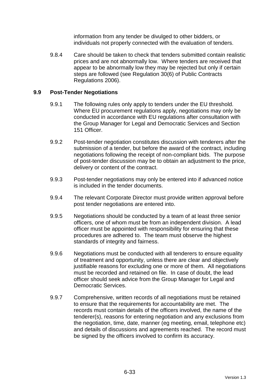information from any tender be divulged to other bidders, or individuals not properly connected with the evaluation of tenders.

9.8.4 Care should be taken to check that tenders submitted contain realistic prices and are not abnormally low. Where tenders are received that appear to be abnormally low they may be rejected but only if certain steps are followed (see Regulation 30(6) of Public Contracts Regulations 2006).

## **9.9 Post-Tender Negotiations**

- 9.9.1 The following rules only apply to tenders under the EU threshold. Where EU procurement regulations apply, negotiations may only be conducted in accordance with EU regulations after consultation with the Group Manager for Legal and Democratic Services and Section 151 Officer.
- 9.9.2 Post-tender negotiation constitutes discussion with tenderers after the submission of a tender, but before the award of the contract, including negotiations following the receipt of non-compliant bids. The purpose of post-tender discussion may be to obtain an adjustment to the price, delivery or content of the contract.
- 9.9.3 Post-tender negotiations may only be entered into if advanced notice is included in the tender documents.
- 9.9.4 The relevant Corporate Director must provide written approval before post tender negotiations are entered into.
- 9.9.5 Negotiations should be conducted by a team of at least three senior officers, one of whom must be from an independent division. A lead officer must be appointed with responsibility for ensuring that these procedures are adhered to. The team must observe the highest standards of integrity and fairness.
- 9.9.6 Negotiations must be conducted with all tenderers to ensure equality of treatment and opportunity, unless there are clear and objectively justifiable reasons for excluding one or more of them. All negotiations must be recorded and retained on file. In case of doubt, the lead officer should seek advice from the Group Manager for Legal and Democratic Services.
- 9.9.7 Comprehensive, written records of all negotiations must be retained to ensure that the requirements for accountability are met. The records must contain details of the officers involved, the name of the tenderer(s), reasons for entering negotiation and any exclusions from the negotiation, time, date, manner (eg meeting, email, telephone etc) and details of discussions and agreements reached. The record must be signed by the officers involved to confirm its accuracy.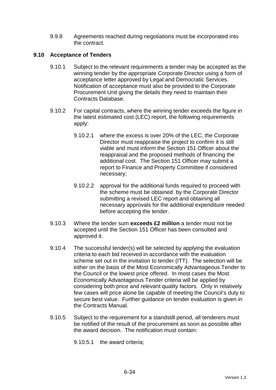9.9.8 Agreements reached during negotiations must be incorporated into the contract.

## **9.10 Acceptance of Tenders**

- 9.10.1 Subject to the relevant requirements a tender may be accepted as the winning tender by the appropriate Corporate Director using a form of acceptance letter approved by Legal and Democratic Services. Notification of acceptance must also be provided to the Corporate Procurement Unit giving the details they need to maintain their Contracts Database.
- 9.10.2 For capital contracts, where the winning tender exceeds the figure in the latest estimated cost (LEC) report, the following requirements apply:
	- 9.10.2.1 where the excess is over 20% of the LEC, the Corporate Director must reappraise the project to confirm it is still viable and must inform the Section 151 Officer about the reappraisal and the proposed methods of financing the additional cost. The Section 151 Officer may submit a report to Finance and Property Committee if considered necessary;
	- 9.10.2.2 approval for the additional funds required to proceed with the scheme must be obtained by the Corporate Director submitting a revised LEC report and obtaining all necessary approvals for the additional expenditure needed before accepting the tender.
- 9.10.3 Where the tender sum **exceeds £2 million** a tender must not be accepted until the Section 151 Officer has been consulted and approved it.
- 9.10.4 The successful tender(s) will be selected by applying the evaluation criteria to each bid received in accordance with the evaluation scheme set out in the invitation to tender (ITT). The selection will be either on the basis of the Most Economically Advantageous Tender to the Council or the lowest price offered. In most cases the Most Economically Advantageous Tender criteria will be applied by considering both price and relevant quality factors. Only in relatively few cases will price alone be capable of meeting the Council's duty to secure best value. Further guidance on tender evaluation is given in the Contracts Manual.
- 9.10.5 Subject to the requirement for a standstill period, all tenderers must be notified of the result of the procurement as soon as possible after the award decision. The notification must contain:

9.10.5.1 the award criteria;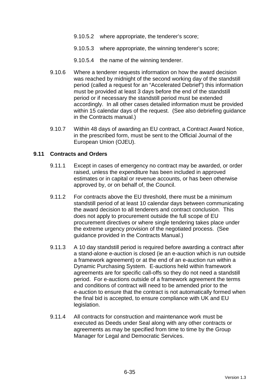- 9.10.5.2 where appropriate, the tenderer's score;
- 9.10.5.3 where appropriate, the winning tenderer's score;
- 9.10.5.4 the name of the winning tenderer.
- 9.10.6 Where a tenderer requests information on how the award decision was reached by midnight of the second working day of the standstill period (called a request for an "Accelerated Debrief") this information must be provided at least 3 days before the end of the standstill period or if necessary the standstill period must be extended accordingly. In all other cases detailed information must be provided within 15 calendar days of the request. (See also debriefing guidance in the Contracts manual.)
- 9.10.7 Within 48 days of awarding an EU contract, a Contract Award Notice, in the prescribed form, must be sent to the Official Journal of the European Union (OJEU).

#### **9.11 Contracts and Orders**

- 9.11.1 Except in cases of emergency no contract may be awarded, or order raised, unless the expenditure has been included in approved estimates or in capital or revenue accounts, or has been otherwise approved by, or on behalf of, the Council.
- 9.11.2 For contracts above the EU threshold, there must be a minimum standstill period of at least 10 calendar days between communicating the award decision to all tenderers and contract conclusion. This does not apply to procurement outside the full scope of EU procurement directives or where single tendering takes place under the extreme urgency provision of the negotiated process. (See guidance provided in the Contracts Manual.)
- 9.11.3 A 10 day standstill period is required before awarding a contract after a stand-alone e-auction is closed (ie an e-auction which is run outside a framework agreement) or at the end of an e-auction run within a Dynamic Purchasing System. E-auctions held within framework agreements are for specific call-offs so they do not need a standstill period. For e-auctions outside of a framework agreement the terms and conditions of contract will need to be amended prior to the e-auction to ensure that the contract is not automatically formed when the final bid is accepted, to ensure compliance with UK and EU legislation.
- 9.11.4 All contracts for construction and maintenance work must be executed as Deeds under Seal along with any other contracts or agreements as may be specified from time to time by the Group Manager for Legal and Democratic Services.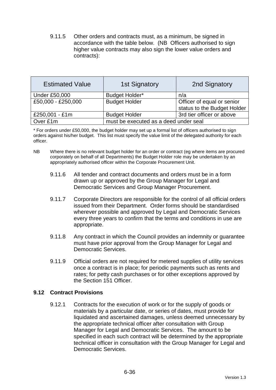9.11.5 Other orders and contracts must, as a minimum, be signed in accordance with the table below. (NB Officers authorised to sign higher value contracts may also sign the lower value orders and contracts):

| <b>Estimated Value</b> | <b>1st Signatory</b>                  | 2nd Signatory               |
|------------------------|---------------------------------------|-----------------------------|
| <b>Under £50,000</b>   | <b>Budget Holder*</b>                 | n/a                         |
| £50,000 - £250,000     | <b>Budget Holder</b>                  | Officer of equal or senior  |
|                        |                                       | status to the Budget Holder |
| £250,001 - £1m         | <b>Budget Holder</b>                  | 3rd tier officer or above   |
| Over £1m               | must be executed as a deed under seal |                             |

\* For orders under £50,000, the budget holder may set up a formal list of officers authorised to sign orders against his/her budget. This list must specify the value limit of the delegated authority for each officer.

- NB Where there is no relevant budget holder for an order or contract (eg where items are procured corporately on behalf of all Departments) the Budget Holder role may be undertaken by an appropriately authorised officer within the Corporate Procurement Unit.
	- 9.11.6 All tender and contract documents and orders must be in a form drawn up or approved by the Group Manager for Legal and Democratic Services and Group Manager Procurement.
	- 9.11.7 Corporate Directors are responsible for the control of all official orders issued from their Department. Order forms should be standardised wherever possible and approved by Legal and Democratic Services every three years to confirm that the terms and conditions in use are appropriate.
	- 9.11.8 Any contract in which the Council provides an indemnity or guarantee must have prior approval from the Group Manager for Legal and Democratic Services.
	- 9.11.9 Official orders are not required for metered supplies of utility services once a contract is in place; for periodic payments such as rents and rates; for petty cash purchases or for other exceptions approved by the Section 151 Officer.

## **9.12 Contract Provisions**

9.12.1 Contracts for the execution of work or for the supply of goods or materials by a particular date, or series of dates, must provide for liquidated and ascertained damages, unless deemed unnecessary by the appropriate technical officer after consultation with Group Manager for Legal and Democratic Services. The amount to be specified in each such contract will be determined by the appropriate technical officer in consultation with the Group Manager for Legal and Democratic Services.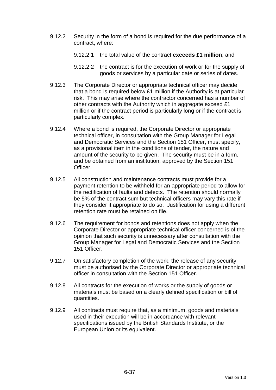- 9.12.2 Security in the form of a bond is required for the due performance of a contract, where:
	- 9.12.2.1 the total value of the contract **exceeds £1 million**; and
	- 9.12.2.2 the contract is for the execution of work or for the supply of goods or services by a particular date or series of dates.
- 9.12.3 The Corporate Director or appropriate technical officer may decide that a bond is required below £1 million if the Authority is at particular risk. This may arise where the contractor concerned has a number of other contracts with the Authority which in aggregate exceed £1 million or if the contract period is particularly long or if the contract is particularly complex.
- 9.12.4 Where a bond is required, the Corporate Director or appropriate technical officer, in consultation with the Group Manager for Legal and Democratic Services and the Section 151 Officer, must specify, as a provisional item in the conditions of tender, the nature and amount of the security to be given. The security must be in a form, and be obtained from an institution, approved by the Section 151 Officer.
- 9.12.5 All construction and maintenance contracts must provide for a payment retention to be withheld for an appropriate period to allow for the rectification of faults and defects. The retention should normally be 5% of the contract sum but technical officers may vary this rate if they consider it appropriate to do so. Justification for using a different retention rate must be retained on file.
- 9.12.6 The requirement for bonds and retentions does not apply when the Corporate Director or appropriate technical officer concerned is of the opinion that such security is unnecessary after consultation with the Group Manager for Legal and Democratic Services and the Section 151 Officer.
- 9.12.7 On satisfactory completion of the work, the release of any security must be authorised by the Corporate Director or appropriate technical officer in consultation with the Section 151 Officer.
- 9.12.8 All contracts for the execution of works or the supply of goods or materials must be based on a clearly defined specification or bill of quantities.
- 9.12.9 All contracts must require that, as a minimum, goods and materials used in their execution will be in accordance with relevant specifications issued by the British Standards Institute, or the European Union or its equivalent.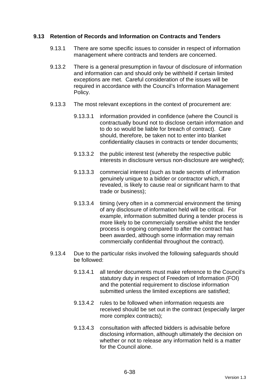## **9.13 Retention of Records and Information on Contracts and Tenders**

- 9.13.1 There are some specific issues to consider in respect of information management where contracts and tenders are concerned.
- 9.13.2 There is a general presumption in favour of disclosure of information and information can and should only be withheld if certain limited exceptions are met. Careful consideration of the issues will be required in accordance with the Council's Information Management Policy.
- 9.13.3 The most relevant exceptions in the context of procurement are:
	- 9.13.3.1 information provided in confidence (where the Council is contractually bound not to disclose certain information and to do so would be liable for breach of contract). Care should, therefore, be taken not to enter into blanket confidentiality clauses in contracts or tender documents;
	- 9.13.3.2 the public interest test (whereby the respective public interests in disclosure versus non-disclosure are weighed);
	- 9.13.3.3 commercial interest (such as trade secrets of information genuinely unique to a bidder or contractor which, if revealed, is likely to cause real or significant harm to that trade or business);
	- 9.13.3.4 timing (very often in a commercial environment the timing of any disclosure of information held will be critical. For example, information submitted during a tender process is more likely to be commercially sensitive whilst the tender process is ongoing compared to after the contract has been awarded, although some information may remain commercially confidential throughout the contract).
- 9.13.4 Due to the particular risks involved the following safeguards should be followed:
	- 9.13.4.1 all tender documents must make reference to the Council's statutory duty in respect of Freedom of Information (FOI) and the potential requirement to disclose information submitted unless the limited exceptions are satisfied;
	- 9.13.4.2 rules to be followed when information requests are received should be set out in the contract (especially larger more complex contracts);
	- 9.13.4.3 consultation with affected bidders is advisable before disclosing information, although ultimately the decision on whether or not to release any information held is a matter for the Council alone.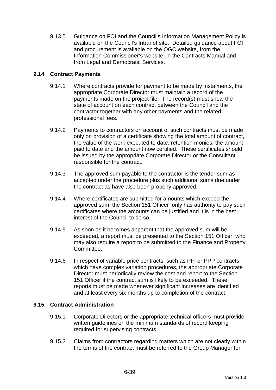9.13.5 Guidance on FOI and the Council's Information Management Policy is available on the Council's Intranet site. Detailed guidance about FOI and procurement is available on the OGC website, from the Information Commissioner's website, in the Contracts Manual and from Legal and Democratic Services.

# **9.14 Contract Payments**

- 9.14.1 Where contracts provide for payment to be made by instalments, the appropriate Corporate Director must maintain a record of the payments made on the project file. The record(s) must show the state of account on each contract between the Council and the contractor together with any other payments and the related professional fees.
- 9.14.2 Payments to contractors on account of such contracts must be made only on provision of a certificate showing the total amount of contract, the value of the work executed to date, retention monies, the amount paid to date and the amount now certified. These certificates should be issued by the appropriate Corporate Director or the Consultant responsible for the contract.
- 9.14.3 The approved sum payable to the contractor is the tender sum as accepted under the procedure plus such additional sums due under the contract as have also been properly approved.
- 9.14.4 Where certificates are submitted for amounts which exceed the approved sum, the Section 151 Officer only has authority to pay such certificates where the amounts can be justified and it is in the best interest of the Council to do so.
- 9.14.5 As soon as it becomes apparent that the approved sum will be exceeded, a report must be presented to the Section 151 Officer, who may also require a report to be submitted to the Finance and Property Committee.
- 9.14.6 In respect of variable price contracts, such as PFI or PPP contracts which have complex variation procedures, the appropriate Corporate Director must periodically review the cost and report to the Section 151 Officer if the contract sum is likely to be exceeded. These reports must be made whenever significant increases are identified and at least every six months up to completion of the contract.

## **9.15 Contract Administration**

- 9.15.1 Corporate Directors or the appropriate technical officers must provide written guidelines on the minimum standards of record keeping required for supervising contracts.
- 9.15.2 Claims from contractors regarding matters which are not clearly within the terms of the contract must be referred to the Group Manager for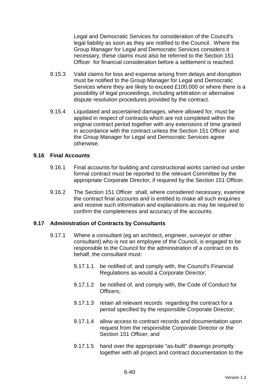Legal and Democratic Services for consideration of the Council's legal liability as soon as they are notified to the Council. Where the Group Manager for Legal and Democratic Services considers it necessary, these claims must also be referred to the Section 151 Officer for financial consideration before a settlement is reached.

- 9.15.3 Valid claims for loss and expense arising from delays and disruption must be notified to the Group Manager for Legal and Democratic Services where they are likely to exceed £100,000 or where there is a possibility of legal proceedings, including arbitration or alternative dispute resolution procedures provided by the contract.
- 9.15.4 Liquidated and ascertained damages, where allowed for, must be applied in respect of contracts which are not completed within the original contract period together with any extensions of time granted in accordance with the contract unless the Section 151 Officer and the Group Manager for Legal and Democratic Services agree otherwise.

#### **9.16 Final Accounts**

- 9.16.1 Final accounts for building and constructional works carried out under formal contract must be reported to the relevant Committee by the appropriate Corporate Director, if required by the Section 151 Officer.
- 9.16.2 The Section 151 Officer shall, where considered necessary, examine the contract final accounts and is entitled to make all such enquiries and receive such information and explanations as may be required to confirm the completeness and accuracy of the accounts.

## **9.17 Administration of Contracts by Consultants**

- 9.17.1 Where a consultant (eg an architect, engineer, surveyor or other consultant) who is not an employee of the Council, is engaged to be responsible to the Council for the administration of a contract on its behalf, the consultant must:
	- 9.17.1.1 be notified of, and comply with, the Council's Financial Regulations as would a Corporate Director;
	- 9.17.1.2 be notified of, and comply with, the Code of Conduct for Officers;
	- 9.17.1.3 retain all relevant records regarding the contract for a period specified by the responsible Corporate Director;
	- 9.17.1.4 allow access to contract records and documentation upon request from the responsible Corporate Director or the Section 151 Officer: and
	- 9.17.1.5 hand over the appropriate "as-built" drawings promptly together with all project and contract documentation to the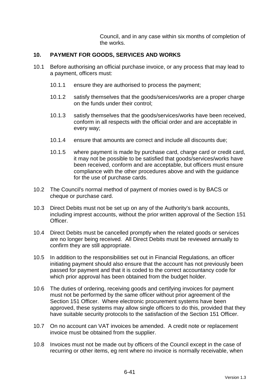Council, and in any case within six months of completion of the works.

### **10. PAYMENT FOR GOODS, SERVICES AND WORKS**

- 10.1 Before authorising an official purchase invoice, or any process that may lead to a payment, officers must:
	- 10.1.1 ensure they are authorised to process the payment;
	- 10.1.2 satisfy themselves that the goods/services/works are a proper charge on the funds under their control;
	- 10.1.3 satisfy themselves that the goods/services/works have been received, conform in all respects with the official order and are acceptable in every way;
	- 10.1.4 ensure that amounts are correct and include all discounts due;
	- 10.1.5 where payment is made by purchase card, charge card or credit card, it may not be possible to be satisfied that goods/services/works have been received, conform and are acceptable, but officers must ensure compliance with the other procedures above and with the guidance for the use of purchase cards.
- 10.2 The Council's normal method of payment of monies owed is by BACS or cheque or purchase card.
- 10.3 Direct Debits must not be set up on any of the Authority's bank accounts, including imprest accounts, without the prior written approval of the Section 151 Officer.
- 10.4 Direct Debits must be cancelled promptly when the related goods or services are no longer being received. All Direct Debits must be reviewed annually to confirm they are still appropriate.
- 10.5 In addition to the responsibilities set out in Financial Regulations, an officer initiating payment should also ensure that the account has not previously been passed for payment and that it is coded to the correct accountancy code for which prior approval has been obtained from the budget holder.
- 10.6 The duties of ordering, receiving goods and certifying invoices for payment must not be performed by the same officer without prior agreement of the Section 151 Officer. Where electronic procurement systems have been approved, these systems may allow single officers to do this, provided that they have suitable security protocols to the satisfaction of the Section 151 Officer.
- 10.7 On no account can VAT invoices be amended. A credit note or replacement invoice must be obtained from the supplier.
- 10.8 Invoices must not be made out by officers of the Council except in the case of recurring or other items, eg rent where no invoice is normally receivable, when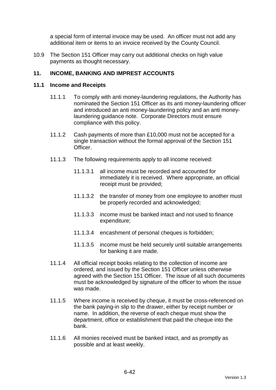a special form of internal invoice may be used. An officer must not add any additional item or items to an invoice received by the County Council.

10.9 The Section 151 Officer may carry out additional checks on high value payments as thought necessary.

### **11. INCOME, BANKING AND IMPREST ACCOUNTS**

#### **11.1 Income and Receipts**

- 11.1.1 To comply with anti money-laundering regulations, the Authority has nominated the Section 151 Officer as its anti money-laundering officer and introduced an anti money-laundering policy and an anti moneylaundering guidance note. Corporate Directors must ensure compliance with this policy.
- 11.1.2 Cash payments of more than £10,000 must not be accepted for a single transaction without the formal approval of the Section 151 Officer.
- 11.1.3 The following requirements apply to all income received:
	- 11.1.3.1 all income must be recorded and accounted for immediately it is received. Where appropriate, an official receipt must be provided;
	- 11.1.3.2 the transfer of money from one employee to another must be properly recorded and acknowledged;
	- 11.1.3.3 income must be banked intact and not used to finance expenditure;
	- 11.1.3.4 encashment of personal cheques is forbidden;
	- 11.1.3.5 income must be held securely until suitable arrangements for banking it are made.
- 11.1.4 All official receipt books relating to the collection of income are ordered, and issued by the Section 151 Officer unless otherwise agreed with the Section 151 Officer. The issue of all such documents must be acknowledged by signature of the officer to whom the issue was made.
- 11.1.5 Where income is received by cheque, it must be cross-referenced on the bank paying-in slip to the drawer, either by receipt number or name. In addition, the reverse of each cheque must show the department, office or establishment that paid the cheque into the bank.
- 11.1.6 All monies received must be banked intact, and as promptly as possible and at least weekly.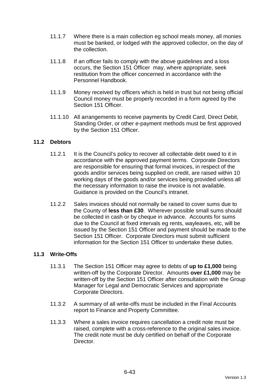- 11.1.7 Where there is a main collection eg school meals money, all monies must be banked, or lodged with the approved collector, on the day of the collection.
- 11.1.8 If an officer fails to comply with the above guidelines and a loss occurs, the Section 151 Officer may, where appropriate, seek restitution from the officer concerned in accordance with the Personnel Handbook.
- 11.1.9 Money received by officers which is held in trust but not being official Council money must be properly recorded in a form agreed by the Section 151 Officer
- 11.1.10 All arrangements to receive payments by Credit Card, Direct Debit, Standing Order, or other e-payment methods must be first approved by the Section 151 Officer.

### **11.2 Debtors**

- 11.2.1 It is the Council's policy to recover all collectable debt owed to it in accordance with the approved payment terms. Corporate Directors are responsible for ensuring that formal invoices, in respect of the goods and/or services being supplied on credit, are raised within 10 working days of the goods and/or services being provided unless all the necessary information to raise the invoice is not available. Guidance is provided on the Council's intranet.
- 11.2.2 Sales invoices should not normally be raised to cover sums due to the County of **less than £30**. Wherever possible small sums should be collected in cash or by cheque in advance. Accounts for sums due to the Council at fixed intervals eg rents, wayleaves, etc, will be issued by the Section 151 Officer and payment should be made to the Section 151 Officer. Corporate Directors must submit sufficient information for the Section 151 Officer to undertake these duties.

### **11.3 Write-Offs**

- 11.3.1 The Section 151 Officer may agree to debts of **up to £1,000** being written-off by the Corporate Director. Amounts **over £1,000** may be written-off by the Section 151 Officer after consultation with the Group Manager for Legal and Democratic Services and appropriate Corporate Directors.
- 11.3.2 A summary of all write-offs must be included in the Final Accounts report to Finance and Property Committee.
- 11.3.3 Where a sales invoice requires cancellation a credit note must be raised, complete with a cross-reference to the original sales invoice. The credit note must be duly certified on behalf of the Corporate Director.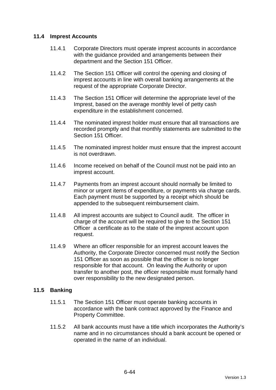### **11.4 Imprest Accounts**

- 11.4.1 Corporate Directors must operate imprest accounts in accordance with the guidance provided and arrangements between their department and the Section 151 Officer.
- 11.4.2 The Section 151 Officer will control the opening and closing of imprest accounts in line with overall banking arrangements at the request of the appropriate Corporate Director.
- 11.4.3 The Section 151 Officer will determine the appropriate level of the Imprest, based on the average monthly level of petty cash expenditure in the establishment concerned.
- 11.4.4 The nominated imprest holder must ensure that all transactions are recorded promptly and that monthly statements are submitted to the Section 151 Officer.
- 11.4.5 The nominated imprest holder must ensure that the imprest account is not overdrawn.
- 11.4.6 Income received on behalf of the Council must not be paid into an imprest account.
- 11.4.7 Payments from an imprest account should normally be limited to minor or urgent items of expenditure, or payments via charge cards. Each payment must be supported by a receipt which should be appended to the subsequent reimbursement claim.
- 11.4.8 All imprest accounts are subject to Council audit. The officer in charge of the account will be required to give to the Section 151 Officer a certificate as to the state of the imprest account upon request.
- 11.4.9 Where an officer responsible for an imprest account leaves the Authority, the Corporate Director concerned must notify the Section 151 Officer as soon as possible that the officer is no longer responsible for that account. On leaving the Authority or upon transfer to another post, the officer responsible must formally hand over responsibility to the new designated person.

### **11.5 Banking**

- 11.5.1 The Section 151 Officer must operate banking accounts in accordance with the bank contract approved by the Finance and Property Committee.
- 11.5.2 All bank accounts must have a title which incorporates the Authority's name and in no circumstances should a bank account be opened or operated in the name of an individual.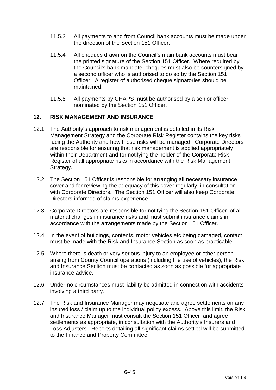- 11.5.3 All payments to and from Council bank accounts must be made under the direction of the Section 151 Officer.
- 11.5.4 All cheques drawn on the Council's main bank accounts must bear the printed signature of the Section 151 Officer. Where required by the Council's bank mandate, cheques must also be countersigned by a second officer who is authorised to do so by the Section 151 Officer. A register of authorised cheque signatories should be maintained.
- 11.5.5 All payments by CHAPS must be authorised by a senior officer nominated by the Section 151 Officer.

### **12. RISK MANAGEMENT AND INSURANCE**

- 12.1 The Authority's approach to risk management is detailed in its Risk Management Strategy and the Corporate Risk Register contains the key risks facing the Authority and how these risks will be managed. Corporate Directors are responsible for ensuring that risk management is applied appropriately within their Department and for notifying the holder of the Corporate Risk Register of all appropriate risks in accordance with the Risk Management Strategy.
- 12.2 The Section 151 Officer is responsible for arranging all necessary insurance cover and for reviewing the adequacy of this cover regularly, in consultation with Corporate Directors. The Section 151 Officer will also keep Corporate Directors informed of claims experience.
- 12.3 Corporate Directors are responsible for notifying the Section 151 Officer of all material changes in insurance risks and must submit insurance claims in accordance with the arrangements made by the Section 151 Officer.
- 12.4 In the event of buildings, contents, motor vehicles etc being damaged, contact must be made with the Risk and Insurance Section as soon as practicable.
- 12.5 Where there is death or very serious injury to an employee or other person arising from County Council operations (including the use of vehicles), the Risk and Insurance Section must be contacted as soon as possible for appropriate insurance advice.
- 12.6 Under no circumstances must liability be admitted in connection with accidents involving a third party.
- 12.7 The Risk and Insurance Manager may negotiate and agree settlements on any insured loss / claim up to the individual policy excess. Above this limit, the Risk and Insurance Manager must consult the Section 151 Officer and agree settlements as appropriate, in consultation with the Authority's Insurers and Loss Adjusters. Reports detailing all significant claims settled will be submitted to the Finance and Property Committee.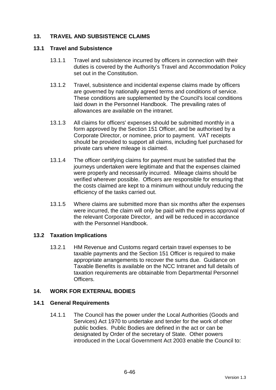# **13. TRAVEL AND SUBSISTENCE CLAIMS**

#### **13.1 Travel and Subsistence**

- 13.1.1 Travel and subsistence incurred by officers in connection with their duties is covered by the Authority's Travel and Accommodation Policy set out in the Constitution.
- 13.1.2 Travel, subsistence and incidental expense claims made by officers are governed by nationally agreed terms and conditions of service. These conditions are supplemented by the Council's local conditions laid down in the Personnel Handbook. The prevailing rates of allowances are available on the intranet.
- 13.1.3 All claims for officers' expenses should be submitted monthly in a form approved by the Section 151 Officer, and be authorised by a Corporate Director, or nominee, prior to payment. VAT receipts should be provided to support all claims, including fuel purchased for private cars where mileage is claimed.
- 13.1.4 The officer certifying claims for payment must be satisfied that the journeys undertaken were legitimate and that the expenses claimed were properly and necessarily incurred. Mileage claims should be verified wherever possible. Officers are responsible for ensuring that the costs claimed are kept to a minimum without unduly reducing the efficiency of the tasks carried out.
- 13.1.5 Where claims are submitted more than six months after the expenses were incurred, the claim will only be paid with the express approval of the relevant Corporate Director, and will be reduced in accordance with the Personnel Handbook.

### **13.2 Taxation Implications**

13.2.1 HM Revenue and Customs regard certain travel expenses to be taxable payments and the Section 151 Officer is required to make appropriate arrangements to recover the sums due. Guidance on Taxable Benefits is available on the NCC Intranet and full details of taxation requirements are obtainable from Departmental Personnel **Officers** 

### **14. WORK FOR EXTERNAL BODIES**

### **14.1 General Requirements**

14.1.1 The Council has the power under the Local Authorities (Goods and Services) Act 1970 to undertake and tender for the work of other public bodies. Public Bodies are defined in the act or can be designated by Order of the secretary of State. Other powers introduced in the Local Government Act 2003 enable the Council to: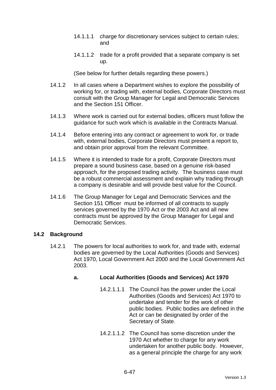- 14.1.1.1 charge for discretionary services subject to certain rules; and
- 14.1.1.2 trade for a profit provided that a separate company is set up.

(See below for further details regarding these powers.)

- 14.1.2 In all cases where a Department wishes to explore the possibility of working for, or trading with, external bodies, Corporate Directors must consult with the Group Manager for Legal and Democratic Services and the Section 151 Officer.
- 14.1.3 Where work is carried out for external bodies, officers must follow the guidance for such work which is available in the Contracts Manual.
- 14.1.4 Before entering into any contract or agreement to work for, or trade with, external bodies, Corporate Directors must present a report to, and obtain prior approval from the relevant Committee.
- 14.1.5 Where it is intended to trade for a profit, Corporate Directors must prepare a sound business case, based on a genuine risk-based approach, for the proposed trading activity. The business case must be a robust commercial assessment and explain why trading through a company is desirable and will provide best value for the Council.
- 14.1.6 The Group Manager for Legal and Democratic Services and the Section 151 Officer must be informed of all contracts to supply services governed by the 1970 Act or the 2003 Act and all new contracts must be approved by the Group Manager for Legal and Democratic Services.

### **14.2 Background**

14.2.1 The powers for local authorities to work for, and trade with, external bodies are governed by the Local Authorities (Goods and Services) Act 1970, Local Government Act 2000 and the Local Government Act 2003.

# **a. Local Authorities (Goods and Services) Act 1970**

- 14.2.1.1.1 The Council has the power under the Local Authorities (Goods and Services) Act 1970 to undertake and tender for the work of other public bodies. Public bodies are defined in the Act or can be designated by order of the Secretary of State.
- 14.2.1.1.2 The Council has some discretion under the 1970 Act whether to charge for any work undertaken for another public body. However, as a general principle the charge for any work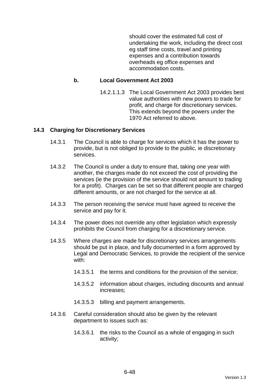should cover the estimated full cost of undertaking the work, including the direct cost eg staff time costs, travel and printing expenses and a contribution towards overheads eg office expenses and accommodation costs.

### **b. Local Government Act 2003**

14.2.1.1.3 The Local Government Act 2003 provides best value authorities with new powers to trade for profit, and charge for discretionary services. This extends beyond the powers under the 1970 Act referred to above.

#### **14.3 Charging for Discretionary Services**

- 14.3.1 The Council is able to charge for services which it has the power to provide, but is not obliged to provide to the public, ie discretionary services.
- 14.3.2 The Council is under a duty to ensure that, taking one year with another, the charges made do not exceed the cost of providing the services (ie the provision of the service should not amount to trading for a profit). Charges can be set so that different people are charged different amounts, or are not charged for the service at all.
- 14.3.3 The person receiving the service must have agreed to receive the service and pay for it.
- 14.3.4 The power does not override any other legislation which expressly prohibits the Council from charging for a discretionary service.
- 14.3.5 Where charges are made for discretionary services arrangements should be put in place, and fully documented in a form approved by Legal and Democratic Services, to provide the recipient of the service with:
	- 14.3.5.1 the terms and conditions for the provision of the service;
	- 14.3.5.2 information about charges, including discounts and annual increases;
	- 14.3.5.3 billing and payment arrangements.
- 14.3.6 Careful consideration should also be given by the relevant department to issues such as:
	- 14.3.6.1 the risks to the Council as a whole of engaging in such activity;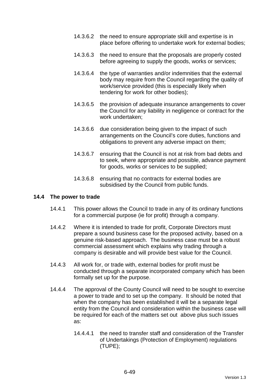- 14.3.6.2 the need to ensure appropriate skill and expertise is in place before offering to undertake work for external bodies;
- 14.3.6.3 the need to ensure that the proposals are properly costed before agreeing to supply the goods, works or services;
- 14.3.6.4 the type of warranties and/or indemnities that the external body may require from the Council regarding the quality of work/service provided (this is especially likely when tendering for work for other bodies);
- 14.3.6.5 the provision of adequate insurance arrangements to cover the Council for any liability in negligence or contract for the work undertaken;
- 14.3.6.6 due consideration being given to the impact of such arrangements on the Council's core duties, functions and obligations to prevent any adverse impact on them;
- 14.3.6.7 ensuring that the Council is not at risk from bad debts and to seek, where appropriate and possible, advance payment for goods, works or services to be supplied;
- 14.3.6.8 ensuring that no contracts for external bodies are subsidised by the Council from public funds.

#### **14.4 The power to trade**

- 14.4.1 This power allows the Council to trade in any of its ordinary functions for a commercial purpose (ie for profit) through a company.
- 14.4.2 Where it is intended to trade for profit, Corporate Directors must prepare a sound business case for the proposed activity, based on a genuine risk-based approach. The business case must be a robust commercial assessment which explains why trading through a company is desirable and will provide best value for the Council.
- 14.4.3 All work for, or trade with, external bodies for profit must be conducted through a separate incorporated company which has been formally set up for the purpose.
- 14.4.4 The approval of the County Council will need to be sought to exercise a power to trade and to set up the company. It should be noted that when the company has been established it will be a separate legal entity from the Council and consideration within the business case will be required for each of the matters set out above plus such issues as:
	- 14.4.4.1 the need to transfer staff and consideration of the Transfer of Undertakings (Protection of Employment) regulations (TUPE);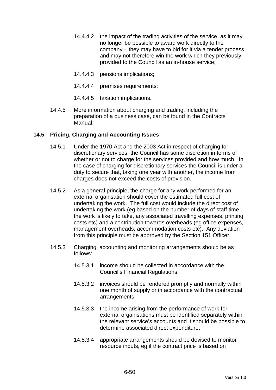- 14.4.4.2 the impact of the trading activities of the service, as it may no longer be possible to award work directly to the company – they may have to bid for it via a tender process and may not therefore win the work which they previously provided to the Council as an in-house service;
- 14.4.4.3 pensions implications;
- 14.4.4.4 premises requirements;
- 14.4.4.5 taxation implications.
- 14.4.5 More information about charging and trading, including the preparation of a business case, can be found in the Contracts Manual.

### **14.5 Pricing, Charging and Accounting Issues**

- 14.5.1 Under the 1970 Act and the 2003 Act in respect of charging for discretionary services, the Council has some discretion in terms of whether or not to charge for the services provided and how much. In the case of charging for discretionary services the Council is under a duty to secure that, taking one year with another, the income from charges does not exceed the costs of provision.
- 14.5.2 As a general principle, the charge for any work performed for an external organisation should cover the estimated full cost of undertaking the work. The full cost would include the direct cost of undertaking the work (eg based on the number of days of staff time the work is likely to take, any associated travelling expenses, printing costs etc) and a contribution towards overheads (eg office expenses, management overheads, accommodation costs etc). Any deviation from this principle must be approved by the Section 151 Officer.
- 14.5.3 Charging, accounting and monitoring arrangements should be as follows:
	- 14.5.3.1 income should be collected in accordance with the Council's Financial Regulations;
	- 14.5.3.2 invoices should be rendered promptly and normally within one month of supply or in accordance with the contractual arrangements;
	- 14.5.3.3 the income arising from the performance of work for external organisations must be identified separately within the relevant service's accounts and it should be possible to determine associated direct expenditure;
	- 14.5.3.4 appropriate arrangements should be devised to monitor resource inputs, eg if the contract price is based on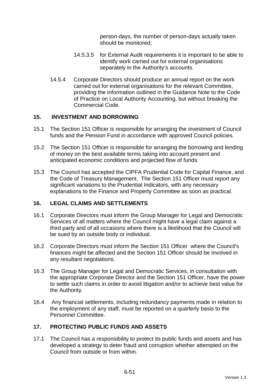person-days, the number of person-days actually taken should be monitored;

- 14.5.3.5 for External Audit requirements it is important to be able to identify work carried out for external organisations separately in the Authority's accounts.
- 14.5.4 Corporate Directors should produce an annual report on the work carried out for external organisations for the relevant Committee, providing the information outlined in the Guidance Note to the Code of Practice on Local Authority Accounting, but without breaking the Commercial Code.

### **15. INVESTMENT AND BORROWING**

- 15.1 The Section 151 Officer is responsible for arranging the investment of Council funds and the Pension Fund in accordance with approved Council policies.
- 15.2 The Section 151 Officer is responsible for arranging the borrowing and lending of money on the best available terms taking into account present and anticipated economic conditions and projected flow of funds.
- 15.3 The Council has accepted the CIPFA Prudential Code for Capital Finance, and the Code of Treasury Management. The Section 151 Officer must report any significant variations to the Prudential Indicators, with any necessary explanations to the Finance and Property Committee as soon as practical.

### **16. LEGAL CLAIMS AND SETTLEMENTS**

- 16.1 Corporate Directors must inform the Group Manager for Legal and Democratic Services of all matters where the Council might have a legal claim against a third party and of all occasions where there is a likelihood that the Council will be sued by an outside body or individual.
- 16.2 Corporate Directors must inform the Section 151 Officer where the Council's finances might be affected and the Section 151 Officer should be involved in any resultant negotiations.
- 16.3 The Group Manager for Legal and Democratic Services, in consultation with the appropriate Corporate Director and the Section 151 Officer, have the power to settle such claims in order to avoid litigation and/or to achieve best value for the Authority.
- 16.4 Any financial settlements, including redundancy payments made in relation to the employment of any staff, must be reported on a quarterly basis to the Personnel Committee.

# **17. PROTECTING PUBLIC FUNDS AND ASSETS**

17.1 The Council has a responsibility to protect its public funds and assets and has developed a strategy to deter fraud and corruption whether attempted on the Council from outside or from within.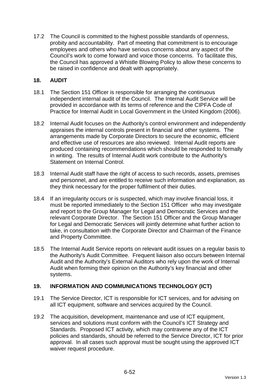17.2 The Council is committed to the highest possible standards of openness, probity and accountability. Part of meeting that commitment is to encourage employees and others who have serious concerns about any aspect of the Council's work to come forward and voice those concerns. To facilitate this, the Council has approved a Whistle Blowing Policy to allow these concerns to be raised in confidence and dealt with appropriately.

### **18. AUDIT**

- 18.1 The Section 151 Officer is responsible for arranging the continuous independent internal audit of the Council. The Internal Audit Service will be provided in accordance with its terms of reference and the CIPFA Code of Practice for Internal Audit in Local Government in the United Kingdom (2006).
- 18.2 Internal Audit focuses on the Authority's control environment and independently appraises the internal controls present in financial and other systems. The arrangements made by Corporate Directors to secure the economic, efficient and effective use of resources are also reviewed. Internal Audit reports are produced containing recommendations which should be responded to formally in writing. The results of Internal Audit work contribute to the Authority's Statement on Internal Control.
- 18.3 Internal Audit staff have the right of access to such records, assets, premises and personnel, and are entitled to receive such information and explanation, as they think necessary for the proper fulfilment of their duties.
- 18.4 If an irregularity occurs or is suspected, which may involve financial loss, it must be reported immediately to the Section 151 Officer who may investigate and report to the Group Manager for Legal and Democratic Services and the relevant Corporate Director. The Section 151 Officer and the Group Manager for Legal and Democratic Services will jointly determine what further action to take, in consultation with the Corporate Director and Chairman of the Finance and Property Committee.
- 18.5 The Internal Audit Service reports on relevant audit issues on a regular basis to the Authority's Audit Committee. Frequent liaison also occurs between Internal Audit and the Authority's External Auditors who rely upon the work of Internal Audit when forming their opinion on the Authority's key financial and other systems.

# **19. INFORMATION AND COMMUNICATIONS TECHNOLOGY (ICT)**

- 19.1 The Service Director, ICT is responsible for ICT services, and for advising on all ICT equipment, software and services acquired by the Council.
- 19.2 The acquisition, development, maintenance and use of ICT equipment, services and solutions must conform with the Council's ICT Strategy and Standards. Proposed ICT activity, which may contravene any of the ICT policies and standards, should be referred to the Service Director, ICT for prior approval. In all cases such approval must be sought using the approved ICT waiver request procedure.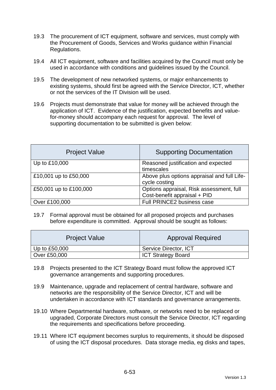- 19.3 The procurement of ICT equipment, software and services, must comply with the Procurement of Goods, Services and Works guidance within Financial Regulations.
- 19.4 All ICT equipment, software and facilities acquired by the Council must only be used in accordance with conditions and guidelines issued by the Council.
- 19.5 The development of new networked systems, or major enhancements to existing systems, should first be agreed with the Service Director, ICT, whether or not the services of the IT Division will be used.
- 19.6 Projects must demonstrate that value for money will be achieved through the application of ICT. Evidence of the justification, expected benefits and valuefor-money should accompany each request for approval. The level of supporting documentation to be submitted is given below:

| <b>Project Value</b>   | <b>Supporting Documentation</b>                                          |
|------------------------|--------------------------------------------------------------------------|
| Up to £10,000          | Reasoned justification and expected<br>timescales                        |
| £10,001 up to £50,000  | Above plus options appraisal and full Life-<br>cycle costing             |
| £50,001 up to £100,000 | Options appraisal, Risk assessment, full<br>Cost-benefit appraisal + PID |
| Over £100,000          | Full PRINCE2 business case                                               |

19.7 Formal approval must be obtained for all proposed projects and purchases before expenditure is committed. Approval should be sought as follows:

| <b>Project Value</b> | <b>Approval Required</b>  |
|----------------------|---------------------------|
| Up to $£50,000$      | Service Director, ICT     |
| Over £50,000         | <b>ICT Strategy Board</b> |

- 19.8 Projects presented to the ICT Strategy Board must follow the approved ICT governance arrangements and supporting procedures.
- 19.9 Maintenance, upgrade and replacement of central hardware, software and networks are the responsibility of the Service Director, ICT and will be undertaken in accordance with ICT standards and governance arrangements.
- 19.10 Where Departmental hardware, software, or networks need to be replaced or upgraded, Corporate Directors must consult the Service Director, ICT regarding the requirements and specifications before proceeding.
- 19.11 Where ICT equipment becomes surplus to requirements, it should be disposed of using the ICT disposal procedures. Data storage media, eg disks and tapes,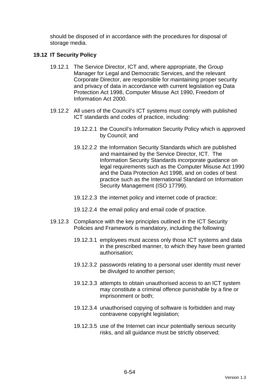should be disposed of in accordance with the procedures for disposal of storage media.

### **19.12 IT Security Policy**

- 19.12.1 The Service Director, ICT and, where appropriate, the Group Manager for Legal and Democratic Services, and the relevant Corporate Director, are responsible for maintaining proper security and privacy of data in accordance with current legislation eg Data Protection Act 1998, Computer Misuse Act 1990, Freedom of Information Act 2000.
- 19.12.2 All users of the Council's ICT systems must comply with published ICT standards and codes of practice, including:
	- 19.12.2.1 the Council's Information Security Policy which is approved by Council; and
	- 19.12.2.2 the Information Security Standards which are published and maintained by the Service Director, ICT. The Information Security Standards incorporate guidance on legal requirements such as the Computer Misuse Act 1990 and the Data Protection Act 1998, and on codes of best practice such as the International Standard on Information Security Management (ISO 17799).
	- 19.12.2.3 the internet policy and internet code of practice;
	- 19.12.2.4 the email policy and email code of practice.
- 19.12.3 Compliance with the key principles outlined in the ICT Security Policies and Framework is mandatory, including the following:
	- 19.12.3.1 employees must access only those ICT systems and data in the prescribed manner, to which they have been granted authorisation;
	- 19.12.3.2 passwords relating to a personal user identity must never be divulged to another person;
	- 19.12.3.3 attempts to obtain unauthorised access to an ICT system may constitute a criminal offence punishable by a fine or imprisonment or both;
	- 19.12.3.4 unauthorised copying of software is forbidden and may contravene copyright legislation;
	- 19.12.3.5 use of the Internet can incur potentially serious security risks, and all guidance must be strictly observed;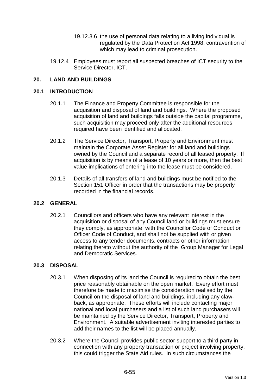- 19.12.3.6 the use of personal data relating to a living individual is regulated by the Data Protection Act 1998, contravention of which may lead to criminal prosecution.
- 19.12.4 Employees must report all suspected breaches of ICT security to the Service Director, ICT.

### **20. LAND AND BUILDINGS**

#### **20.1 INTRODUCTION**

- 20.1.1 The Finance and Property Committee is responsible for the acquisition and disposal of land and buildings. Where the proposed acquisition of land and buildings falls outside the capital programme, such acquisition may proceed only after the additional resources required have been identified and allocated.
- 20.1.2 The Service Director, Transport, Property and Environment must maintain the Corporate Asset Register for all land and buildings owned by the Council and a separate record of all leased property. If acquisition is by means of a lease of 10 years or more, then the best value implications of entering into the lease must be considered.
- 20.1.3 Details of all transfers of land and buildings must be notified to the Section 151 Officer in order that the transactions may be properly recorded in the financial records.

### **20.2 GENERAL**

20.2.1 Councillors and officers who have any relevant interest in the acquisition or disposal of any Council land or buildings must ensure they comply, as appropriate, with the Councillor Code of Conduct or Officer Code of Conduct, and shall not be supplied with or given access to any tender documents, contracts or other information relating thereto without the authority of the Group Manager for Legal and Democratic Services.

#### **20.3 DISPOSAL**

- 20.3.1 When disposing of its land the Council is required to obtain the best price reasonably obtainable on the open market. Every effort must therefore be made to maximise the consideration realised by the Council on the disposal of land and buildings, including any clawback, as appropriate. These efforts will include contacting major national and local purchasers and a list of such land purchasers will be maintained by the Service Director, Transport, Property and Environment. A suitable advertisement inviting interested parties to add their names to the list will be placed annually.
- 20.3.2 Where the Council provides public sector support to a third party in connection with any property transaction or project involving property, this could trigger the State Aid rules. In such circumstances the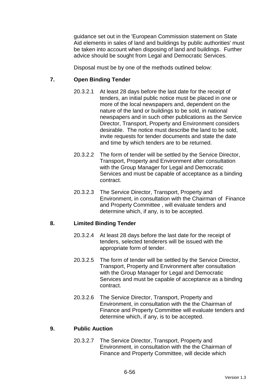guidance set out in the 'European Commission statement on State Aid elements in sales of land and buildings by public authorities' must be taken into account when disposing of land and buildings. Further advice should be sought from Legal and Democratic Services.

Disposal must be by one of the methods outlined below:

### **7. Open Binding Tender**

- 20.3.2.1 At least 28 days before the last date for the receipt of tenders, an initial public notice must be placed in one or more of the local newspapers and, dependent on the nature of the land or buildings to be sold, in national newspapers and in such other publications as the Service Director, Transport, Property and Environment considers desirable. The notice must describe the land to be sold, invite requests for tender documents and state the date and time by which tenders are to be returned.
- 20.3.2.2 The form of tender will be settled by the Service Director, Transport, Property and Environment after consultation with the Group Manager for Legal and Democratic Services and must be capable of acceptance as a binding contract.
- 20.3.2.3 The Service Director, Transport, Property and Environment, in consultation with the Chairman of Finance and Property Committee , will evaluate tenders and determine which, if any, is to be accepted.

### **8. Limited Binding Tender**

- 20.3.2.4 At least 28 days before the last date for the receipt of tenders, selected tenderers will be issued with the appropriate form of tender.
- 20.3.2.5 The form of tender will be settled by the Service Director, Transport, Property and Environment after consultation with the Group Manager for Legal and Democratic Services and must be capable of acceptance as a binding contract.
- 20.3.2.6 The Service Director, Transport, Property and Environment, in consultation with the the Chairman of Finance and Property Committee will evaluate tenders and determine which, if any, is to be accepted.

### **9. Public Auction**

20.3.2.7 The Service Director, Transport, Property and Environment, in consultation with the the Chairman of Finance and Property Committee, will decide which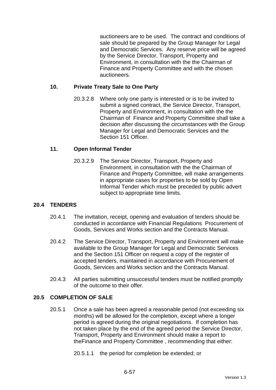auctioneers are to be used. The contract and conditions of sale should be prepared by the Group Manager for Legal and Democratic Services. Any reserve price will be agreed by the Service Director, Transport, Property and Environment, in consultation with the the Chairman of Finance and Property Committee and with the chosen auctioneers.

### **10. Private Treaty Sale to One Party**

20.3.2.8 Where only one party is interested or is to be invited to submit a signed contract, the Service Director, Transport, Property and Environment, in consultation with the the Chairman of Finance and Property Committee shall take a decision after discussing the circumstances with the Group Manager for Legal and Democratic Services and the Section 151 Officer

### **11. Open Informal Tender**

20.3.2.9 The Service Director, Transport, Property and Environment, in consultation with the the Chairman of Finance and Property Committee, will make arrangements in appropriate cases for properties to be sold by Open Informal Tender which must be preceded by public advert subject to appropriate time limits.

# **20.4 TENDERS**

- 20.4.1 The invitation, receipt, opening and evaluation of tenders should be conducted in accordance with Financial Regulations Procurement of Goods, Services and Works section and the Contracts Manual.
- 20.4.2 The Service Director, Transport, Property and Environment will make available to the Group Manager for Legal and Democratic Services and the Section 151 Officer on request a copy of the register of accepted tenders, maintained in accordance with Procurement of Goods, Services and Works section and the Contracts Manual.
- 20.4.3 All parties submitting unsuccessful tenders must be notified promptly of the outcome to their offer.

### **20.5 COMPLETION OF SALE**

20.5.1 Once a sale has been agreed a reasonable period (not exceeding six months) will be allowed for the completion, except where a longer period is agreed during the original negotiations. If completion has not taken place by the end of the agreed period the Service Director, Transport, Property and Environment should make a report to theFinance and Property Committee , recommending that either:

20.5.1.1 the period for completion be extended; or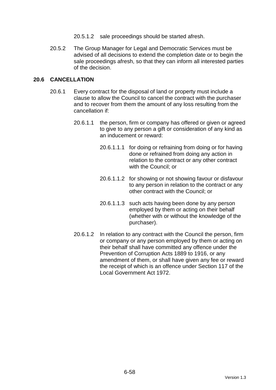- 20.5.1.2 sale proceedings should be started afresh.
- 20.5.2 The Group Manager for Legal and Democratic Services must be advised of all decisions to extend the completion date or to begin the sale proceedings afresh, so that they can inform all interested parties of the decision.

### **20.6 CANCELLATION**

- 20.6.1 Every contract for the disposal of land or property must include a clause to allow the Council to cancel the contract with the purchaser and to recover from them the amount of any loss resulting from the cancellation if:
	- 20.6.1.1 the person, firm or company has offered or given or agreed to give to any person a gift or consideration of any kind as an inducement or reward:
		- 20.6.1.1.1 for doing or refraining from doing or for having done or refrained from doing any action in relation to the contract or any other contract with the Council; or
		- 20.6.1.1.2 for showing or not showing favour or disfavour to any person in relation to the contract or any other contract with the Council; or
		- 20.6.1.1.3 such acts having been done by any person employed by them or acting on their behalf (whether with or without the knowledge of the purchaser).
	- 20.6.1.2 In relation to any contract with the Council the person, firm or company or any person employed by them or acting on their behalf shall have committed any offence under the Prevention of Corruption Acts 1889 to 1916, or any amendment of them, or shall have given any fee or reward the receipt of which is an offence under Section 117 of the Local Government Act 1972.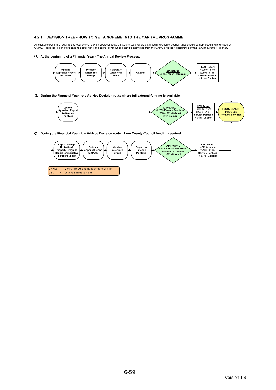#### 4.2.1 DECISION TREE - HOW TO GET A SCHEME INTO THE CAPITAL PROGRAMME

All capital expenditure requires approval by the relevant approval body. All County Council projects requiring County Council funds should be appraised and prioritised by<br>CAMG. Proposed expenditure on land acquisitions a

a. At the beginning of a Financial Year - The Annual Review Process.

LEC

= Latest Estimate Cost

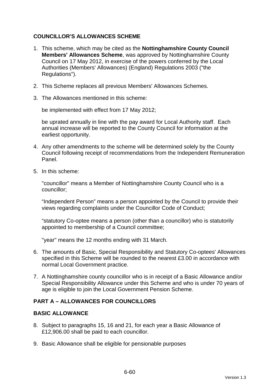# **COUNCILLOR'S ALLOWANCES SCHEME**

- 1. This scheme, which may be cited as the **Nottinghamshire County Council Members' Allowances Scheme**, was approved by Nottinghamshire County Council on 17 May 2012, in exercise of the powers conferred by the Local Authorities (Members' Allowances) (England) Regulations 2003 ("the Regulations").
- 2. This Scheme replaces all previous Members' Allowances Schemes.
- 3. The Allowances mentioned in this scheme:

be implemented with effect from 17 May 2012;

be uprated annually in line with the pay award for Local Authority staff. Each annual increase will be reported to the County Council for information at the earliest opportunity.

- 4. Any other amendments to the scheme will be determined solely by the County Council following receipt of recommendations from the Independent Remuneration Panel.
- 5. In this scheme:

"councillor" means a Member of Nottinghamshire County Council who is a councillor;

"Independent Person" means a person appointed by the Council to provide their views regarding complaints under the Councillor Code of Conduct;

"statutory Co-optee means a person (other than a councillor) who is statutorily appointed to membership of a Council committee;

"year" means the 12 months ending with 31 March.

- 6. The amounts of Basic, Special Responsibility and Statutory Co-optees' Allowances specified in this Scheme will be rounded to the nearest £3.00 in accordance with normal Local Government practice.
- 7. A Nottinghamshire county councillor who is in receipt of a Basic Allowance and/or Special Responsibility Allowance under this Scheme and who is under 70 years of age is eligible to join the Local Government Pension Scheme.

### **PART A – ALLOWANCES FOR COUNCILLORS**

### **BASIC ALLOWANCE**

- 8. Subject to paragraphs 15, 16 and 21, for each year a Basic Allowance of £12,906.00 shall be paid to each councillor.
- 9. Basic Allowance shall be eligible for pensionable purposes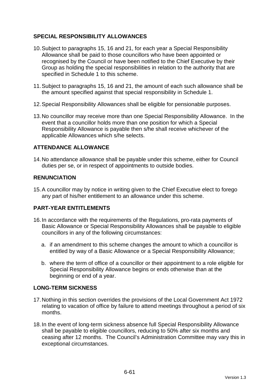# **SPECIAL RESPONSIBILITY ALLOWANCES**

- 10. Subject to paragraphs 15, 16 and 21, for each year a Special Responsibility Allowance shall be paid to those councillors who have been appointed or recognised by the Council or have been notified to the Chief Executive by their Group as holding the special responsibilities in relation to the authority that are specified in Schedule 1 to this scheme.
- 11. Subject to paragraphs 15, 16 and 21, the amount of each such allowance shall be the amount specified against that special responsibility in Schedule 1.
- 12. Special Responsibility Allowances shall be eligible for pensionable purposes.
- 13. No councillor may receive more than one Special Responsibility Allowance. In the event that a councillor holds more than one position for which a Special Responsibility Allowance is payable then s/he shall receive whichever of the applicable Allowances which s/he selects.

### **ATTENDANCE ALLOWANCE**

14. No attendance allowance shall be payable under this scheme, either for Council duties per se, or in respect of appointments to outside bodies.

### **RENUNCIATION**

15. A councillor may by notice in writing given to the Chief Executive elect to forego any part of his/her entitlement to an allowance under this scheme.

# **PART-YEAR ENTITLEMENTS**

- 16. In accordance with the requirements of the Regulations, pro-rata payments of Basic Allowance or Special Responsibility Allowances shall be payable to eligible councillors in any of the following circumstances:
	- a. if an amendment to this scheme changes the amount to which a councillor is entitled by way of a Basic Allowance or a Special Responsibility Allowance;
	- b. where the term of office of a councillor or their appointment to a role eligible for Special Responsibility Allowance begins or ends otherwise than at the beginning or end of a year.

### **LONG-TERM SICKNESS**

- 17. Nothing in this section overrides the provisions of the Local Government Act 1972 relating to vacation of office by failure to attend meetings throughout a period of six months.
- 18. In the event of long-term sickness absence full Special Responsibility Allowance shall be payable to eligible councillors, reducing to 50% after six months and ceasing after 12 months. The Council's Administration Committee may vary this in exceptional circumstances.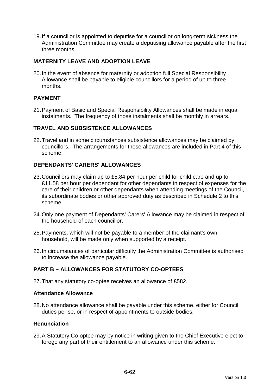19. If a councillor is appointed to deputise for a councillor on long-term sickness the Administration Committee may create a deputising allowance payable after the first three months.

### **MATERNITY LEAVE AND ADOPTION LEAVE**

20. In the event of absence for maternity or adoption full Special Responsibility Allowance shall be payable to eligible councillors for a period of up to three months.

### **PAYMENT**

21. Payment of Basic and Special Responsibility Allowances shall be made in equal instalments. The frequency of those instalments shall be monthly in arrears.

### **TRAVEL AND SUBSISTENCE ALLOWANCES**

22. Travel and in some circumstances subsistence allowances may be claimed by councillors. The arrangements for these allowances are included in Part 4 of this scheme.

### **DEPENDANTS' CARERS' ALLOWANCES**

- 23. Councillors may claim up to £5.84 per hour per child for child care and up to £11.58 per hour per dependant for other dependants in respect of expenses for the care of their children or other dependants when attending meetings of the Council, its subordinate bodies or other approved duty as described in Schedule 2 to this scheme.
- 24. Only one payment of Dependants' Carers' Allowance may be claimed in respect of the household of each councillor.
- 25. Payments, which will not be payable to a member of the claimant's own household, will be made only when supported by a receipt.
- 26. In circumstances of particular difficulty the Administration Committee is authorised to increase the allowance payable.

# **PART B – ALLOWANCES FOR STATUTORY CO-OPTEES**

27. That any statutory co-optee receives an allowance of £582.

#### **Attendance Allowance**

28. No attendance allowance shall be payable under this scheme, either for Council duties per se, or in respect of appointments to outside bodies.

### **Renunciation**

29. A Statutory Co-optee may by notice in writing given to the Chief Executive elect to forego any part of their entitlement to an allowance under this scheme.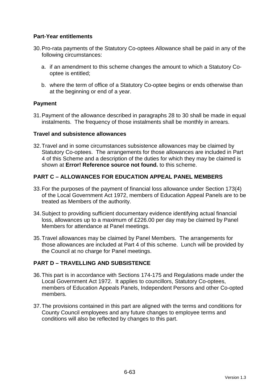### **Part-Year entitlements**

- 30. Pro-rata payments of the Statutory Co-optees Allowance shall be paid in any of the following circumstances:
	- a. if an amendment to this scheme changes the amount to which a Statutory Cooptee is entitled;
	- b. where the term of office of a Statutory Co-optee begins or ends otherwise than at the beginning or end of a year.

### **Payment**

31. Payment of the allowance described in paragraphs 28 to 30 shall be made in equal instalments. The frequency of those instalments shall be monthly in arrears.

#### **Travel and subsistence allowances**

32. Travel and in some circumstances subsistence allowances may be claimed by Statutory Co-optees. The arrangements for those allowances are included in Part 4 of this Scheme and a description of the duties for which they may be claimed is shown at **Error! Reference source not found.** to this scheme.

### **PART C – ALLOWANCES FOR EDUCATION APPEAL PANEL MEMBERS**

- 33. For the purposes of the payment of financial loss allowance under Section 173(4) of the Local Government Act 1972, members of Education Appeal Panels are to be treated as Members of the authority.
- 34. Subject to providing sufficient documentary evidence identifying actual financial loss, allowances up to a maximum of £226.00 per day may be claimed by Panel Members for attendance at Panel meetings.
- 35. Travel allowances may be claimed by Panel Members. The arrangements for those allowances are included at Part 4 of this scheme. Lunch will be provided by the Council at no charge for Panel meetings.

# **PART D – TRAVELLING AND SUBSISTENCE**

- 36. This part is in accordance with Sections 174-175 and Regulations made under the Local Government Act 1972. It applies to councillors, Statutory Co-optees, members of Education Appeals Panels, Independent Persons and other Co-opted members.
- 37. The provisions contained in this part are aligned with the terms and conditions for County Council employees and any future changes to employee terms and conditions will also be reflected by changes to this part.

6-63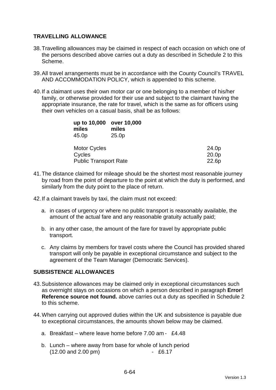### **TRAVELLING ALLOWANCE**

- 38. Travelling allowances may be claimed in respect of each occasion on which one of the persons described above carries out a duty as described in Schedule 2 to this Scheme.
- 39. All travel arrangements must be in accordance with the County Council's TRAVEL AND ACCOMMODATION POLICY, which is appended to this scheme.
- 40. If a claimant uses their own motor car or one belonging to a member of his/her family, or otherwise provided for their use and subject to the claimant having the appropriate insurance, the rate for travel, which is the same as for officers using their own vehicles on a casual basis, shall be as follows:

| up to 10,000<br>miles<br>45.0p | over 10,000<br>miles<br>25.0 <sub>p</sub> |       |
|--------------------------------|-------------------------------------------|-------|
| <b>Motor Cycles</b>            |                                           | 24.0p |
| Cycles                         |                                           | 20.0p |
| <b>Public Transport Rate</b>   |                                           | 22.6p |

- 41. The distance claimed for mileage should be the shortest most reasonable journey by road from the point of departure to the point at which the duty is performed, and similarly from the duty point to the place of return.
- 42. If a claimant travels by taxi, the claim must not exceed:
	- a. in cases of urgency or where no public transport is reasonably available, the amount of the actual fare and any reasonable gratuity actually paid;
	- b. in any other case, the amount of the fare for travel by appropriate public transport.
	- c. Any claims by members for travel costs where the Council has provided shared transport will only be payable in exceptional circumstance and subject to the agreement of the Team Manager (Democratic Services).

# **SUBSISTENCE ALLOWANCES**

- 43. Subsistence allowances may be claimed only in exceptional circumstances such as overnight stays on occasions on which a person described in paragraph **Error! Reference source not found.** above carries out a duty as specified in Schedule 2 to this scheme.
- 44. When carrying out approved duties within the UK and subsistence is payable due to exceptional circumstances, the amounts shown below may be claimed.
	- a. Breakfast where leave home before 7.00 am £4.48
	- b. Lunch where away from base for whole of lunch period (12.00 and 2.00 pm) - £6.17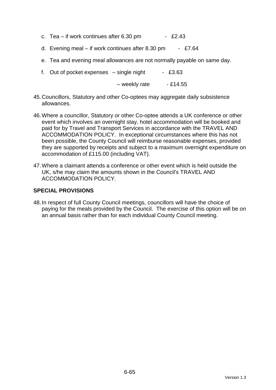- c. Tea if work continues after  $6.30 \text{ pm}$  £2.43
- d. Evening meal if work continues after 8.30 pm £7.64
- e. Tea and evening meal allowances are not normally payable on same day.
- f. Out of pocket expenses  $-$  single night  $-$  £3.63

 $-$  weekly rate  $-$  £14.55

- 45. Councillors, Statutory and other Co-optees may aggregate daily subsistence allowances.
- 46. Where a councillor, Statutory or other Co-optee attends a UK conference or other event which involves an overnight stay, hotel accommodation will be booked and paid for by Travel and Transport Services in accordance with the TRAVEL AND ACCOMMODATION POLICY. In exceptional circumstances where this has not been possible, the County Council will reimburse reasonable expenses, provided they are supported by receipts and subject to a maximum overnight expenditure on accommodation of £115.00 (including VAT).
- 47. Where a claimant attends a conference or other event which is held outside the UK, s/he may claim the amounts shown in the Council's TRAVEL AND ACCOMMODATION POLICY.

### **SPECIAL PROVISIONS**

48. In respect of full County Council meetings, councillors will have the choice of paying for the meals provided by the Council. The exercise of this option will be on an annual basis rather than for each individual County Council meeting.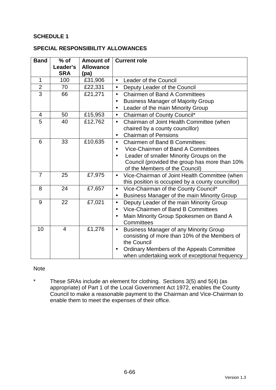### **SCHEDULE 1**

#### **SPECIAL RESPONSIBILITY ALLOWANCES**

| <b>Band</b>    | $%$ of         | <b>Amount of</b> | <b>Current role</b>                                        |  |
|----------------|----------------|------------------|------------------------------------------------------------|--|
|                | Leader's       | <b>Allowance</b> |                                                            |  |
|                | <b>SRA</b>     | (pa)             |                                                            |  |
| $\mathbf{1}$   | 100            | £31,906          | Leader of the Council<br>$\bullet$                         |  |
| $\overline{2}$ | 70             | £22,331          | Deputy Leader of the Council<br>$\bullet$                  |  |
| $\overline{3}$ | 66             | £21,271          | <b>Chairmen of Band A Committees</b><br>$\bullet$          |  |
|                |                |                  | <b>Business Manager of Majority Group</b><br>$\bullet$     |  |
|                |                |                  | Leader of the main Minority Group                          |  |
| $\overline{4}$ | 50             | £15,953          | Chairman of County Council*<br>$\bullet$                   |  |
| 5              | 40             | £12,762          | Chairman of Joint Health Committee (when<br>$\bullet$      |  |
|                |                |                  | chaired by a county councillor)                            |  |
|                |                |                  | <b>Chairman of Pensions</b><br>$\bullet$                   |  |
| 6              | 33             | £10,635          | <b>Chairmen of Band B Committees:</b><br>$\bullet$         |  |
|                |                |                  | Vice-Chairmen of Band A Committees                         |  |
|                |                |                  | Leader of smaller Minority Groups on the<br>$\bullet$      |  |
|                |                |                  | Council (provided the group has more than 10%              |  |
|                |                |                  | of the Members of the Council)                             |  |
| $\overline{7}$ | 25             | £7,975           | Vice-Chairman of Joint Health Committee (when<br>$\bullet$ |  |
|                |                |                  | this position is occupied by a county councillor)          |  |
| 8              | 24             | £7,657           | Vice-Chairman of the County Council*<br>$\bullet$          |  |
|                |                |                  | Business Manager of the main Minority Group<br>$\bullet$   |  |
| 9              | 22             | £7,021           | Deputy Leader of the main Minority Group<br>$\bullet$      |  |
|                |                |                  | Vice-Chairmen of Band B Committees<br>$\bullet$            |  |
|                |                |                  | Main Minority Group Spokesmen on Band A                    |  |
|                |                |                  | Committees                                                 |  |
| 10             | $\overline{4}$ | £1,276           | <b>Business Manager of any Minority Group</b><br>$\bullet$ |  |
|                |                |                  | consisting of more than 10% of the Members of              |  |
|                |                |                  | the Council                                                |  |
|                |                |                  | Ordinary Members of the Appeals Committee<br>$\bullet$     |  |
|                |                |                  | when undertaking work of exceptional frequency             |  |

### Note

\* These SRAs include an element for clothing. Sections 3(5) and 5(4) (as appropriate) of Part 1 of the Local Government Act 1972, enables the County Council to make a reasonable payment to the Chairman and Vice-Chairman to enable them to meet the expenses of their office.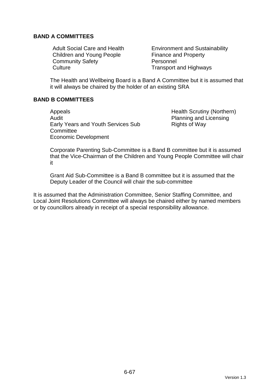### **BAND A COMMITTEES**

Children and Young People Finance and Property Community Safety **Personnel** Culture Culture **Transport and Highways** 

Adult Social Care and Health Environment and Sustainability

The Health and Wellbeing Board is a Band A Committee but it is assumed that it will always be chaired by the holder of an existing SRA

### **BAND B COMMITTEES**

Appeals Appeals **Health Scrutiny (Northern)** Audit **Audit** Planning and Licensing Early Years and Youth Services Sub **Committee** Economic Development

Rights of Way

Corporate Parenting Sub-Committee is a Band B committee but it is assumed that the Vice-Chairman of the Children and Young People Committee will chair it

Grant Aid Sub-Committee is a Band B committee but it is assumed that the Deputy Leader of the Council will chair the sub-committee

It is assumed that the Administration Committee, Senior Staffing Committee, and Local Joint Resolutions Committee will always be chaired either by named members or by councillors already in receipt of a special responsibility allowance.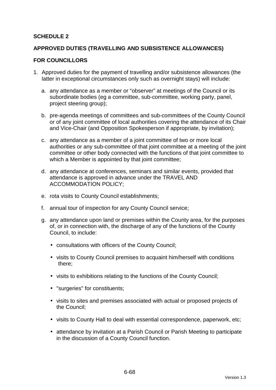### **SCHEDULE 2**

### **APPROVED DUTIES (TRAVELLING AND SUBSISTENCE ALLOWANCES)**

#### **FOR COUNCILLORS**

- 1. Approved duties for the payment of travelling and/or subsistence allowances (the latter in exceptional circumstances only such as overnight stays) will include:
	- a. any attendance as a member or "observer" at meetings of the Council or its subordinate bodies (eg a committee, sub-committee, working party, panel, project steering group);
	- b. pre-agenda meetings of committees and sub-committees of the County Council or of any joint committee of local authorities covering the attendance of its Chair and Vice-Chair (and Opposition Spokesperson if appropriate, by invitation);
	- c. any attendance as a member of a joint committee of two or more local authorities or any sub-committee of that joint committee at a meeting of the joint committee or other body connected with the functions of that joint committee to which a Member is appointed by that joint committee;
	- d. any attendance at conferences, seminars and similar events, provided that attendance is approved in advance under the TRAVEL AND ACCOMMODATION POLICY;
	- e. rota visits to County Council establishments;
	- f. annual tour of inspection for any County Council service;
	- g. any attendance upon land or premises within the County area, for the purposes of, or in connection with, the discharge of any of the functions of the County Council, to include:
		- consultations with officers of the County Council;
		- visits to County Council premises to acquaint him/herself with conditions there;
		- visits to exhibitions relating to the functions of the County Council;
		- "surgeries" for constituents;
		- visits to sites and premises associated with actual or proposed projects of the Council;
		- visits to County Hall to deal with essential correspondence, paperwork, etc;
		- attendance by invitation at a Parish Council or Parish Meeting to participate in the discussion of a County Council function.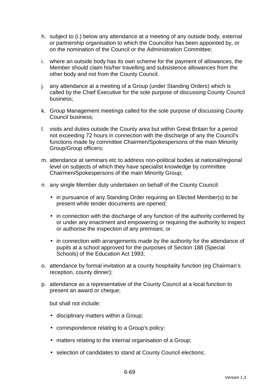- h. subject to (i.) below any attendance at a meeting of any outside body, external or partnership organisation to which the Councillor has been appointed by, or on the nomination of the Council or the Administration Committee;
- i. where an outside body has its own scheme for the payment of allowances, the Member should claim his/her travelling and subsistence allowances from the other body and not from the County Council.
- j. any attendance at a meeting of a Group (under Standing Orders) which is called by the Chief Executive for the sole purpose of discussing County Council business;
- k. Group Management meetings called for the sole purpose of discussing County Council business;
- l. visits and duties outside the County area but within Great Britain for a period not exceeding 72 hours in connection with the discharge of any the Council's functions made by committee Chairmen/Spokespersons of the main Minority Group/Group officers;
- m. attendance at seminars etc to address non-political bodies at national/regional level on subjects of which they have specialist knowledge by committee Chairmen/Spokespersons of the main Minority Group;
- n. any single Member duty undertaken on behalf of the County Council:
	- in pursuance of any Standing Order requiring an Elected Member(s) to be present while tender documents are opened;
	- in connection with the discharge of any function of the authority conferred by or under any enactment and empowering or requiring the authority to inspect or authorise the inspection of any premises; or
	- in connection with arrangements made by the authority for the attendance of pupils at a school approved for the purposes of Section 188 (Special Schools) of the Education Act 1993;
- o. attendance by formal invitation at a county hospitality function (eg Chairman's reception, county dinner);
- p. attendance as a representative of the County Council at a local function to present an award or cheque;

but shall not include:

- disciplinary matters within a Group;
- correspondence relating to a Group's policy:
- matters relating to the internal organisation of a Group;
- selection of candidates to stand at County Council elections;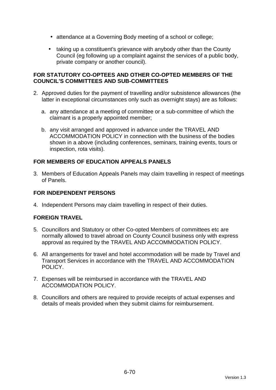- attendance at a Governing Body meeting of a school or college;
- taking up a constituent's grievance with anybody other than the County Council (eg following up a complaint against the services of a public body, private company or another council).

### **FOR STATUTORY CO-OPTEES AND OTHER CO-OPTED MEMBERS OF THE COUNCIL'S COMMITTEES AND SUB-COMMITTEES**

- 2. Approved duties for the payment of travelling and/or subsistence allowances (the latter in exceptional circumstances only such as overnight stays) are as follows:
	- a. any attendance at a meeting of committee or a sub-committee of which the claimant is a properly appointed member;
	- b. any visit arranged and approved in advance under the TRAVEL AND ACCOMMODATION POLICY in connection with the business of the bodies shown in a above (including conferences, seminars, training events, tours or inspection, rota visits).

# **FOR MEMBERS OF EDUCATION APPEALS PANELS**

3. Members of Education Appeals Panels may claim travelling in respect of meetings of Panels.

# **FOR INDEPENDENT PERSONS**

4. Independent Persons may claim travelling in respect of their duties.

# **FOREIGN TRAVEL**

- 5. Councillors and Statutory or other Co-opted Members of committees etc are normally allowed to travel abroad on County Council business only with express approval as required by the TRAVEL AND ACCOMMODATION POLICY.
- 6. All arrangements for travel and hotel accommodation will be made by Travel and Transport Services in accordance with the TRAVEL AND ACCOMMODATION POLICY.
- 7. Expenses will be reimbursed in accordance with the TRAVEL AND ACCOMMODATION POLICY.
- 8. Councillors and others are required to provide receipts of actual expenses and details of meals provided when they submit claims for reimbursement.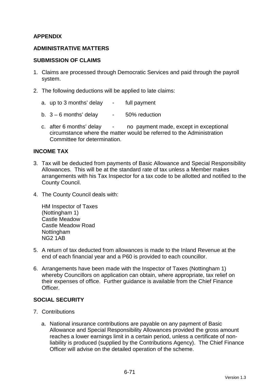### **APPENDIX**

### **ADMINISTRATIVE MATTERS**

#### **SUBMISSION OF CLAIMS**

- 1. Claims are processed through Democratic Services and paid through the payroll system.
- 2. The following deductions will be applied to late claims:
	- a. up to 3 months' delay full payment
	- b.  $3 6$  months' delay  $-50\%$  reduction
	- c. after 6 months' delay no payment made, except in exceptional circumstance where the matter would be referred to the Administration Committee for determination.

#### **INCOME TAX**

- 3. Tax will be deducted from payments of Basic Allowance and Special Responsibility Allowances. This will be at the standard rate of tax unless a Member makes arrangements with his Tax Inspector for a tax code to be allotted and notified to the County Council.
- 4. The County Council deals with:

HM Inspector of Taxes (Nottingham 1) Castle Meadow Castle Meadow Road Nottingham NG2 1AB

- 5. A return of tax deducted from allowances is made to the Inland Revenue at the end of each financial year and a P60 is provided to each councillor.
- 6. Arrangements have been made with the Inspector of Taxes (Nottingham 1) whereby Councillors on application can obtain, where appropriate, tax relief on their expenses of office. Further guidance is available from the Chief Finance **Officer**

### **SOCIAL SECURITY**

- 7. Contributions
	- a. National insurance contributions are payable on any payment of Basic Allowance and Special Responsibility Allowances provided the gross amount reaches a lower earnings limit in a certain period, unless a certificate of nonliability is produced (supplied by the Contributions Agency). The Chief Finance Officer will advise on the detailed operation of the scheme.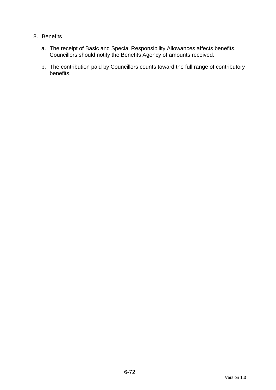### 8. Benefits

- a. The receipt of Basic and Special Responsibility Allowances affects benefits. Councillors should notify the Benefits Agency of amounts received.
- b. The contribution paid by Councillors counts toward the full range of contributory benefits.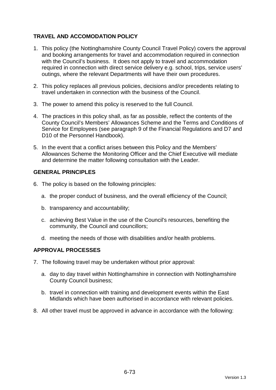# **TRAVEL AND ACCOMODATION POLICY**

- 1. This policy (the Nottinghamshire County Council Travel Policy) covers the approval and booking arrangements for travel and accommodation required in connection with the Council's business. It does not apply to travel and accommodation required in connection with direct service delivery e.g. school, trips, service users' outings, where the relevant Departments will have their own procedures.
- 2. This policy replaces all previous policies, decisions and/or precedents relating to travel undertaken in connection with the business of the Council.
- 3. The power to amend this policy is reserved to the full Council.
- 4. The practices in this policy shall, as far as possible, reflect the contents of the County Council's Members' Allowances Scheme and the Terms and Conditions of Service for Employees (see paragraph 9 of the Financial Regulations and D7 and D10 of the Personnel Handbook).
- 5. In the event that a conflict arises between this Policy and the Members' Allowances Scheme the Monitoring Officer and the Chief Executive will mediate and determine the matter following consultation with the Leader.

### **GENERAL PRINCIPLES**

- 6. The policy is based on the following principles:
	- a. the proper conduct of business, and the overall efficiency of the Council;
	- b. transparency and accountability;
	- c. achieving Best Value in the use of the Council's resources, benefiting the community, the Council and councillors;
	- d. meeting the needs of those with disabilities and/or health problems.

### **APPROVAL PROCESSES**

- 7. The following travel may be undertaken without prior approval:
	- a. day to day travel within Nottinghamshire in connection with Nottinghamshire County Council business;
	- b. travel in connection with training and development events within the East Midlands which have been authorised in accordance with relevant policies.
- 8. All other travel must be approved in advance in accordance with the following: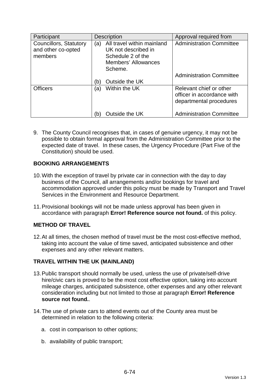| Participant                                             | <b>Description</b>                                                                                                     | Approval required from                                                           |
|---------------------------------------------------------|------------------------------------------------------------------------------------------------------------------------|----------------------------------------------------------------------------------|
| Councillors, Statutory<br>and other co-opted<br>members | All travel within mainland<br>(a)<br>UK not described in<br>Schedule 2 of the<br><b>Members' Allowances</b><br>Scheme. | <b>Administration Committee</b>                                                  |
|                                                         | Outside the UK<br>(b                                                                                                   | <b>Administration Committee</b>                                                  |
| <b>Officers</b>                                         | Within the UK<br>(a)                                                                                                   | Relevant chief or other<br>officer in accordance with<br>departmental procedures |
|                                                         | Outside the UK<br>(b                                                                                                   | <b>Administration Committee</b>                                                  |

9. The County Council recognises that, in cases of genuine urgency, it may not be possible to obtain formal approval from the Administration Committee prior to the expected date of travel. In these cases, the Urgency Procedure (Part Five of the Constitution) should be used.

# **BOOKING ARRANGEMENTS**

- 10. With the exception of travel by private car in connection with the day to day business of the Council, all arrangements and/or bookings for travel and accommodation approved under this policy must be made by Transport and Travel Services in the Environment and Resource Department.
- 11. Provisional bookings will not be made unless approval has been given in accordance with paragraph **Error! Reference source not found.** of this policy.

### **METHOD OF TRAVEL**

12. At all times, the chosen method of travel must be the most cost-effective method, taking into account the value of time saved, anticipated subsistence and other expenses and any other relevant matters.

### **TRAVEL WITHIN THE UK (MAINLAND)**

- 13. Public transport should normally be used, unless the use of private/self-drive hire/civic cars is proved to be the most cost effective option, taking into account mileage charges, anticipated subsistence, other expenses and any other relevant consideration including but not limited to those at paragraph **Error! Reference source not found.**.
- 14. The use of private cars to attend events out of the County area must be determined in relation to the following criteria:
	- a. cost in comparison to other options;
	- b. availability of public transport;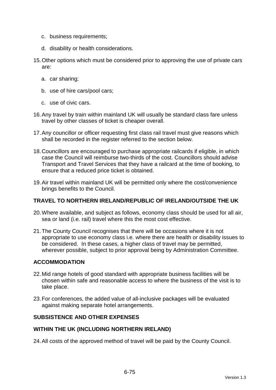- c. business requirements;
- d. disability or health considerations.
- 15. Other options which must be considered prior to approving the use of private cars are:
	- a. car sharing;
	- b. use of hire cars/pool cars;
	- c. use of civic cars.
- 16. Any travel by train within mainland UK will usually be standard class fare unless travel by other classes of ticket is cheaper overall.
- 17. Any councillor or officer requesting first class rail travel must give reasons which shall be recorded in the register referred to the section below.
- 18. Councillors are encouraged to purchase appropriate railcards if eligible, in which case the Council will reimburse two-thirds of the cost. Councillors should advise Transport and Travel Services that they have a railcard at the time of booking, to ensure that a reduced price ticket is obtained.
- 19. Air travel within mainland UK will be permitted only where the cost/convenience brings benefits to the Council.

### **TRAVEL TO NORTHERN IRELAND/REPUBLIC OF IRELAND/OUTSIDE THE UK**

- 20. Where available, and subject as follows, economy class should be used for all air, sea or land (i.e. rail) travel where this the most cost effective.
- 21. The County Council recognises that there will be occasions where it is not appropriate to use economy class i.e. where there are health or disability issues to be considered. In these cases, a higher class of travel may be permitted, wherever possible, subject to prior approval being by Administration Committee.

### **ACCOMMODATION**

- 22. Mid range hotels of good standard with appropriate business facilities will be chosen within safe and reasonable access to where the business of the visit is to take place.
- 23. For conferences, the added value of all-inclusive packages will be evaluated against making separate hotel arrangements.

### **SUBSISTENCE AND OTHER EXPENSES**

#### **WITHIN THE UK (INCLUDING NORTHERN IRELAND)**

24. All costs of the approved method of travel will be paid by the County Council.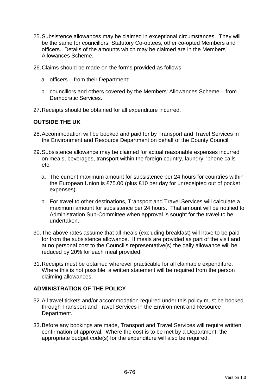- 25. Subsistence allowances may be claimed in exceptional circumstances. They will be the same for councillors, Statutory Co-optees, other co-opted Members and officers. Details of the amounts which may be claimed are in the Members' Allowances Scheme.
- 26. Claims should be made on the forms provided as follows:
	- a. officers from their Department;
	- b. councillors and others covered by the Members' Allowances Scheme from Democratic Services.
- 27. Receipts should be obtained for all expenditure incurred.

### **OUTSIDE THE UK**

- 28. Accommodation will be booked and paid for by Transport and Travel Services in the Environment and Resource Department on behalf of the County Council.
- 29. Subsistence allowance may be claimed for actual reasonable expenses incurred on meals, beverages, transport within the foreign country, laundry, 'phone calls etc.
	- a. The current maximum amount for subsistence per 24 hours for countries within the European Union is £75.00 (plus £10 per day for unreceipted out of pocket expenses).
	- b. For travel to other destinations, Transport and Travel Services will calculate a maximum amount for subsistence per 24 hours. That amount will be notified to Administration Sub-Committee when approval is sought for the travel to be undertaken.
- 30. The above rates assume that all meals (excluding breakfast) will have to be paid for from the subsistence allowance. If meals are provided as part of the visit and at no personal cost to the Council's representative(s) the daily allowance will be reduced by 20% for each meal provided.
- 31. Receipts must be obtained wherever practicable for all claimable expenditure. Where this is not possible, a written statement will be required from the person claiming allowances.

### **ADMINISTRATION OF THE POLICY**

- 32. All travel tickets and/or accommodation required under this policy must be booked through Transport and Travel Services in the Environment and Resource Department.
- 33. Before any bookings are made, Transport and Travel Services will require written confirmation of approval. Where the cost is to be met by a Department, the appropriate budget code(s) for the expenditure will also be required.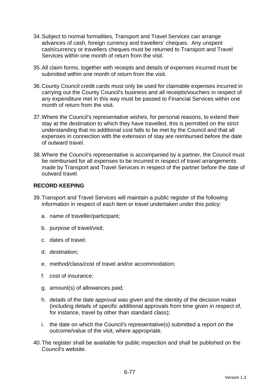- 34. Subject to normal formalities, Transport and Travel Services can arrange advances of cash, foreign currency and travellers' cheques. Any unspent cash/currency or travellers cheques must be returned to Transport and Travel Services within one month of return from the visit.
- 35. All claim forms, together with receipts and details of expenses incurred must be submitted within one month of return from the visit.
- 36. County Council credit cards must only be used for claimable expenses incurred in carrying out the County Council's business and all receipts/vouchers in respect of any expenditure met in this way must be passed to Financial Services within one month of return from the visit
- 37. Where the Council's representative wishes, for personal reasons, to extend their stay at the destination to which they have travelled, this is permitted on the strict understanding that no additional cost falls to be met by the Council and that all expenses in connection with the extension of stay are reimbursed before the date of outward travel.
- 38. Where the Council's representative is accompanied by a partner, the Council must be reimbursed for all expenses to be incurred in respect of travel arrangements made by Transport and Travel Services in respect of the partner before the date of outward travel.

### **RECORD KEEPING**

- 39. Transport and Travel Services will maintain a public register of the following information in respect of each item or travel undertaken under this policy:
	- a. name of traveller/participant;
	- b. purpose of travel/visit;
	- c. dates of travel;
	- d. destination;
	- e. method/class/cost of travel and/or accommodation;
	- f. cost of insurance;
	- g. amount(s) of allowances paid;
	- h. details of the date approval was given and the identity of the decision maker (including details of specific additional approvals from time given in respect of, for instance, travel by other than standard class);
	- i. the date on which the Council's representative(s) submitted a report on the outcome/value of the visit, where appropriate.
- 40. The register shall be available for public inspection and shall be published on the Council's website.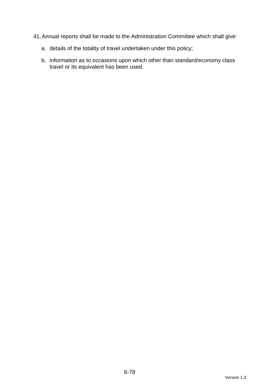- 41. Annual reports shall be made to the Administration Committee which shall give:
	- a. details of the totality of travel undertaken under this policy;
	- b. information as to occasions upon which other than standard/economy class travel or its equivalent has been used.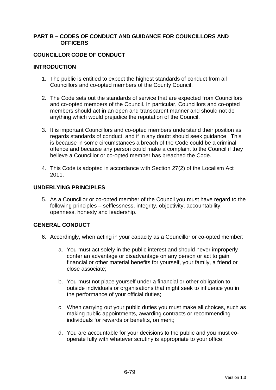#### **PART B – CODES OF CONDUCT AND GUIDANCE FOR COUNCILLORS AND OFFICERS**

#### **COUNCILLOR CODE OF CONDUCT**

#### **INTRODUCTION**

- 1. The public is entitled to expect the highest standards of conduct from all Councillors and co-opted members of the County Council.
- 2. The Code sets out the standards of service that are expected from Councillors and co-opted members of the Council. In particular, Councillors and co-opted members should act in an open and transparent manner and should not do anything which would prejudice the reputation of the Council.
- 3. It is important Councillors and co-opted members understand their position as regards standards of conduct, and if in any doubt should seek guidance. This is because in some circumstances a breach of the Code could be a criminal offence and because any person could make a complaint to the Council if they believe a Councillor or co-opted member has breached the Code.
- 4. This Code is adopted in accordance with Section 27(2) of the Localism Act 2011.

### **UNDERLYING PRINCIPLES**

5. As a Councillor or co-opted member of the Council you must have regard to the following principles – selflessness, integrity, objectivity, accountability, openness, honesty and leadership.

# **GENERAL CONDUCT**

- 6. Accordingly, when acting in your capacity as a Councillor or co-opted member:
	- a. You must act solely in the public interest and should never improperly confer an advantage or disadvantage on any person or act to gain financial or other material benefits for yourself, your family, a friend or close associate;
	- b. You must not place yourself under a financial or other obligation to outside individuals or organisations that might seek to influence you in the performance of your official duties;
	- c. When carrying out your public duties you must make all choices, such as making public appointments, awarding contracts or recommending individuals for rewards or benefits, on merit;
	- d. You are accountable for your decisions to the public and you must cooperate fully with whatever scrutiny is appropriate to your office;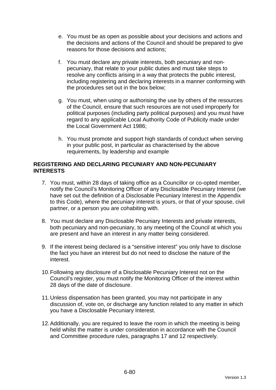- e. You must be as open as possible about your decisions and actions and the decisions and actions of the Council and should be prepared to give reasons for those decisions and actions;
- f. You must declare any private interests, both pecuniary and nonpecuniary, that relate to your public duties and must take steps to resolve any conflicts arising in a way that protects the public interest, including registering and declaring interests in a manner conforming with the procedures set out in the box below;
- g. You must, when using or authorising the use by others of the resources of the Council, ensure that such resources are not used improperly for political purposes (including party political purposes) and you must have regard to any applicable Local Authority Code of Publicity made under the Local Government Act 1986;
- h. You must promote and support high standards of conduct when serving in your public post, in particular as characterised by the above requirements, by leadership and example

#### **REGISTERING AND DECLARING PECUNIARY AND NON-PECUNIARY INTERESTS**

- 7. You must, within 28 days of taking office as a Councillor or co-opted member, notify the Council's Monitoring Officer of any Disclosable Pecuniary Interest (we have set out the definition of a Disclosable Pecuniary Interest in the Appendix to this Code), where the pecuniary interest is yours, or that of your spouse, civil partner, or a person you are cohabiting with.
- 8. You must declare any Disclosable Pecuniary Interests and private interests, both pecuniary and non-pecuniary, to any meeting of the Council at which you are present and have an interest in any matter being considered.
- 9. If the interest being declared is a "sensitive interest" you only have to disclose the fact you have an interest but do not need to disclose the nature of the interest.
- 10. Following any disclosure of a Disclosable Pecuniary Interest not on the Council's register, you must notify the Monitoring Officer of the interest within 28 days of the date of disclosure.
- 11. Unless dispensation has been granted, you may not participate in any discussion of, vote on, or discharge any function related to any matter in which you have a Disclosable Pecuniary Interest.
- 12. Additionally, you are required to leave the room in which the meeting is being held whilst the matter is under consideration in accordance with the Council and Committee procedure rules, paragraphs 17 and 12 respectively.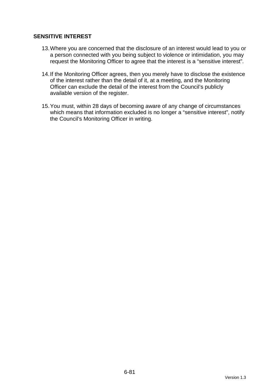### **SENSITIVE INTEREST**

- 13. Where you are concerned that the disclosure of an interest would lead to you or a person connected with you being subject to violence or intimidation, you may request the Monitoring Officer to agree that the interest is a "sensitive interest".
- 14. If the Monitoring Officer agrees, then you merely have to disclose the existence of the interest rather than the detail of it, at a meeting, and the Monitoring Officer can exclude the detail of the interest from the Council's publicly available version of the register.
- 15. You must, within 28 days of becoming aware of any change of circumstances which means that information excluded is no longer a "sensitive interest", notify the Council's Monitoring Officer in writing.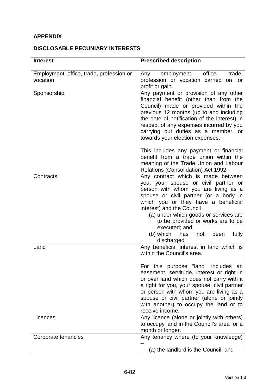# **APPENDIX**

# **DISCLOSABLE PECUNIARY INTERESTS**

| <b>Interest</b>                                      | <b>Prescribed description</b>                                                                                                                                                                                                                                                                                                                                                                               |
|------------------------------------------------------|-------------------------------------------------------------------------------------------------------------------------------------------------------------------------------------------------------------------------------------------------------------------------------------------------------------------------------------------------------------------------------------------------------------|
| Employment, office, trade, profession or<br>vocation | employment, office,<br>trade,<br>Any<br>profession or vocation carried on for<br>profit or gain.                                                                                                                                                                                                                                                                                                            |
| Sponsorship                                          | Any payment or provision of any other<br>financial benefit (other than from the<br>Council) made or provided within the<br>previous 12 months (up to and including<br>the date of notification of the interest) in<br>respect of any expenses incurred by you<br>carrying out duties as a member, or<br>towards your election expenses.                                                                     |
|                                                      | This includes any payment or financial<br>benefit from a trade union within the<br>meaning of the Trade Union and Labour<br>Relations (Consolidation) Act 1992.                                                                                                                                                                                                                                             |
| Contracts                                            | Any contract which is made between<br>you, your spouse or civil partner or<br>person with whom you are living as a<br>spouse or civil partner (or a body in<br>which you or they have a beneficial<br>interest) and the Council<br>(a) under which goods or services are<br>to be provided or works are to be<br>executed; and<br>(b) which<br>fully<br>has<br>been<br>not<br>discharged                    |
| Land                                                 | Any beneficial interest in land which is<br>within the Council's area.<br>For this purpose "land" includes an<br>easement, servitude, interest or right in<br>or over land which does not carry with it<br>a right for you, your spouse, civil partner<br>or person with whom you are living as a<br>spouse or civil partner (alone or jointly<br>with another) to occupy the land or to<br>receive income. |
| Licences                                             | Any licence (alone or jointly with others)<br>to occupy land in the Council's area for a<br>month or longer.                                                                                                                                                                                                                                                                                                |
| Corporate tenancies                                  | Any tenancy where (to your knowledge)<br>(a) the landlord is the Council; and                                                                                                                                                                                                                                                                                                                               |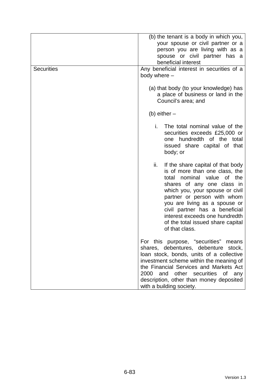| <b>Securities</b> | (b) the tenant is a body in which you,<br>your spouse or civil partner or a<br>person you are living with as a<br>spouse or civil partner has a<br>beneficial interest<br>Any beneficial interest in securities of a<br>body where -                                                                                                                                 |
|-------------------|----------------------------------------------------------------------------------------------------------------------------------------------------------------------------------------------------------------------------------------------------------------------------------------------------------------------------------------------------------------------|
|                   | (a) that body (to your knowledge) has<br>a place of business or land in the<br>Council's area; and                                                                                                                                                                                                                                                                   |
|                   | (b) either $-$                                                                                                                                                                                                                                                                                                                                                       |
|                   | i.<br>The total nominal value of the<br>securities exceeds £25,000 or<br>one hundredth of the total<br>issued share capital of that<br>body; or                                                                                                                                                                                                                      |
|                   | ii.<br>If the share capital of that body<br>is of more than one class, the<br>total nominal value of the<br>shares of any one class in<br>which you, your spouse or civil<br>partner or person with whom<br>you are living as a spouse or<br>civil partner has a beneficial<br>interest exceeds one hundredth<br>of the total issued share capital<br>of that class. |
|                   | For this purpose, "securities"<br>means<br>shares, debentures, debenture stock,<br>loan stock, bonds, units of a collective<br>investment scheme within the meaning of<br>the Financial Services and Markets Act<br>2000<br>and other securities of<br>any<br>description, other than money deposited<br>with a building society.                                    |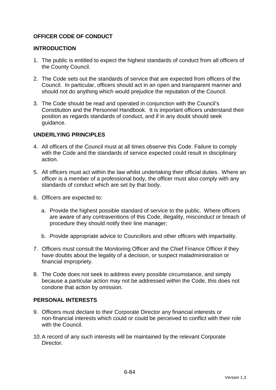# **OFFICER CODE OF CONDUCT**

#### **INTRODUCTION**

- 1. The public is entitled to expect the highest standards of conduct from all officers of the County Council.
- 2. The Code sets out the standards of service that are expected from officers of the Council. In particular, officers should act in an open and transparent manner and should not do anything which would prejudice the reputation of the Council.
- 3. The Code should be read and operated in conjunction with the Council's Constitution and the Personnel Handbook. It is important officers understand their position as regards standards of conduct, and if in any doubt should seek guidance.

### **UNDERLYING PRINCIPLES**

- 4. All officers of the Council must at all times observe this Code. Failure to comply with the Code and the standards of service expected could result in disciplinary action.
- 5. All officers must act within the law whilst undertaking their official duties. Where an officer is a member of a professional body, the officer must also comply with any standards of conduct which are set by that body.
- 6. Officers are expected to:
	- a. Provide the highest possible standard of service to the public. Where officers are aware of any contraventions of this Code, illegality, misconduct or breach of procedure they should notify their line manager;
	- b. Provide appropriate advice to Councillors and other officers with impartiality.
- 7. Officers must consult the Monitoring Officer and the Chief Finance Officer if they have doubts about the legality of a decision, or suspect maladministration or financial impropriety.
- 8. The Code does not seek to address every possible circumstance, and simply because a particular action may not be addressed within the Code, this does not condone that action by omission.

#### **PERSONAL INTERESTS**

- 9. Officers must declare to their Corporate Director any financial interests or non-financial interests which could or could be perceived to conflict with their role with the Council.
- 10. A record of any such interests will be maintained by the relevant Corporate **Director**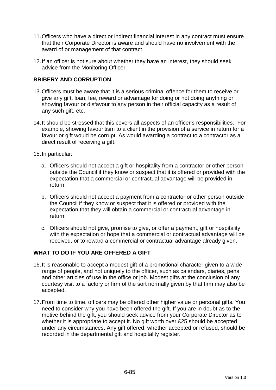- 11. Officers who have a direct or indirect financial interest in any contract must ensure that their Corporate Director is aware and should have no involvement with the award of or management of that contract.
- 12. If an officer is not sure about whether they have an interest, they should seek advice from the Monitoring Officer.

### **BRIBERY AND CORRUPTION**

- 13. Officers must be aware that it is a serious criminal offence for them to receive or give any gift, loan, fee, reward or advantage for doing or not doing anything or showing favour or disfavour to any person in their official capacity as a result of any such gift, etc.
- 14. It should be stressed that this covers all aspects of an officer's responsibilities. For example, showing favouritism to a client in the provision of a service in return for a favour or gift would be corrupt. As would awarding a contract to a contractor as a direct result of receiving a gift.
- 15. In particular:
	- a. Officers should not accept a gift or hospitality from a contractor or other person outside the Council if they know or suspect that it is offered or provided with the expectation that a commercial or contractual advantage will be provided in return;
	- b. Officers should not accept a payment from a contractor or other person outside the Council if they know or suspect that it is offered or provided with the expectation that they will obtain a commercial or contractual advantage in return;
	- c. Officers should not give, promise to give, or offer a payment, gift or hospitality with the expectation or hope that a commercial or contractual advantage will be received, or to reward a commercial or contractual advantage already given.

# **WHAT TO DO IF YOU ARE OFFERED A GIFT**

- 16. It is reasonable to accept a modest gift of a promotional character given to a wide range of people, and not uniquely to the officer, such as calendars, diaries, pens and other articles of use in the office or job. Modest gifts at the conclusion of any courtesy visit to a factory or firm of the sort normally given by that firm may also be accepted.
- 17. From time to time, officers may be offered other higher value or personal gifts. You need to consider why you have been offered the gift. If you are in doubt as to the motive behind the gift, you should seek advice from your Corporate Director as to whether it is appropriate to accept it. No gift worth over £25 should be accepted under any circumstances. Any gift offered, whether accepted or refused, should be recorded in the departmental gift and hospitality register.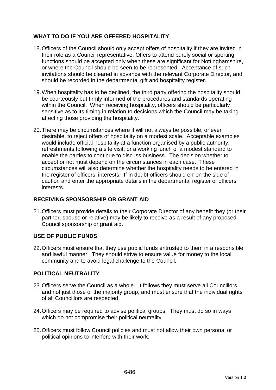# **WHAT TO DO IF YOU ARE OFFERED HOSPITALITY**

- 18. Officers of the Council should only accept offers of hospitality if they are invited in their role as a Council representative. Offers to attend purely social or sporting functions should be accepted only when these are significant for Nottinghamshire, or where the Council should be seen to be represented. Acceptance of such invitations should be cleared in advance with the relevant Corporate Director, and should be recorded in the departmental gift and hospitality register.
- 19. When hospitality has to be declined, the third party offering the hospitality should be courteously but firmly informed of the procedures and standards operating within the Council. When receiving hospitality, officers should be particularly sensitive as to its timing in relation to decisions which the Council may be taking affecting those providing the hospitality.
- 20. There may be circumstances where it will not always be possible, or even desirable, to reject offers of hospitality on a modest scale. Acceptable examples would include official hospitality at a function organised by a public authority; refreshments following a site visit; or a working lunch of a modest standard to enable the parties to continue to discuss business. The decision whether to accept or not must depend on the circumstances in each case. These circumstances will also determine whether the hospitality needs to be entered in the register of officers' interests. If in doubt officers should err on the side of caution and enter the appropriate details in the departmental register of officers' interests.

# **RECEIVING SPONSORSHIP OR GRANT AID**

21. Officers must provide details to their Corporate Director of any benefit they (or their partner, spouse or relative) may be likely to receive as a result of any proposed Council sponsorship or grant aid.

# **USE OF PUBLIC FUNDS**

22. Officers must ensure that they use public funds entrusted to them in a responsible and lawful manner. They should strive to ensure value for money to the local community and to avoid legal challenge to the Council.

# **POLITICAL NEUTRALITY**

- 23. Officers serve the Council as a whole. It follows they must serve all Councillors and not just those of the majority group, and must ensure that the individual rights of all Councillors are respected.
- 24. Officers may be required to advise political groups. They must do so in ways which do not compromise their political neutrality.
- 25. Officers must follow Council policies and must not allow their own personal or political opinions to interfere with their work.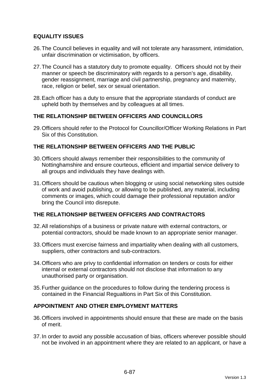### **EQUALITY ISSUES**

- 26. The Council believes in equality and will not tolerate any harassment, intimidation, unfair discrimination or victimisation, by officers.
- 27. The Council has a statutory duty to promote equality. Officers should not by their manner or speech be discriminatory with regards to a person's age, disability, gender reassignment, marriage and civil partnership, pregnancy and maternity, race, religion or belief, sex or sexual orientation.
- 28. Each officer has a duty to ensure that the appropriate standards of conduct are upheld both by themselves and by colleagues at all times.

### **THE RELATIONSHIP BETWEEN OFFICERS AND COUNCILLORS**

29. Officers should refer to the Protocol for Councillor/Officer Working Relations in Part Six of this Constitution.

### **THE RELATIONSHIP BETWEEN OFFICERS AND THE PUBLIC**

- 30. Officers should always remember their responsibilities to the community of Nottinghamshire and ensure courteous, efficient and impartial service delivery to all groups and individuals they have dealings with.
- 31. Officers should be cautious when blogging or using social networking sites outside of work and avoid publishing, or allowing to be published, any material, including comments or images, which could damage their professional reputation and/or bring the Council into disrepute.

### **THE RELATIONSHIP BETWEEN OFFICERS AND CONTRACTORS**

- 32. All relationships of a business or private nature with external contractors, or potential contractors, should be made known to an appropriate senior manager.
- 33. Officers must exercise fairness and impartiality when dealing with all customers, suppliers, other contractors and sub-contractors.
- 34. Officers who are privy to confidential information on tenders or costs for either internal or external contractors should not disclose that information to any unauthorised party or organisation.
- 35. Further guidance on the procedures to follow during the tendering process is contained in the Financial Regualtions in Part Six of this Constitution.

#### **APPOINTMENT AND OTHER EMPLOYMENT MATTERS**

- 36. Officers involved in appointments should ensure that these are made on the basis of merit.
- 37. In order to avoid any possible accusation of bias, officers wherever possible should not be involved in an appointment where they are related to an applicant, or have a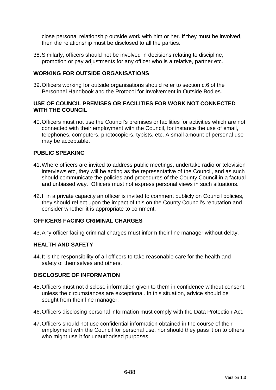close personal relationship outside work with him or her. If they must be involved, then the relationship must be disclosed to all the parties.

38. Similarly, officers should not be involved in decisions relating to discipline, promotion or pay adjustments for any officer who is a relative, partner etc.

#### **WORKING FOR OUTSIDE ORGANISATIONS**

39. Officers working for outside organisations should refer to section c.6 of the Personnel Handbook and the Protocol for Involvement in Outside Bodies.

#### **USE OF COUNCIL PREMISES OR FACILITIES FOR WORK NOT CONNECTED WITH THE COUNCIL**

40. Officers must not use the Council's premises or facilities for activities which are not connected with their employment with the Council, for instance the use of email, telephones, computers, photocopiers, typists, etc. A small amount of personal use may be acceptable.

### **PUBLIC SPEAKING**

- 41. Where officers are invited to address public meetings, undertake radio or television interviews etc, they will be acting as the representative of the Council, and as such should communicate the policies and procedures of the County Council in a factual and unbiased way. Officers must not express personal views in such situations.
- 42. If in a private capacity an officer is invited to comment publicly on Council policies, they should reflect upon the impact of this on the County Council's reputation and consider whether it is appropriate to comment.

#### **OFFICERS FACING CRIMINAL CHARGES**

43. Any officer facing criminal charges must inform their line manager without delay.

#### **HEALTH AND SAFETY**

44. It is the responsibility of all officers to take reasonable care for the health and safety of themselves and others.

#### **DISCLOSURE OF INFORMATION**

- 45. Officers must not disclose information given to them in confidence without consent, unless the circumstances are exceptional. In this situation, advice should be sought from their line manager.
- 46. Officers disclosing personal information must comply with the Data Protection Act.
- 47. Officers should not use confidential information obtained in the course of their employment with the Council for personal use, nor should they pass it on to others who might use it for unauthorised purposes.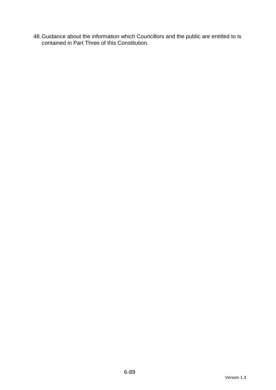48. Guidance about the information which Councillors and the public are entitled to is contained in Part Three of this Constitution.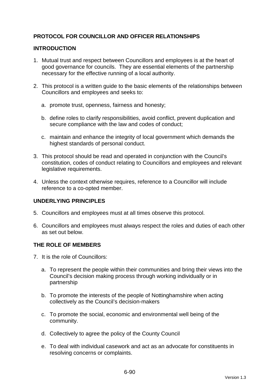# **PROTOCOL FOR COUNCILLOR AND OFFICER RELATIONSHIPS**

### **INTRODUCTION**

- 1. Mutual trust and respect between Councillors and employees is at the heart of good governance for councils. They are essential elements of the partnership necessary for the effective running of a local authority.
- 2. This protocol is a written guide to the basic elements of the relationships between Councillors and employees and seeks to:
	- a. promote trust, openness, fairness and honesty;
	- b. define roles to clarify responsibilities, avoid conflict, prevent duplication and secure compliance with the law and codes of conduct;
	- c. maintain and enhance the integrity of local government which demands the highest standards of personal conduct.
- 3. This protocol should be read and operated in conjunction with the Council's constitution, codes of conduct relating to Councillors and employees and relevant legislative requirements.
- 4. Unless the context otherwise requires, reference to a Councillor will include reference to a co-opted member.

# **UNDERLYING PRINCIPLES**

- 5. Councillors and employees must at all times observe this protocol.
- 6. Councillors and employees must always respect the roles and duties of each other as set out below.

#### **THE ROLE OF MEMBERS**

- 7. It is the role of Councillors:
	- a. To represent the people within their communities and bring their views into the Council's decision making process through working individually or in partnership
	- b. To promote the interests of the people of Nottinghamshire when acting collectively as the Council's decision-makers
	- c. To promote the social, economic and environmental well being of the community.
	- d. Collectively to agree the policy of the County Council
	- e. To deal with individual casework and act as an advocate for constituents in resolving concerns or complaints.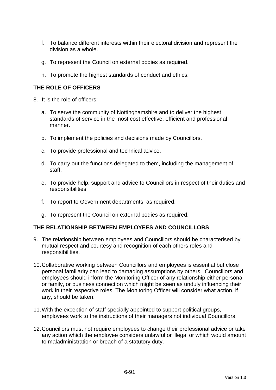- f. To balance different interests within their electoral division and represent the division as a whole.
- g. To represent the Council on external bodies as required.
- h. To promote the highest standards of conduct and ethics.

# **THE ROLE OF OFFICERS**

- 8. It is the role of officers:
	- a. To serve the community of Nottinghamshire and to deliver the highest standards of service in the most cost effective, efficient and professional manner.
	- b. To implement the policies and decisions made by Councillors.
	- c. To provide professional and technical advice.
	- d. To carry out the functions delegated to them, including the management of staff.
	- e. To provide help, support and advice to Councillors in respect of their duties and responsibilities
	- f. To report to Government departments, as required.
	- g. To represent the Council on external bodies as required.

#### **THE RELATIONSHIP BETWEEN EMPLOYEES AND COUNCILLORS**

- 9. The relationship between employees and Councillors should be characterised by mutual respect and courtesy and recognition of each others roles and responsibilities.
- 10. Collaborative working between Councillors and employees is essential but close personal familiarity can lead to damaging assumptions by others. Councillors and employees should inform the Monitoring Officer of any relationship either personal or family, or business connection which might be seen as unduly influencing their work in their respective roles. The Monitoring Officer will consider what action, if any, should be taken.
- 11. With the exception of staff specially appointed to support political groups, employees work to the instructions of their managers not individual Councillors.
- 12. Councillors must not require employees to change their professional advice or take any action which the employee considers unlawful or illegal or which would amount to maladministration or breach of a statutory duty.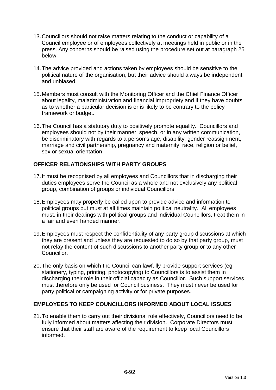- 13. Councillors should not raise matters relating to the conduct or capability of a Council employee or of employees collectively at meetings held in public or in the press. Any concerns should be raised using the procedure set out at paragraph 25 below.
- 14. The advice provided and actions taken by employees should be sensitive to the political nature of the organisation, but their advice should always be independent and unbiased.
- 15. Members must consult with the Monitoring Officer and the Chief Finance Officer about legality, maladministration and financial impropriety and if they have doubts as to whether a particular decision is or is likely to be contrary to the policy framework or budget.
- 16. The Council has a statutory duty to positively promote equality. Councillors and employees should not by their manner, speech, or in any written communication, be discriminatory with regards to a person's age, disability, gender reassignment, marriage and civil partnership, pregnancy and maternity, race, religion or belief, sex or sexual orientation.

# **OFFICER RELATIONSHIPS WITH PARTY GROUPS**

- 17. It must be recognised by all employees and Councillors that in discharging their duties employees serve the Council as a whole and not exclusively any political group, combination of groups or individual Councillors.
- 18. Employees may properly be called upon to provide advice and information to political groups but must at all times maintain political neutrality. All employees must, in their dealings with political groups and individual Councillors, treat them in a fair and even handed manner.
- 19. Employees must respect the confidentiality of any party group discussions at which they are present and unless they are requested to do so by that party group, must not relay the content of such discussions to another party group or to any other Councillor.
- 20. The only basis on which the Council can lawfully provide support services (eg stationery, typing, printing, photocopying) to Councillors is to assist them in discharging their role in their official capacity as Councillor. Such support services must therefore only be used for Council business. They must never be used for party political or campaigning activity or for private purposes.

# **EMPLOYEES TO KEEP COUNCILLORS INFORMED ABOUT LOCAL ISSUES**

21. To enable them to carry out their divisional role effectively, Councillors need to be fully informed about matters affecting their division. Corporate Directors must ensure that their staff are aware of the requirement to keep local Councillors informed.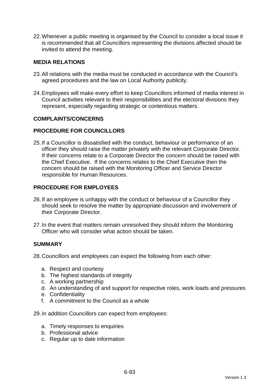22. Whenever a public meeting is organised by the Council to consider a local issue it is recommended that all Councillors representing the divisions affected should be invited to attend the meeting.

#### **MEDIA RELATIONS**

- 23. All relations with the media must be conducted in accordance with the Council's agreed procedures and the law on Local Authority publicity.
- 24. Employees will make every effort to keep Councillors informed of media interest in Council activities relevant to their responsibilities and the electoral divisions they represent, especially regarding strategic or contentious matters.

#### **COMPLAINTS/CONCERNS**

### **PROCEDURE FOR COUNCILLORS**

25. If a Councillor is dissatisfied with the conduct, behaviour or performance of an officer they should raise the matter privately with the relevant Corporate Director. If their concerns relate to a Corporate Director the concern should be raised with the Chief Executive. If the concerns relates to the Chief Executive then the concern should be raised with the Monitoring Officer and Service Director responsible for Human Resources.

### **PROCEDURE FOR EMPLOYEES**

- 26. If an employee is unhappy with the conduct or behaviour of a Councillor they should seek to resolve the matter by appropriate discussion and involvement of their Corporate Director.
- 27. In the event that matters remain unresolved they should inform the Monitoring Officer who will consider what action should be taken.

#### **SUMMARY**

28. Councillors and employees can expect the following from each other:

- a. Respect and courtesy
- b. The highest standards of integrity
- c. A working partnership
- d. An understanding of and support for respective roles, work loads and pressures
- e. Confidentiality
- f. A commitment to the Council as a whole

29. In addition Councillors can expect from employees:

- a. Timely responses to enquiries
- b. Professional advice
- c. Regular up to date information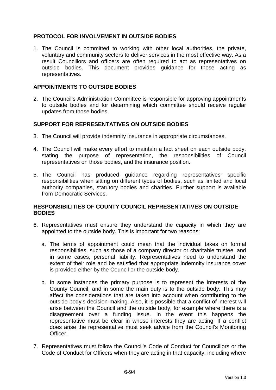### **PROTOCOL FOR INVOLVEMENT IN OUTSIDE BODIES**

1. The Council is committed to working with other local authorities, the private, voluntary and community sectors to deliver services in the most effective way. As a result Councillors and officers are often required to act as representatives on outside bodies. This document provides guidance for those acting as representatives.

#### **APPOINTMENTS TO OUTSIDE BODIES**

2. The Council's Administration Committee is responsible for approving appointments to outside bodies and for determining which committee should receive regular updates from those bodies.

#### **SUPPORT FOR REPRESENTATIVES ON OUTSIDE BODIES**

- 3. The Council will provide indemnity insurance in appropriate circumstances.
- 4. The Council will make every effort to maintain a fact sheet on each outside body, stating the purpose of representation, the responsibilities of Council representatives on those bodies, and the insurance position.
- 5. The Council has produced guidance regarding representatives' specific responsibilities when sitting on different types of bodies, such as limited and local authority companies, statutory bodies and charities. Further support is available from Democratic Services.

### **RESPONSIBILITIES OF COUNTY COUNCIL REPRESENTATIVES ON OUTSIDE BODIES**

- 6. Representatives must ensure they understand the capacity in which they are appointed to the outside body. This is important for two reasons:
	- a. The terms of appointment could mean that the individual takes on formal responsibilities, such as those of a company director or charitable trustee, and in some cases, personal liability. Representatives need to understand the extent of their role and be satisfied that appropriate indemnity insurance cover is provided either by the Council or the outside body.
	- b. In some instances the primary purpose is to represent the interests of the County Council, and in some the main duty is to the outside body. This may affect the considerations that are taken into account when contributing to the outside body's decision-making. Also, it is possible that a conflict of interest will arise between the Council and the outside body, for example where there is a disagreement over a funding issue. In the event this happens the representative must be clear in whose interests they are acting. If a conflict does arise the representative must seek advice from the Council's Monitoring Officer.
- 7. Representatives must follow the Council's Code of Conduct for Councillors or the Code of Conduct for Officers when they are acting in that capacity, including where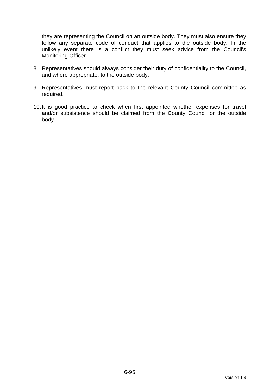they are representing the Council on an outside body. They must also ensure they follow any separate code of conduct that applies to the outside body. In the unlikely event there is a conflict they must seek advice from the Council's Monitoring Officer.

- 8. Representatives should always consider their duty of confidentiality to the Council, and where appropriate, to the outside body.
- 9. Representatives must report back to the relevant County Council committee as required.
- 10. It is good practice to check when first appointed whether expenses for travel and/or subsistence should be claimed from the County Council or the outside body.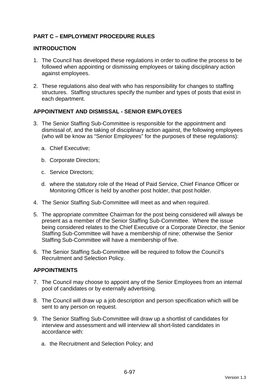# **PART C – EMPLOYMENT PROCEDURE RULES**

#### **INTRODUCTION**

- 1. The Council has developed these regulations in order to outline the process to be followed when appointing or dismissing employees or taking disciplinary action against employees.
- 2. These regulations also deal with who has responsibility for changes to staffing structures. Staffing structures specify the number and types of posts that exist in each department.

### **APPOINTMENT AND DISMISSAL - SENIOR EMPLOYEES**

- 3. The Senior Staffing Sub-Committee is responsible for the appointment and dismissal of, and the taking of disciplinary action against, the following employees (who will be know as "Senior Employees" for the purposes of these regulations):
	- a. Chief Executive;
	- b. Corporate Directors;
	- c. Service Directors;
	- d. where the statutory role of the Head of Paid Service, Chief Finance Officer or Monitoring Officer is held by another post holder, that post holder.
- 4. The Senior Staffing Sub-Committee will meet as and when required.
- 5. The appropriate committee Chairman for the post being considered will always be present as a member of the Senior Staffing Sub-Committee. Where the issue being considered relates to the Chief Executive or a Corporate Director, the Senior Staffing Sub-Committee will have a membership of nine; otherwise the Senior Staffing Sub-Committee will have a membership of five.
- 6. The Senior Staffing Sub-Committee will be required to follow the Council's Recruitment and Selection Policy.

# **APPOINTMENTS**

- 7. The Council may choose to appoint any of the Senior Employees from an internal pool of candidates or by externally advertising.
- 8. The Council will draw up a job description and person specification which will be sent to any person on request.
- 9. The Senior Staffing Sub-Committee will draw up a shortlist of candidates for interview and assessment and will interview all short-listed candidates in accordance with:
	- a. the Recruitment and Selection Policy; and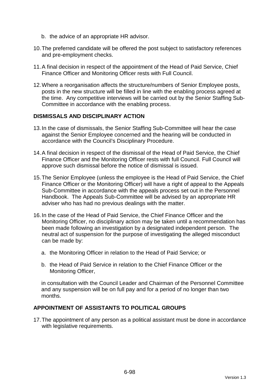- b. the advice of an appropriate HR advisor.
- 10. The preferred candidate will be offered the post subject to satisfactory references and pre-employment checks.
- 11. A final decision in respect of the appointment of the Head of Paid Service, Chief Finance Officer and Monitoring Officer rests with Full Council.
- 12. Where a reorganisation affects the structure/numbers of Senior Employee posts, posts in the new structure will be filled in line with the enabling process agreed at the time. Any competitive interviews will be carried out by the Senior Staffing Sub-Committee in accordance with the enabling process.

#### **DISMISSALS AND DISCIPLINARY ACTION**

- 13. In the case of dismissals, the Senior Staffing Sub-Committee will hear the case against the Senior Employee concerned and the hearing will be conducted in accordance with the Council's Disciplinary Procedure.
- 14. A final decision in respect of the dismissal of the Head of Paid Service, the Chief Finance Officer and the Monitoring Officer rests with full Council. Full Council will approve such dismissal before the notice of dismissal is issued.
- 15. The Senior Employee (unless the employee is the Head of Paid Service, the Chief Finance Officer or the Monitoring Officer) will have a right of appeal to the Appeals Sub-Committee in accordance with the appeals process set out in the Personnel Handbook. The Appeals Sub-Committee will be advised by an appropriate HR adviser who has had no previous dealings with the matter.
- 16. In the case of the Head of Paid Service, the Chief Finance Officer and the Monitoring Officer, no disciplinary action may be taken until a recommendation has been made following an investigation by a designated independent person. The neutral act of suspension for the purpose of investigating the alleged misconduct can be made by:
	- a. the Monitoring Officer in relation to the Head of Paid Service; or
	- b. the Head of Paid Service in relation to the Chief Finance Officer or the Monitoring Officer,

in consultation with the Council Leader and Chairman of the Personnel Committee and any suspension will be on full pay and for a period of no longer than two months.

### **APPOINTMENT OF ASSISTANTS TO POLITICAL GROUPS**

17. The appointment of any person as a political assistant must be done in accordance with legislative requirements.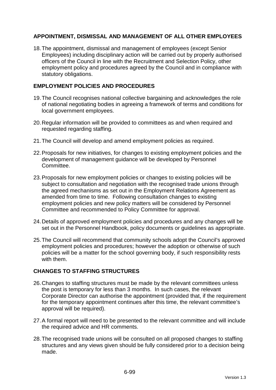# **APPOINTMENT, DISMISSAL AND MANAGEMENT OF ALL OTHER EMPLOYEES**

18. The appointment, dismissal and management of employees (except Senior Employees) including disciplinary action will be carried out by properly authorised officers of the Council in line with the Recruitment and Selection Policy, other employment policy and procedures agreed by the Council and in compliance with statutory obligations.

### **EMPLOYMENT POLICIES AND PROCEDURES**

- 19. The Council recognises national collective bargaining and acknowledges the role of national negotiating bodies in agreeing a framework of terms and conditions for local government employees.
- 20. Regular information will be provided to committees as and when required and requested regarding staffing.
- 21. The Council will develop and amend employment policies as required.
- 22. Proposals for new initiatives, for changes to existing employment policies and the development of management guidance will be developed by Personnel Committee.
- 23. Proposals for new employment policies or changes to existing policies will be subject to consultation and negotiation with the recognised trade unions through the agreed mechanisms as set out in the Employment Relations Agreement as amended from time to time. Following consultation changes to existing employment policies and new policy matters will be considered by Personnel Committee and recommended to Policy Committee for approval.
- 24. Details of approved employment policies and procedures and any changes will be set out in the Personnel Handbook, policy documents or guidelines as appropriate.
- 25. The Council will recommend that community schools adopt the Council's approved employment policies and procedures; however the adoption or otherwise of such policies will be a matter for the school governing body, if such responsibility rests with them.

# **CHANGES TO STAFFING STRUCTURES**

- 26. Changes to staffing structures must be made by the relevant committees unless the post is temporary for less than 3 months. In such cases, the relevant Corporate Director can authorise the appointment (provided that, if the requirement for the temporary appointment continues after this time, the relevant committee's approval will be required).
- 27. A formal report will need to be presented to the relevant committee and will include the required advice and HR comments.
- 28. The recognised trade unions will be consulted on all proposed changes to staffing structures and any views given should be fully considered prior to a decision being made.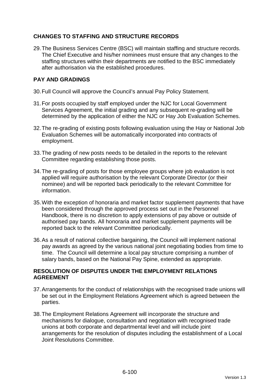# **CHANGES TO STAFFING AND STRUCTURE RECORDS**

29. The Business Services Centre (BSC) will maintain staffing and structure records. The Chief Executive and his/her nominees must ensure that any changes to the staffing structures within their departments are notified to the BSC immediately after authorisation via the established procedures.

# **PAY AND GRADINGS**

- 30. Full Council will approve the Council's annual Pay Policy Statement.
- 31. For posts occupied by staff employed under the NJC for Local Government Services Agreement, the initial grading and any subsequent re-grading will be determined by the application of either the NJC or Hay Job Evaluation Schemes.
- 32. The re-grading of existing posts following evaluation using the Hay or National Job Evaluation Schemes will be automatically incorporated into contracts of employment.
- 33. The grading of new posts needs to be detailed in the reports to the relevant Committee regarding establishing those posts.
- 34. The re-grading of posts for those employee groups where job evaluation is not applied will require authorisation by the relevant Corporate Director (or their nominee) and will be reported back periodically to the relevant Committee for information.
- 35. With the exception of honoraria and market factor supplement payments that have been considered through the approved process set out in the Personnel Handbook, there is no discretion to apply extensions of pay above or outside of authorised pay bands. All honoraria and market supplement payments will be reported back to the relevant Committee periodically.
- 36. As a result of national collective bargaining, the Council will implement national pay awards as agreed by the various national joint negotiating bodies from time to time. The Council will determine a local pay structure comprising a number of salary bands, based on the National Pay Spine, extended as appropriate.

# **RESOLUTION OF DISPUTES UNDER THE EMPLOYMENT RELATIONS AGREEMENT**

- 37. Arrangements for the conduct of relationships with the recognised trade unions will be set out in the Employment Relations Agreement which is agreed between the parties.
- 38. The Employment Relations Agreement will incorporate the structure and mechanisms for dialogue, consultation and negotiation with recognised trade unions at both corporate and departmental level and will include joint arrangements for the resolution of disputes including the establishment of a Local Joint Resolutions Committee.